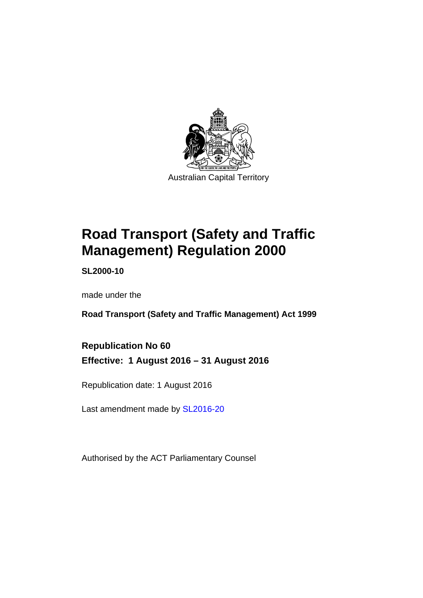

# **Road Transport (Safety and Traffic Management) Regulation 2000**

**SL2000-10** 

made under the

**Road Transport (Safety and Traffic Management) Act 1999** 

**Republication No 60 Effective: 1 August 2016 – 31 August 2016** 

Republication date: 1 August 2016

Last amendment made by [SL2016-20](http://www.legislation.act.gov.au/sl/2016-20)

Authorised by the ACT Parliamentary Counsel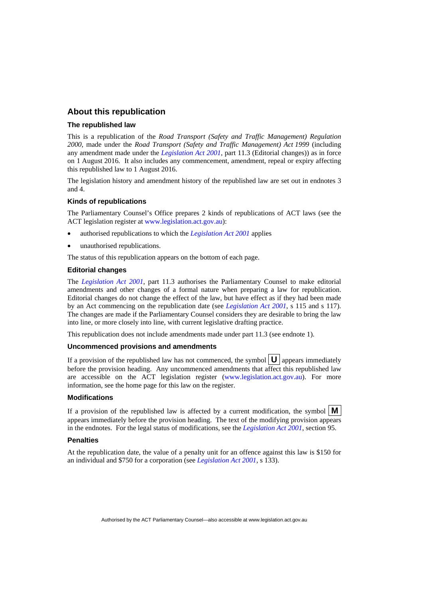#### **About this republication**

#### **The republished law**

This is a republication of the *Road Transport (Safety and Traffic Management) Regulation 2000*, made under the *Road Transport (Safety and Traffic Management) Act 1999* (including any amendment made under the *[Legislation Act 2001](http://www.legislation.act.gov.au/a/2001-14)*, part 11.3 (Editorial changes)) as in force on 1 August 2016*.* It also includes any commencement, amendment, repeal or expiry affecting this republished law to 1 August 2016.

The legislation history and amendment history of the republished law are set out in endnotes 3 and 4.

#### **Kinds of republications**

The Parliamentary Counsel's Office prepares 2 kinds of republications of ACT laws (see the ACT legislation register at [www.legislation.act.gov.au](http://www.legislation.act.gov.au/)):

- authorised republications to which the *[Legislation Act 2001](http://www.legislation.act.gov.au/a/2001-14)* applies
- unauthorised republications.

The status of this republication appears on the bottom of each page.

#### **Editorial changes**

The *[Legislation Act 2001](http://www.legislation.act.gov.au/a/2001-14)*, part 11.3 authorises the Parliamentary Counsel to make editorial amendments and other changes of a formal nature when preparing a law for republication. Editorial changes do not change the effect of the law, but have effect as if they had been made by an Act commencing on the republication date (see *[Legislation Act 2001](http://www.legislation.act.gov.au/a/2001-14)*, s 115 and s 117). The changes are made if the Parliamentary Counsel considers they are desirable to bring the law into line, or more closely into line, with current legislative drafting practice.

This republication does not include amendments made under part 11.3 (see endnote 1).

#### **Uncommenced provisions and amendments**

If a provision of the republished law has not commenced, the symbol  $\mathbf{U}$  appears immediately before the provision heading. Any uncommenced amendments that affect this republished law are accessible on the ACT legislation register [\(www.legislation.act.gov.au](http://www.legislation.act.gov.au/)). For more information, see the home page for this law on the register.

#### **Modifications**

If a provision of the republished law is affected by a current modification, the symbol  $\mathbf{M}$ appears immediately before the provision heading. The text of the modifying provision appears in the endnotes. For the legal status of modifications, see the *[Legislation Act 2001](http://www.legislation.act.gov.au/a/2001-14)*, section 95.

#### **Penalties**

At the republication date, the value of a penalty unit for an offence against this law is \$150 for an individual and \$750 for a corporation (see *[Legislation Act 2001](http://www.legislation.act.gov.au/a/2001-14)*, s 133).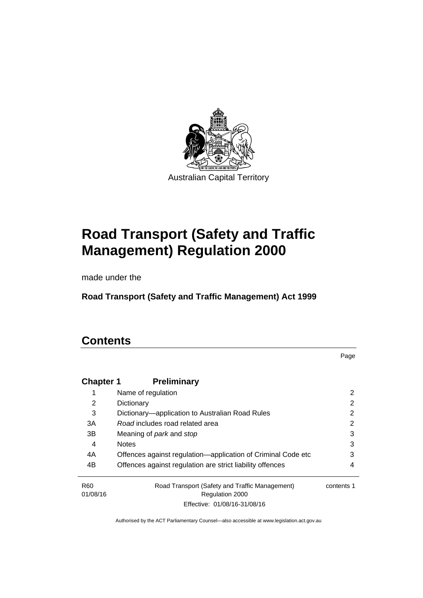

# **Road Transport (Safety and Traffic Management) Regulation 2000**

made under the

**Road Transport (Safety and Traffic Management) Act 1999** 

# **Contents**

Page

| <b>Chapter 1</b> | <b>Preliminary</b>                                           |            |
|------------------|--------------------------------------------------------------|------------|
|                  | Name of regulation                                           | 2          |
| 2                | Dictionary                                                   | 2          |
| 3                | Dictionary—application to Australian Road Rules              | 2          |
| 3A               | Road includes road related area                              | 2          |
| 3B               | Meaning of <i>park</i> and <i>stop</i>                       | 3          |
| 4                | <b>Notes</b>                                                 | 3          |
| 4A               | Offences against regulation-application of Criminal Code etc | 3          |
| 4B               | Offences against regulation are strict liability offences    | 4          |
| R <sub>60</sub>  | Road Transport (Safety and Traffic Management)               | contents 1 |
| 01/08/16         | <b>Regulation 2000</b>                                       |            |
|                  | Effective: 01/08/16-31/08/16                                 |            |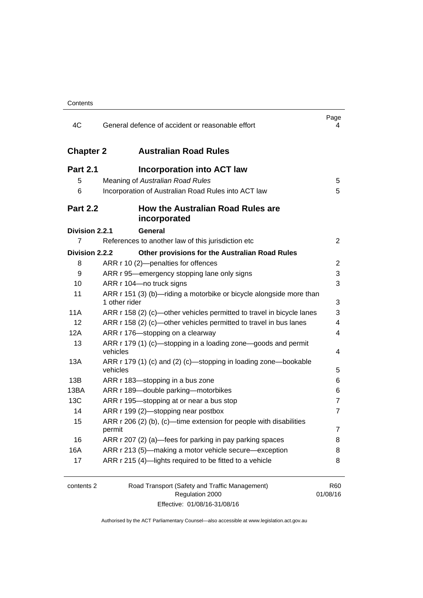| 4C               | General defence of accident or reasonable effort                                     | Page<br>4              |
|------------------|--------------------------------------------------------------------------------------|------------------------|
| <b>Chapter 2</b> | <b>Australian Road Rules</b>                                                         |                        |
| <b>Part 2.1</b>  | Incorporation into ACT law                                                           |                        |
| 5                | Meaning of Australian Road Rules                                                     | 5                      |
| 6                | Incorporation of Australian Road Rules into ACT law                                  | 5                      |
| <b>Part 2.2</b>  | How the Australian Road Rules are<br>incorporated                                    |                        |
| Division 2.2.1   | <b>General</b>                                                                       |                        |
| 7                | References to another law of this jurisdiction etc                                   | $\overline{2}$         |
| Division 2.2.2   | Other provisions for the Australian Road Rules                                       |                        |
| 8                | ARR r 10 (2)-penalties for offences                                                  | 2                      |
| 9                | ARR r 95—emergency stopping lane only signs                                          | 3                      |
| 10               | ARR r 104-no truck signs                                                             | 3                      |
| 11               | ARR r 151 (3) (b)—riding a motorbike or bicycle alongside more than<br>1 other rider | 3                      |
| 11A              | ARR r 158 (2) (c)—other vehicles permitted to travel in bicycle lanes                | 3                      |
| 12               | ARR r 158 (2) (c)-other vehicles permitted to travel in bus lanes                    | 4                      |
| 12A              | ARR r 176-stopping on a clearway                                                     | 4                      |
| 13               | ARR r 179 (1) (c)—stopping in a loading zone—goods and permit<br>vehicles            | 4                      |
| 13A              | ARR r 179 (1) (c) and (2) (c)—stopping in loading zone—bookable<br>vehicles          | 5                      |
| 13B              | ARR r 183—stopping in a bus zone                                                     | 6                      |
| 13BA             | ARR r 189-double parking-motorbikes                                                  | 6                      |
| 13C              | ARR r 195-stopping at or near a bus stop                                             | 7                      |
| 14               | ARR r 199 (2)-stopping near postbox                                                  | $\overline{7}$         |
| 15               | ARR $r$ 206 (2) (b), (c)—time extension for people with disabilities<br>permit       | 7                      |
| 16               | ARR r 207 (2) (a)-fees for parking in pay parking spaces                             | 8                      |
| 16A              | ARR r 213 (5)—making a motor vehicle secure—exception                                | 8                      |
| 17               | ARR r 215 (4)-lights required to be fitted to a vehicle                              | 8                      |
| contents 2       | Road Transport (Safety and Traffic Management)<br>Regulation 2000                    | <b>R60</b><br>01/08/16 |

Effective: 01/08/16-31/08/16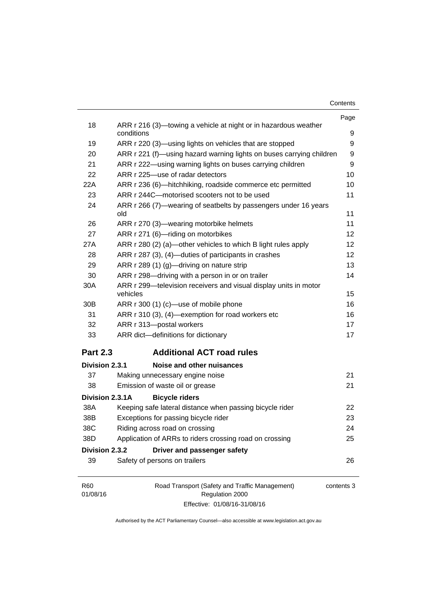| Contents |  |
|----------|--|
|----------|--|

|                 |                                                                               | Page       |
|-----------------|-------------------------------------------------------------------------------|------------|
| 18              | ARR r 216 (3)—towing a vehicle at night or in hazardous weather<br>conditions | 9          |
| 19              | ARR r 220 (3)—using lights on vehicles that are stopped                       | 9          |
| 20              | ARR r 221 (f)—using hazard warning lights on buses carrying children          | 9          |
| 21              | ARR r 222—using warning lights on buses carrying children                     | 9          |
| 22              | ARR r 225-use of radar detectors                                              | 10         |
| 22A             | ARR r 236 (6)-hitchhiking, roadside commerce etc permitted                    | 10         |
| 23              | ARR r 244C-motorised scooters not to be used                                  | 11         |
| 24              | ARR r 266 (7)—wearing of seatbelts by passengers under 16 years<br>old        | 11         |
| 26              | ARR r 270 (3)—wearing motorbike helmets                                       | 11         |
| 27              | ARR r 271 (6)-riding on motorbikes                                            | 12         |
| 27A             | ARR r 280 (2) (a)—other vehicles to which B light rules apply                 | 12         |
| 28              | ARR r 287 (3), (4)—duties of participants in crashes                          | 12         |
| 29              | ARR r 289 (1) (g)-driving on nature strip                                     | 13         |
| 30              | ARR r 298-driving with a person in or on trailer                              | 14         |
| 30A             | ARR r 299-television receivers and visual display units in motor<br>vehicles  | 15         |
| 30 <sub>B</sub> | ARR r 300 (1) (c)-use of mobile phone                                         | 16         |
| 31              | ARR r 310 (3), (4)-exemption for road workers etc                             | 16         |
| 32              | ARR r 313-postal workers                                                      | 17         |
| 33              | ARR dict-definitions for dictionary                                           | 17         |
| <b>Part 2.3</b> | <b>Additional ACT road rules</b>                                              |            |
| Division 2.3.1  | Noise and other nuisances                                                     |            |
| 37              | Making unnecessary engine noise                                               | 21         |
| 38              | Emission of waste oil or grease                                               | 21         |
| Division 2.3.1A | <b>Bicycle riders</b>                                                         |            |
| 38A             | Keeping safe lateral distance when passing bicycle rider                      | 22         |
| 38B             | Exceptions for passing bicycle rider                                          | 23         |
| 38C             | Riding across road on crossing                                                | 24         |
| 38D             | Application of ARRs to riders crossing road on crossing                       | 25         |
| Division 2.3.2  | Driver and passenger safety                                                   |            |
| 39              | Safety of persons on trailers                                                 | 26         |
| R60<br>01/08/16 | Road Transport (Safety and Traffic Management)<br>Regulation 2000             | contents 3 |

Authorised by the ACT Parliamentary Counsel—also accessible at www.legislation.act.gov.au

Effective: 01/08/16-31/08/16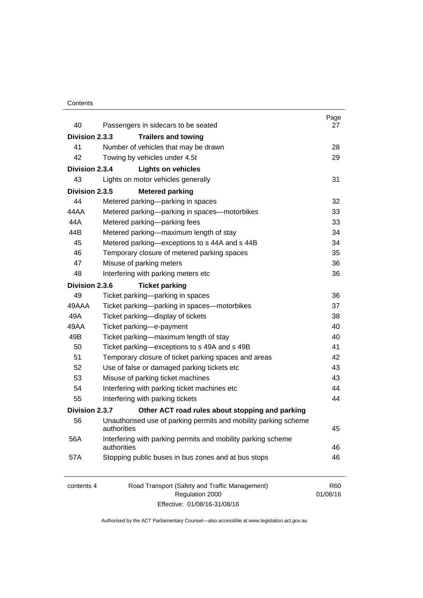#### **Contents**

| 40             | Passengers in sidecars to be seated                                            | Page<br>27             |
|----------------|--------------------------------------------------------------------------------|------------------------|
| Division 2.3.3 | <b>Trailers and towing</b>                                                     |                        |
| 41             | Number of vehicles that may be drawn                                           | 28                     |
| 42             | Towing by vehicles under 4.5t                                                  | 29                     |
| Division 2.3.4 | <b>Lights on vehicles</b>                                                      |                        |
| 43             | Lights on motor vehicles generally                                             | 31                     |
| Division 2.3.5 | <b>Metered parking</b>                                                         |                        |
| 44             | Metered parking-parking in spaces                                              | 32                     |
| 44 A A         | Metered parking-parking in spaces-motorbikes                                   | 33                     |
| 44A            | Metered parking-parking fees                                                   | 33                     |
| 44B            | Metered parking-maximum length of stay                                         | 34                     |
| 45             | Metered parking-exceptions to s 44A and s 44B                                  | 34                     |
| 46             | Temporary closure of metered parking spaces                                    | 35                     |
| 47             | Misuse of parking meters                                                       | 36                     |
| 48             | Interfering with parking meters etc                                            | 36                     |
| Division 2.3.6 | <b>Ticket parking</b>                                                          |                        |
| 49             | Ticket parking-parking in spaces                                               | 36                     |
| 49AAA          | Ticket parking-parking in spaces-motorbikes                                    | 37                     |
| 49A            | Ticket parking-display of tickets                                              | 38                     |
| 49AA           | Ticket parking-e-payment                                                       | 40                     |
| 49B            | Ticket parking-maximum length of stay                                          | 40                     |
| 50             | Ticket parking-exceptions to s 49A and s 49B                                   | 41                     |
| 51             | Temporary closure of ticket parking spaces and areas                           | 42                     |
| 52             | Use of false or damaged parking tickets etc                                    | 43                     |
| 53             | Misuse of parking ticket machines                                              | 43                     |
| 54             | Interfering with parking ticket machines etc                                   | 44                     |
| 55             | Interfering with parking tickets                                               | 44                     |
| Division 2.3.7 | Other ACT road rules about stopping and parking                                |                        |
| 56             | Unauthorised use of parking permits and mobility parking scheme<br>authorities | 45                     |
| 56A            | Interfering with parking permits and mobility parking scheme<br>authorities    | 46                     |
| 57A            | Stopping public buses in bus zones and at bus stops                            | 46                     |
| contents 4     | Road Transport (Safety and Traffic Management)<br>Regulation 2000              | <b>R60</b><br>01/08/16 |

Effective: 01/08/16-31/08/16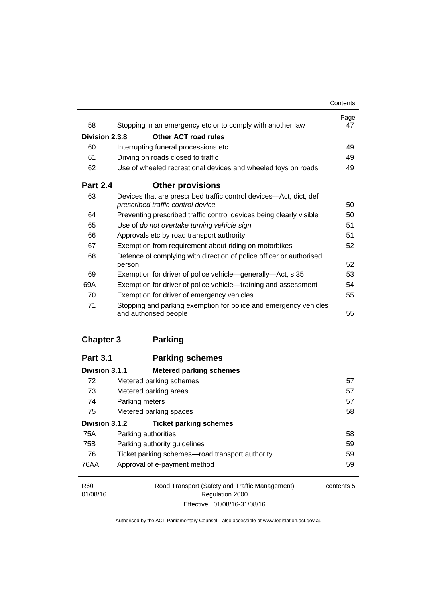|                 |                                                                                                         | Contents   |
|-----------------|---------------------------------------------------------------------------------------------------------|------------|
| 58              | Stopping in an emergency etc or to comply with another law                                              | Page<br>47 |
| Division 2.3.8  | Other ACT road rules                                                                                    |            |
| 60              | Interrupting funeral processions etc                                                                    | 49         |
| 61              | Driving on roads closed to traffic                                                                      | 49         |
| 62              | Use of wheeled recreational devices and wheeled toys on roads                                           | 49         |
| <b>Part 2.4</b> | <b>Other provisions</b>                                                                                 |            |
| 63              | Devices that are prescribed traffic control devices—Act, dict, def<br>prescribed traffic control device | 50         |
| 64              | Preventing prescribed traffic control devices being clearly visible                                     | 50         |
| 65              | Use of do not overtake turning vehicle sign                                                             | 51         |
| 66              | Approvals etc by road transport authority                                                               | 51         |
| 67              | Exemption from requirement about riding on motorbikes                                                   | 52         |
| 68              | Defence of complying with direction of police officer or authorised<br>person                           | 52         |
| 69              | Exemption for driver of police vehicle—generally—Act, s 35                                              | 53         |
| 69A             | Exemption for driver of police vehicle-training and assessment                                          | 54         |
| 70              | Exemption for driver of emergency vehicles                                                              | 55         |
| 71              | Stopping and parking exemption for police and emergency vehicles<br>and authorised people               | 55         |

## **[Chapter 3](#page-73-0) Parking**

| <b>Part 3.1</b> | <b>Parking schemes</b>                          |            |
|-----------------|-------------------------------------------------|------------|
| Division 3.1.1  | <b>Metered parking schemes</b>                  |            |
| 72              | Metered parking schemes                         | 57         |
| 73              | Metered parking areas                           | 57         |
| 74              | Parking meters                                  | 57         |
| 75              | Metered parking spaces                          | 58         |
| Division 3.1.2  | <b>Ticket parking schemes</b>                   |            |
| 75A             | Parking authorities                             | 58         |
| 75B             | Parking authority guidelines                    | 59         |
| 76              | Ticket parking schemes—road transport authority | 59         |
| 76AA            | Approval of e-payment method                    | 59         |
| R <sub>60</sub> | Road Transport (Safety and Traffic Management)  | contents 5 |
| 01/08/16        | Regulation 2000                                 |            |

Effective: 01/08/16-31/08/16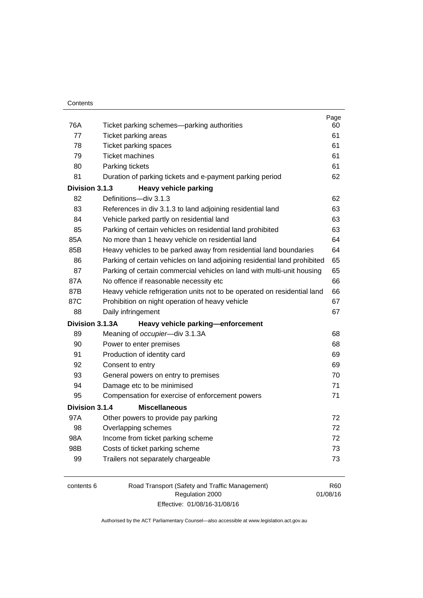| 76A | Ticket parking schemes—parking authorities                                | Page<br>60 |
|-----|---------------------------------------------------------------------------|------------|
| 77  | Ticket parking areas                                                      | 61         |
| 78  | Ticket parking spaces                                                     | 61         |
| 79  | <b>Ticket machines</b>                                                    | 61         |
| 80  | Parking tickets                                                           | 61         |
| 81  | Duration of parking tickets and e-payment parking period                  | 62         |
|     | Division 3.1.3<br><b>Heavy vehicle parking</b>                            |            |
| 82  | Definitions-div 3.1.3                                                     | 62         |
| 83  | References in div 3.1.3 to land adjoining residential land                | 63         |
| 84  | Vehicle parked partly on residential land                                 | 63         |
| 85  | Parking of certain vehicles on residential land prohibited                | 63         |
| 85A | No more than 1 heavy vehicle on residential land                          | 64         |
| 85B | Heavy vehicles to be parked away from residential land boundaries         | 64         |
| 86  | Parking of certain vehicles on land adjoining residential land prohibited | 65         |
| 87  | Parking of certain commercial vehicles on land with multi-unit housing    | 65         |
| 87A | No offence if reasonable necessity etc                                    | 66         |
| 87B | Heavy vehicle refrigeration units not to be operated on residential land  | 66         |
| 87C | Prohibition on night operation of heavy vehicle                           | 67         |
| 88  | Daily infringement                                                        | 67         |
|     | Division 3.1.3A<br>Heavy vehicle parking-enforcement                      |            |
| 89  | Meaning of occupier-div 3.1.3A                                            | 68         |
| 90  | Power to enter premises                                                   | 68         |
| 91  | Production of identity card                                               | 69         |
| 92  | Consent to entry                                                          | 69         |
| 93  | General powers on entry to premises                                       | 70         |
| 94  | Damage etc to be minimised                                                | 71         |
| 95  | Compensation for exercise of enforcement powers                           | 71         |
|     | Division 3.1.4<br><b>Miscellaneous</b>                                    |            |
| 97A | Other powers to provide pay parking                                       | 72         |
| 98  | Overlapping schemes                                                       | 72         |
| 98A | Income from ticket parking scheme                                         | 72         |
| 98B | Costs of ticket parking scheme                                            | 73         |
| 99  | Trailers not separately chargeable                                        | 73         |
|     |                                                                           |            |

| contents 6 | Road Transport (Safety and Traffic Management) | R60      |
|------------|------------------------------------------------|----------|
|            | Regulation 2000                                | 01/08/16 |
|            | Effective: 01/08/16-31/08/16                   |          |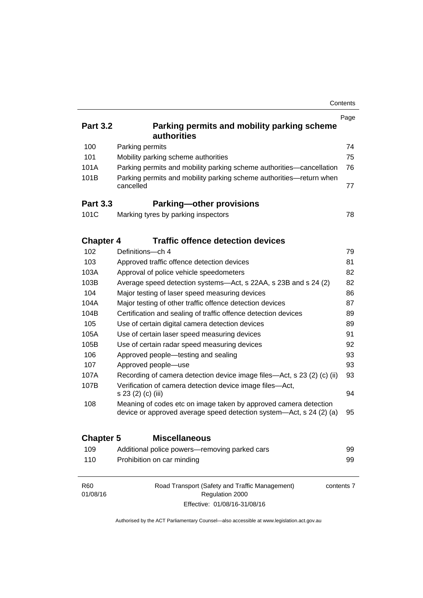|                             |                                                                                                                                         | Contents   |
|-----------------------------|-----------------------------------------------------------------------------------------------------------------------------------------|------------|
|                             |                                                                                                                                         | Page       |
| <b>Part 3.2</b>             | Parking permits and mobility parking scheme<br>authorities                                                                              |            |
| 100                         | Parking permits                                                                                                                         | 74         |
| 101                         | Mobility parking scheme authorities                                                                                                     | 75         |
| 101A                        | Parking permits and mobility parking scheme authorities-cancellation                                                                    | 76         |
| 101B                        | Parking permits and mobility parking scheme authorities-return when<br>cancelled                                                        | 77         |
| <b>Part 3.3</b>             | <b>Parking-other provisions</b>                                                                                                         |            |
| 101C                        | Marking tyres by parking inspectors                                                                                                     | 78         |
| <b>Chapter 4</b>            | <b>Traffic offence detection devices</b>                                                                                                |            |
| 102                         | Definitions-ch 4                                                                                                                        | 79         |
| 103                         | Approved traffic offence detection devices                                                                                              | 81         |
| 103A                        | Approval of police vehicle speedometers                                                                                                 | 82         |
| 103B                        | Average speed detection systems-Act, s 22AA, s 23B and s 24 (2)                                                                         | 82         |
| 104                         | Major testing of laser speed measuring devices                                                                                          | 86         |
| 104A                        | Major testing of other traffic offence detection devices                                                                                | 87         |
| 104B                        | Certification and sealing of traffic offence detection devices                                                                          | 89         |
| 105                         | Use of certain digital camera detection devices                                                                                         | 89         |
| 105A                        | Use of certain laser speed measuring devices                                                                                            | 91         |
| 105B                        | Use of certain radar speed measuring devices                                                                                            | 92         |
| 106                         | Approved people-testing and sealing                                                                                                     | 93         |
| 107                         | Approved people-use                                                                                                                     | 93         |
| 107A                        | Recording of camera detection device image files—Act, s 23 (2) (c) (ii)                                                                 | 93         |
| 107B                        | Verification of camera detection device image files-Act,<br>s 23 (2) (c) (iii)                                                          | 94         |
| 108                         | Meaning of codes etc on image taken by approved camera detection<br>device or approved average speed detection system—Act, s 24 (2) (a) | 95         |
| <b>Chapter 5</b>            | <b>Miscellaneous</b>                                                                                                                    |            |
| 109                         | Additional police powers-removing parked cars                                                                                           | 99         |
| 110                         | Prohibition on car minding                                                                                                              | 99         |
| R <sub>60</sub><br>01/08/16 | Road Transport (Safety and Traffic Management)<br>Regulation 2000                                                                       | contents 7 |

Authorised by the ACT Parliamentary Counsel—also accessible at www.legislation.act.gov.au

Effective: 01/08/16-31/08/16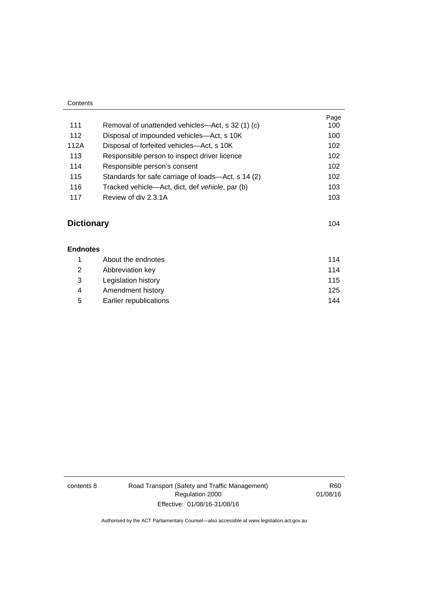| Contents |                                                    |      |
|----------|----------------------------------------------------|------|
|          |                                                    | Page |
| 111      | Removal of unattended vehicles—Act, s 32 (1) (c)   | 100  |
| 112      | Disposal of impounded vehicles—Act, s 10K          | 100  |
| 112A     | Disposal of forfeited vehicles—Act, s 10K          | 102  |
| 113      | Responsible person to inspect driver licence       | 102  |
| 114      | Responsible person's consent                       | 102  |
| 115      | Standards for safe carriage of loads—Act, s 14 (2) | 102  |
| 116      | Tracked vehicle—Act, dict, def vehicle, par (b)    | 103  |
| 117      | Review of div 2.3.1A                               | 103  |

# **[Dictionary](#page-120-0)** [104](#page-120-0)

| <b>Endnotes</b> |                        |     |
|-----------------|------------------------|-----|
|                 | About the endnotes     | 114 |
| 2               | Abbreviation key       | 114 |
| 3               | Legislation history    | 115 |
| 4               | Amendment history      | 125 |
| 5               | Earlier republications | 144 |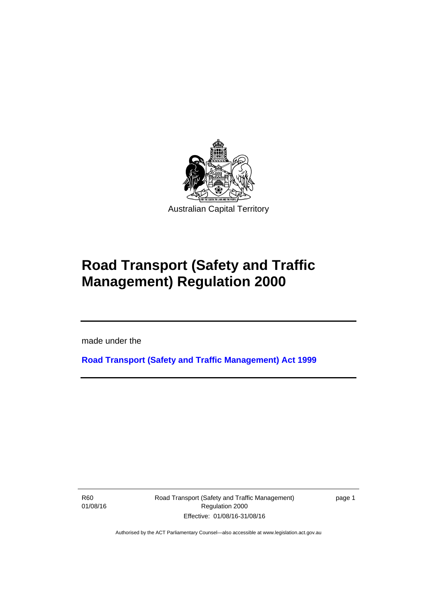

# **Road Transport (Safety and Traffic Management) Regulation 2000**

made under the

**[Road Transport \(Safety and Traffic Management\) Act 1999](http://www.legislation.act.gov.au/a/1999-80)**

R60 01/08/16

l

Road Transport (Safety and Traffic Management) Regulation 2000 Effective: 01/08/16-31/08/16

page 1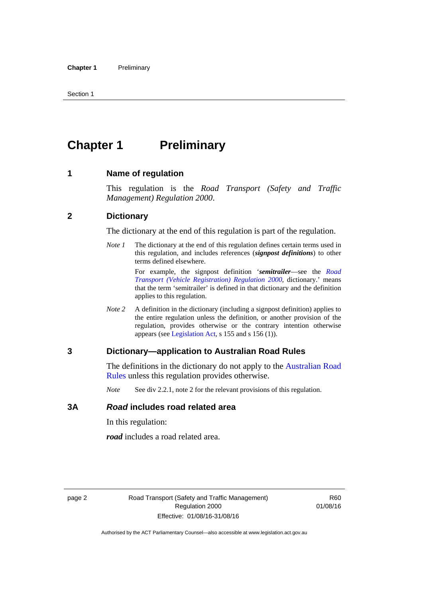# <span id="page-11-0"></span>**Chapter 1** Preliminary

#### <span id="page-11-1"></span>**1 Name of regulation**

This regulation is the *Road Transport (Safety and Traffic Management) Regulation 2000*.

#### <span id="page-11-2"></span>**2 Dictionary**

The dictionary at the end of this regulation is part of the regulation.

*Note 1* The dictionary at the end of this regulation defines certain terms used in this regulation, and includes references (*signpost definitions*) to other terms defined elsewhere.

> For example, the signpost definition '*semitrailer*—see the *[Road](http://www.legislation.act.gov.au/sl/2000-12)  [Transport \(Vehicle Registration\) Regulation 2000](http://www.legislation.act.gov.au/sl/2000-12)*, dictionary.' means that the term 'semitrailer' is defined in that dictionary and the definition applies to this regulation.

*Note 2* A definition in the dictionary (including a signpost definition) applies to the entire regulation unless the definition, or another provision of the regulation, provides otherwise or the contrary intention otherwise appears (see [Legislation Act,](http://www.legislation.act.gov.au/a/2001-14) s 155 and s 156 (1)).

#### <span id="page-11-3"></span>**3 Dictionary—application to Australian Road Rules**

The definitions in the dictionary do not apply to the Australian Road [Rules](http://www.legislation.act.gov.au//ni/db_37271/default.asp) unless this regulation provides otherwise.

*Note* See div 2.2.1, note 2 for the relevant provisions of this regulation.

#### <span id="page-11-4"></span>**3A** *Road* **includes road related area**

In this regulation:

*road* includes a road related area.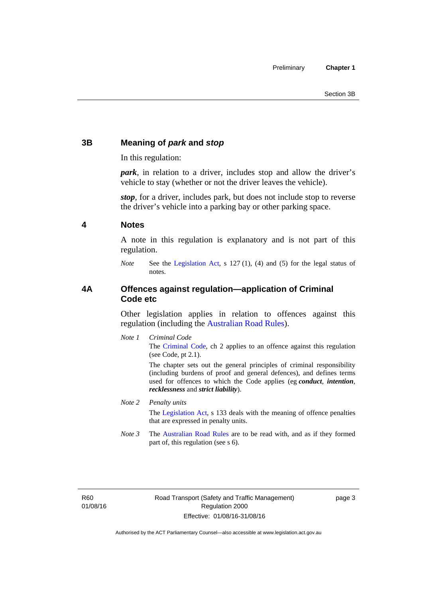### <span id="page-12-0"></span>**3B Meaning of** *park* **and** *stop*

In this regulation:

*park*, in relation to a driver, includes stop and allow the driver's vehicle to stay (whether or not the driver leaves the vehicle).

*stop*, for a driver, includes park, but does not include stop to reverse the driver's vehicle into a parking bay or other parking space.

#### <span id="page-12-1"></span>**4 Notes**

A note in this regulation is explanatory and is not part of this regulation.

*Note* See the [Legislation Act,](http://www.legislation.act.gov.au/a/2001-14) s 127 (1), (4) and (5) for the legal status of notes.

#### <span id="page-12-2"></span>**4A Offences against regulation—application of Criminal Code etc**

Other legislation applies in relation to offences against this regulation (including the [Australian Road Rules](http://www.legislation.act.gov.au//ni/db_37271/default.asp)).

*Note 1 Criminal Code* The [Criminal Code,](http://www.legislation.act.gov.au/a/2002-51) ch 2 applies to an offence against this regulation (see Code, pt 2.1).

> The chapter sets out the general principles of criminal responsibility (including burdens of proof and general defences), and defines terms used for offences to which the Code applies (eg *conduct*, *intention*, *recklessness* and *strict liability*).

#### *Note 2 Penalty units*

The [Legislation Act](http://www.legislation.act.gov.au/a/2001-14), s 133 deals with the meaning of offence penalties that are expressed in penalty units.

*Note 3* The [Australian Road Rules](http://www.legislation.act.gov.au//ni/db_37271/default.asp) are to be read with, and as if they formed part of, this regulation (see s 6).

R60 01/08/16 page 3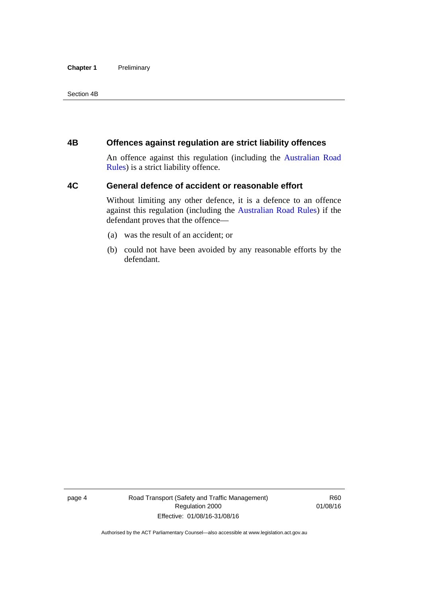#### **Chapter 1** Preliminary

Section 4B

#### <span id="page-13-0"></span>**4B Offences against regulation are strict liability offences**

An offence against this regulation (including the [Australian Road](http://www.legislation.act.gov.au//ni/db_37271/default.asp)  [Rules](http://www.legislation.act.gov.au//ni/db_37271/default.asp)) is a strict liability offence.

#### <span id="page-13-1"></span>**4C General defence of accident or reasonable effort**

Without limiting any other defence, it is a defence to an offence against this regulation (including the [Australian Road Rules\)](http://www.legislation.act.gov.au//ni/db_37271/default.asp) if the defendant proves that the offence—

- (a) was the result of an accident; or
- (b) could not have been avoided by any reasonable efforts by the defendant.

page 4 Road Transport (Safety and Traffic Management) Regulation 2000 Effective: 01/08/16-31/08/16

R60 01/08/16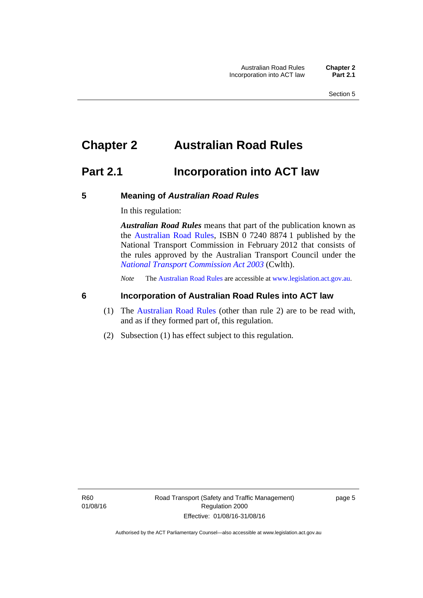# <span id="page-14-0"></span>**Chapter 2 Australian Road Rules**

## <span id="page-14-1"></span>**Part 2.1 Incorporation into ACT law**

#### <span id="page-14-2"></span>**5 Meaning of** *Australian Road Rules*

In this regulation:

*Australian Road Rules* means that part of the publication known as the [Australian Road Rules](http://www.legislation.act.gov.au//ni/db_37271/default.asp), ISBN 0 7240 8874 1 published by the National Transport Commission in February 2012 that consists of the rules approved by the Australian Transport Council under the *[National Transport Commission Act 2003](http://www.comlaw.gov.au/Series/C2004A01166)* (Cwlth).

*Note* The [Australian Road Rules](http://www.legislation.act.gov.au//ni/db_37271/default.asp) are accessible at [www.legislation.act.gov.au](http://www.legislation.act.gov.au/).

#### <span id="page-14-3"></span>**6 Incorporation of Australian Road Rules into ACT law**

- (1) The [Australian Road Rules](http://www.legislation.act.gov.au//ni/db_37271/default.asp) (other than rule 2) are to be read with, and as if they formed part of, this regulation.
- (2) Subsection (1) has effect subject to this regulation.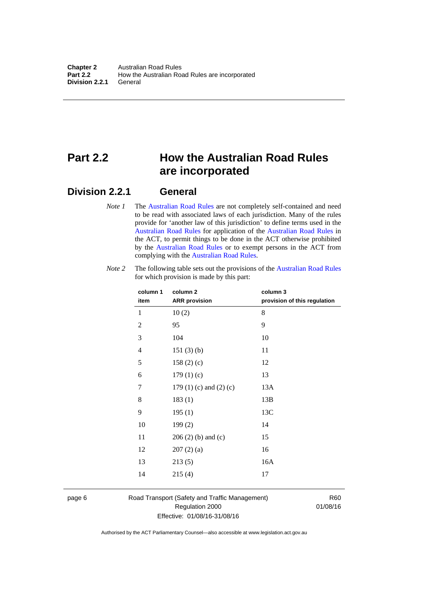# <span id="page-15-0"></span>**Part 2.2 How the Australian Road Rules are incorporated**

#### <span id="page-15-1"></span>**Division 2.2.1 General**

*Note 1* The [Australian Road Rules](http://www.legislation.act.gov.au//ni/db_37271/default.asp) are not completely self-contained and need to be read with associated laws of each jurisdiction. Many of the rules provide for 'another law of this jurisdiction' to define terms used in the [Australian Road Rules](http://www.legislation.act.gov.au//ni/db_37271/default.asp) for application of the [Australian Road Rules](http://www.legislation.act.gov.au//ni/db_37271/default.asp) in the ACT, to permit things to be done in the ACT otherwise prohibited by the [Australian Road Rules](http://www.legislation.act.gov.au//ni/db_37271/default.asp) or to exempt persons in the ACT from complying with the [Australian Road Rules.](http://www.legislation.act.gov.au//ni/db_37271/default.asp)

| column 1<br>item | column <sub>2</sub><br><b>ARR</b> provision | column 3<br>provision of this regulation |
|------------------|---------------------------------------------|------------------------------------------|
| 1                | 10(2)                                       | 8                                        |
| $\mathbf{2}$     | 95                                          | 9                                        |
| $\mathfrak{Z}$   | 104                                         | 10                                       |
| 4                | 151(3)(b)                                   | 11                                       |
| 5                | 158(2)(c)                                   | 12                                       |
| 6                | 179(1)(c)                                   | 13                                       |
| 7                | 179 $(1)$ $(c)$ and $(2)$ $(c)$             | 13A                                      |
| 8                | 183(1)                                      | 13B                                      |
| 9                | 195(1)                                      | 13C                                      |
| 10               | 199(2)                                      | 14                                       |
| 11               | $206(2)$ (b) and (c)                        | 15                                       |
| 12               | 207(2)(a)                                   | 16                                       |
| 13               | 213(5)                                      | 16A                                      |
| 14               | 215(4)                                      | 17                                       |

*Note 2* The following table sets out the provisions of the [Australian Road Rules](http://www.legislation.act.gov.au//ni/db_37271/default.asp) for which provision is made by this part:

page 6 Road Transport (Safety and Traffic Management) Regulation 2000 Effective: 01/08/16-31/08/16

R60 01/08/16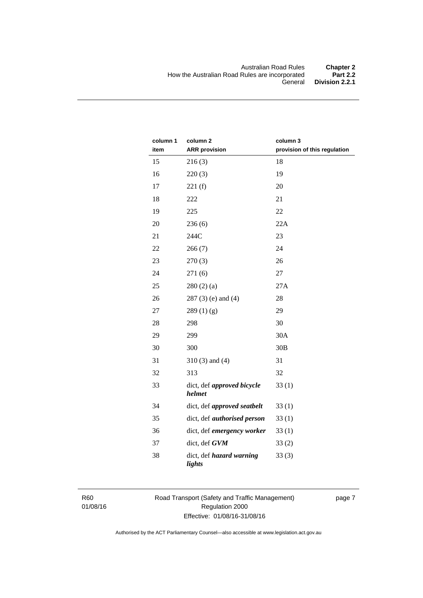| column 1<br>item | column <sub>2</sub><br><b>ARR</b> provision | column 3<br>provision of this regulation |
|------------------|---------------------------------------------|------------------------------------------|
| 15               | 216(3)                                      | 18                                       |
| 16               | 220(3)                                      | 19                                       |
| 17               | 221(f)                                      | 20                                       |
| 18               | 222                                         | 21                                       |
| 19               | 225                                         | 22                                       |
| 20               | 236(6)                                      | 22A                                      |
| 21               | 244C                                        | 23                                       |
| 22               | 266(7)                                      | 24                                       |
| 23               | 270(3)                                      | 26                                       |
| 24               | 271(6)                                      | 27                                       |
| 25               | 280(2)(a)                                   | 27A                                      |
| 26               | $287(3)$ (e) and (4)                        | 28                                       |
| 27               | 289(1)(g)                                   | 29                                       |
| 28               | 298                                         | 30                                       |
| 29               | 299                                         | 30A                                      |
| 30               | 300                                         | 30B                                      |
| 31               | $310(3)$ and $(4)$                          | 31                                       |
| 32               | 313                                         | 32                                       |
| 33               | dict, def approved bicycle<br>helmet        | 33(1)                                    |
| 34               | dict, def approved seatbelt                 | 33(1)                                    |
| 35               | dict, def <i>authorised</i> person          | 33(1)                                    |
| 36               | dict, def emergency worker                  | 33(1)                                    |
| 37               | dict, def GVM                               | 33(2)                                    |
| 38               | dict, def hazard warning<br>lights          | 33(3)                                    |

R60 01/08/16 Road Transport (Safety and Traffic Management) Regulation 2000 Effective: 01/08/16-31/08/16

page 7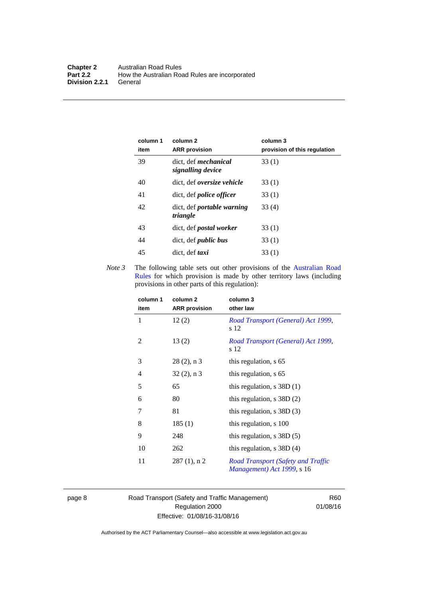| column 1<br>item | column 2<br><b>ARR</b> provision                 | column 3<br>provision of this regulation |
|------------------|--------------------------------------------------|------------------------------------------|
| 39               | dict, def <i>mechanical</i><br>signalling device | 33(1)                                    |
| 40               | dict. def <i>oversize</i> vehicle                | 33(1)                                    |
| 41               | dict, def <i>police</i> officer                  | 33(1)                                    |
| 42               | dict, def <i>portable</i> warning<br>triangle    | 33 (4)                                   |
| 43               | dict, def <i>postal</i> worker                   | 33(1)                                    |
| 44               | dict, def <i>public</i> bus                      | 33(1)                                    |
| 45               | dict, def taxi                                   | 33(1)                                    |

*Note 3* The following table sets out other provisions of the Australian Road [Rules](http://www.legislation.act.gov.au//ni/db_37271/default.asp) for which provision is made by other territory laws (including provisions in other parts of this regulation):

| column 1<br>item | column 2<br><b>ARR</b> provision | column 3<br>other law                                                   |
|------------------|----------------------------------|-------------------------------------------------------------------------|
| 1                | 12(2)                            | Road Transport (General) Act 1999,<br>s 12                              |
| 2                | 13(2)                            | Road Transport (General) Act 1999,<br>s 12                              |
| 3                | $28(2)$ , n 3                    | this regulation, s 65                                                   |
| $\overline{4}$   | $32(2)$ , n 3                    | this regulation, s 65                                                   |
| 5                | 65                               | this regulation, $s$ 38D (1)                                            |
| 6                | 80                               | this regulation, $s$ 38D $(2)$                                          |
| 7                | 81                               | this regulation, $s$ 38D $(3)$                                          |
| 8                | 185(1)                           | this regulation, s 100                                                  |
| 9                | 248                              | this regulation, $s$ 38D $(5)$                                          |
| 10               | 262                              | this regulation, $s$ 38D $(4)$                                          |
| 11               | $287(1)$ , n 2                   | <b>Road Transport (Safety and Traffic</b><br>Management) Act 1999, s 16 |

page 8 Road Transport (Safety and Traffic Management) Regulation 2000 Effective: 01/08/16-31/08/16

R60 01/08/16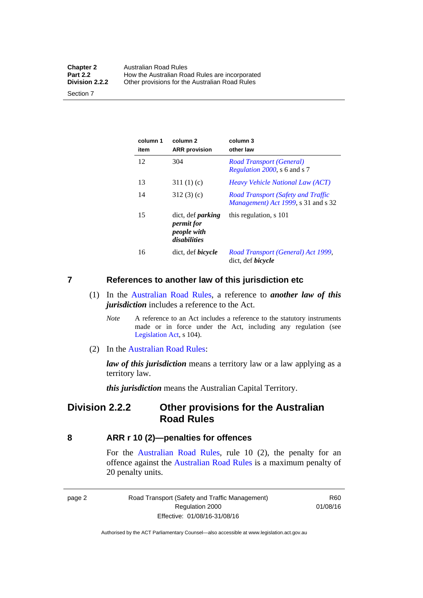| <b>Chapter 2</b> | <b>Australian Road Rules</b>                   |
|------------------|------------------------------------------------|
| <b>Part 2.2</b>  | How the Australian Road Rules are incorporated |
| Division 2.2.2   | Other provisions for the Australian Road Rules |

Section 7

| column 1<br>item | column 2<br><b>ARR</b> provision                                             | column 3<br>other law                                                             |
|------------------|------------------------------------------------------------------------------|-----------------------------------------------------------------------------------|
| 12               | 304                                                                          | Road Transport (General)<br><i>Regulation 2000</i> , s 6 and s 7                  |
| 13               | 311 $(1)(c)$                                                                 | <i>Heavy Vehicle National Law (ACT)</i>                                           |
| 14               | 312(3)(c)                                                                    | Road Transport (Safety and Traffic<br><i>Management</i> ) Act 1999, s 31 and s 32 |
| 15               | dict, def <i>parking</i><br><i>permit for</i><br>people with<br>disabilities | this regulation, s 101                                                            |
| 16               | dict, def <i>bicycle</i>                                                     | Road Transport (General) Act 1999,<br>dict, def <i>bicycle</i>                    |

#### <span id="page-18-0"></span>**7 References to another law of this jurisdiction etc**

- (1) In the [Australian Road Rules,](http://www.legislation.act.gov.au//ni/db_37271/default.asp) a reference to *another law of this jurisdiction* includes a reference to the Act.
	- *Note* A reference to an Act includes a reference to the statutory instruments made or in force under the Act, including any regulation (see [Legislation Act,](http://www.legislation.act.gov.au/a/2001-14) s 104).
- (2) In the [Australian Road Rules](http://www.legislation.act.gov.au//ni/db_37271/default.asp):

*law of this jurisdiction* means a territory law or a law applying as a territory law.

*this jurisdiction* means the Australian Capital Territory.

### <span id="page-18-1"></span>**Division 2.2.2 Other provisions for the Australian Road Rules**

#### <span id="page-18-2"></span>**8 ARR r 10 (2)—penalties for offences**

For the [Australian Road Rules,](http://www.legislation.act.gov.au//ni/db_37271/default.asp) rule 10 (2), the penalty for an offence against the [Australian Road Rules](http://www.legislation.act.gov.au//ni/db_37271/default.asp) is a maximum penalty of 20 penalty units.

|--|--|

Road Transport (Safety and Traffic Management) Regulation 2000 Effective: 01/08/16-31/08/16

R60 01/08/16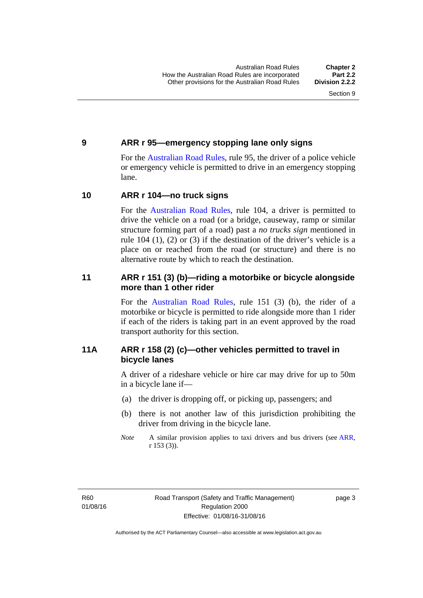#### <span id="page-19-0"></span>**9 ARR r 95—emergency stopping lane only signs**

For the [Australian Road Rules,](http://www.legislation.act.gov.au//ni/db_37271/default.asp) rule 95, the driver of a police vehicle or emergency vehicle is permitted to drive in an emergency stopping lane.

#### <span id="page-19-1"></span>**10 ARR r 104—no truck signs**

For the [Australian Road Rules,](http://www.legislation.act.gov.au//ni/db_37271/default.asp) rule 104, a driver is permitted to drive the vehicle on a road (or a bridge, causeway, ramp or similar structure forming part of a road) past a *no trucks sign* mentioned in rule 104 (1), (2) or (3) if the destination of the driver's vehicle is a place on or reached from the road (or structure) and there is no alternative route by which to reach the destination.

#### <span id="page-19-2"></span>**11 ARR r 151 (3) (b)—riding a motorbike or bicycle alongside more than 1 other rider**

For the [Australian Road Rules](http://www.legislation.act.gov.au//ni/db_37271/default.asp), rule 151 (3) (b), the rider of a motorbike or bicycle is permitted to ride alongside more than 1 rider if each of the riders is taking part in an event approved by the road transport authority for this section.

#### <span id="page-19-3"></span>**11A ARR r 158 (2) (c)—other vehicles permitted to travel in bicycle lanes**

A driver of a rideshare vehicle or hire car may drive for up to 50m in a bicycle lane if—

- (a) the driver is dropping off, or picking up, passengers; and
- (b) there is not another law of this jurisdiction prohibiting the driver from driving in the bicycle lane.
- *Note* A similar provision applies to taxi drivers and bus drivers (see [ARR,](http://www.legislation.act.gov.au//ni/db_37271/default.asp) r 153 (3)).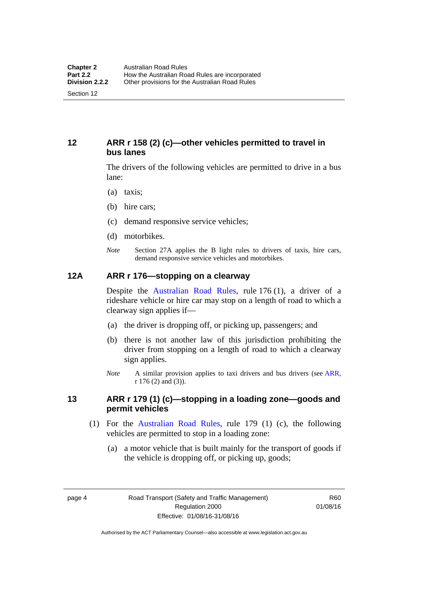#### <span id="page-20-0"></span>**12 ARR r 158 (2) (c)—other vehicles permitted to travel in bus lanes**

The drivers of the following vehicles are permitted to drive in a bus lane:

- (a) taxis;
- (b) hire cars;
- (c) demand responsive service vehicles;
- (d) motorbikes.
- *Note* Section 27A applies the B light rules to drivers of taxis, hire cars, demand responsive service vehicles and motorbikes.

#### <span id="page-20-1"></span>**12A ARR r 176—stopping on a clearway**

Despite the [Australian Road Rules,](http://www.legislation.act.gov.au//ni/db_37271/default.asp) rule 176 (1), a driver of a rideshare vehicle or hire car may stop on a length of road to which a clearway sign applies if—

- (a) the driver is dropping off, or picking up, passengers; and
- (b) there is not another law of this jurisdiction prohibiting the driver from stopping on a length of road to which a clearway sign applies.
- *Note* A similar provision applies to taxi drivers and bus drivers (see [ARR,](http://www.legislation.act.gov.au//ni/db_37271/default.asp) r 176 (2) and (3)).

#### <span id="page-20-2"></span>**13 ARR r 179 (1) (c)—stopping in a loading zone—goods and permit vehicles**

- (1) For the [Australian Road Rules,](http://www.legislation.act.gov.au//ni/db_37271/default.asp) rule 179 (1) (c), the following vehicles are permitted to stop in a loading zone:
	- (a) a motor vehicle that is built mainly for the transport of goods if the vehicle is dropping off, or picking up, goods;

page 4 Road Transport (Safety and Traffic Management) Regulation 2000 Effective: 01/08/16-31/08/16

R60 01/08/16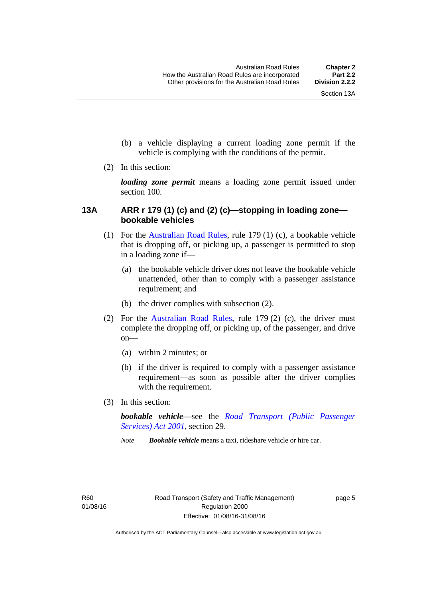- (b) a vehicle displaying a current loading zone permit if the vehicle is complying with the conditions of the permit.
- (2) In this section:

*loading zone permit* means a loading zone permit issued under section 100.

#### <span id="page-21-0"></span>**13A ARR r 179 (1) (c) and (2) (c)—stopping in loading zone bookable vehicles**

- (1) For the [Australian Road Rules,](http://www.legislation.act.gov.au//ni/db_37271/default.asp) rule 179 (1) (c), a bookable vehicle that is dropping off, or picking up, a passenger is permitted to stop in a loading zone if—
	- (a) the bookable vehicle driver does not leave the bookable vehicle unattended, other than to comply with a passenger assistance requirement; and
	- (b) the driver complies with subsection (2).
- (2) For the [Australian Road Rules,](http://www.legislation.act.gov.au//ni/db_37271/default.asp) rule 179 (2) (c), the driver must complete the dropping off, or picking up, of the passenger, and drive on—
	- (a) within 2 minutes; or
	- (b) if the driver is required to comply with a passenger assistance requirement—as soon as possible after the driver complies with the requirement.
- (3) In this section:

*bookable vehicle*—see the *[Road Transport \(Public Passenger](http://www.legislation.act.gov.au/a/2001-62)  [Services\) Act 2001](http://www.legislation.act.gov.au/a/2001-62)*, section 29.

*Note Bookable vehicle* means a taxi, rideshare vehicle or hire car.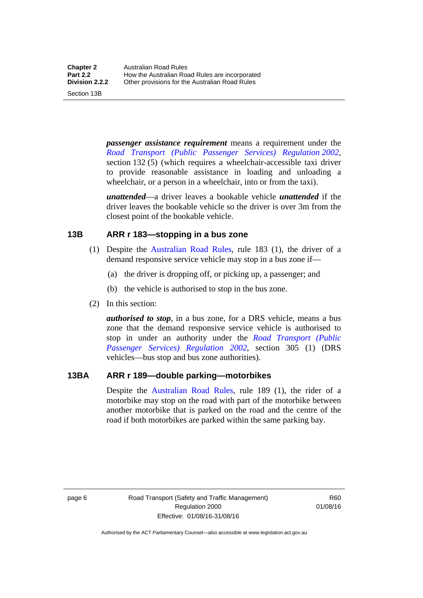Section 13B

*passenger assistance requirement* means a requirement under the *[Road Transport \(Public Passenger Services\) Regulation 2002](http://www.legislation.act.gov.au/sl/2002-3)*, section 132 (5) (which requires a wheelchair-accessible taxi driver to provide reasonable assistance in loading and unloading a wheelchair, or a person in a wheelchair, into or from the taxi).

*unattended*—a driver leaves a bookable vehicle *unattended* if the driver leaves the bookable vehicle so the driver is over 3m from the closest point of the bookable vehicle.

#### <span id="page-22-0"></span>**13B ARR r 183—stopping in a bus zone**

- (1) Despite the [Australian Road Rules](http://www.legislation.act.gov.au//ni/db_37271/default.asp), rule 183 (1), the driver of a demand responsive service vehicle may stop in a bus zone if—
	- (a) the driver is dropping off, or picking up, a passenger; and
	- (b) the vehicle is authorised to stop in the bus zone.
- (2) In this section:

*authorised to stop*, in a bus zone, for a DRS vehicle, means a bus zone that the demand responsive service vehicle is authorised to stop in under an authority under the *[Road Transport \(Public](http://www.legislation.act.gov.au/sl/2002-3)  [Passenger Services\) Regulation 2002](http://www.legislation.act.gov.au/sl/2002-3)*, section 305 (1) (DRS vehicles—bus stop and bus zone authorities).

#### <span id="page-22-1"></span>**13BA ARR r 189—double parking—motorbikes**

Despite the [Australian Road Rules](http://www.legislation.act.gov.au//ni/db_37271/default.asp), rule 189 (1), the rider of a motorbike may stop on the road with part of the motorbike between another motorbike that is parked on the road and the centre of the road if both motorbikes are parked within the same parking bay.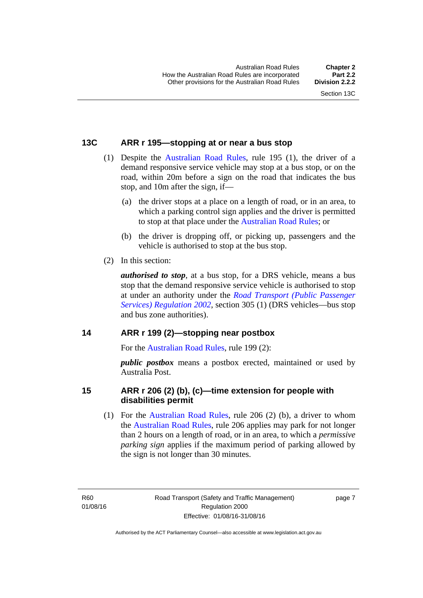#### <span id="page-23-0"></span>**13C ARR r 195—stopping at or near a bus stop**

- (1) Despite the [Australian Road Rules](http://www.legislation.act.gov.au//ni/db_37271/default.asp), rule 195 (1), the driver of a demand responsive service vehicle may stop at a bus stop, or on the road, within 20m before a sign on the road that indicates the bus stop, and 10m after the sign, if—
	- (a) the driver stops at a place on a length of road, or in an area, to which a parking control sign applies and the driver is permitted to stop at that place under the [Australian Road Rules](http://www.legislation.act.gov.au//ni/db_37271/default.asp); or
	- (b) the driver is dropping off, or picking up, passengers and the vehicle is authorised to stop at the bus stop.
- (2) In this section:

*authorised to stop*, at a bus stop, for a DRS vehicle, means a bus stop that the demand responsive service vehicle is authorised to stop at under an authority under the *[Road Transport \(Public Passenger](http://www.legislation.act.gov.au/sl/2002-3)  [Services\) Regulation 2002](http://www.legislation.act.gov.au/sl/2002-3)*, section 305 (1) (DRS vehicles—bus stop and bus zone authorities).

#### <span id="page-23-1"></span>**14 ARR r 199 (2)—stopping near postbox**

For the [Australian Road Rules](http://www.legislation.act.gov.au//ni/db_37271/default.asp), rule 199 (2):

*public postbox* means a postbox erected, maintained or used by Australia Post.

#### <span id="page-23-2"></span>**15 ARR r 206 (2) (b), (c)—time extension for people with disabilities permit**

 (1) For the [Australian Road Rules,](http://www.legislation.act.gov.au//ni/db_37271/default.asp) rule 206 (2) (b), a driver to whom the [Australian Road Rules,](http://www.legislation.act.gov.au//ni/db_37271/default.asp) rule 206 applies may park for not longer than 2 hours on a length of road, or in an area, to which a *permissive parking sign* applies if the maximum period of parking allowed by the sign is not longer than 30 minutes.

R60 01/08/16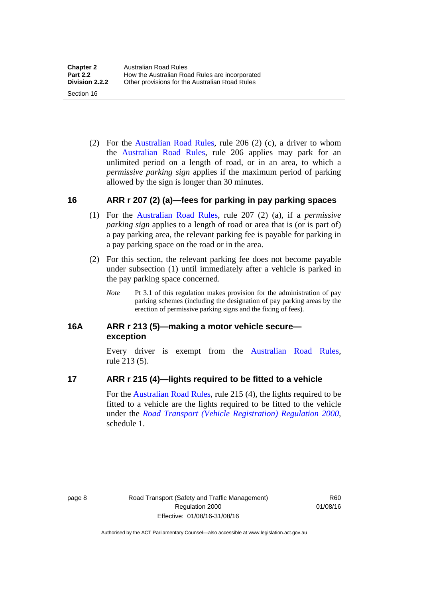(2) For the [Australian Road Rules,](http://www.legislation.act.gov.au//ni/db_37271/default.asp) rule 206 (2) (c), a driver to whom the [Australian Road Rules,](http://www.legislation.act.gov.au//ni/db_37271/default.asp) rule 206 applies may park for an unlimited period on a length of road, or in an area, to which a *permissive parking sign* applies if the maximum period of parking allowed by the sign is longer than 30 minutes.

#### <span id="page-24-0"></span>**16 ARR r 207 (2) (a)—fees for parking in pay parking spaces**

- (1) For the [Australian Road Rules,](http://www.legislation.act.gov.au//ni/db_37271/default.asp) rule 207 (2) (a), if a *permissive parking sign* applies to a length of road or area that is (or is part of) a pay parking area, the relevant parking fee is payable for parking in a pay parking space on the road or in the area.
- (2) For this section, the relevant parking fee does not become payable under subsection (1) until immediately after a vehicle is parked in the pay parking space concerned.
	- *Note* Pt 3.1 of this regulation makes provision for the administration of pay parking schemes (including the designation of pay parking areas by the erection of permissive parking signs and the fixing of fees).

#### <span id="page-24-1"></span>**16A ARR r 213 (5)—making a motor vehicle secure exception**

Every driver is exempt from the [Australian Road Rules](http://www.legislation.act.gov.au//ni/db_37271/default.asp), rule 213 (5).

#### <span id="page-24-2"></span>**17 ARR r 215 (4)—lights required to be fitted to a vehicle**

For the [Australian Road Rules,](http://www.legislation.act.gov.au//ni/db_37271/default.asp) rule 215 (4), the lights required to be fitted to a vehicle are the lights required to be fitted to the vehicle under the *[Road Transport \(Vehicle Registration\) Regulation 2000](http://www.legislation.act.gov.au/sl/2000-12),*  schedule 1.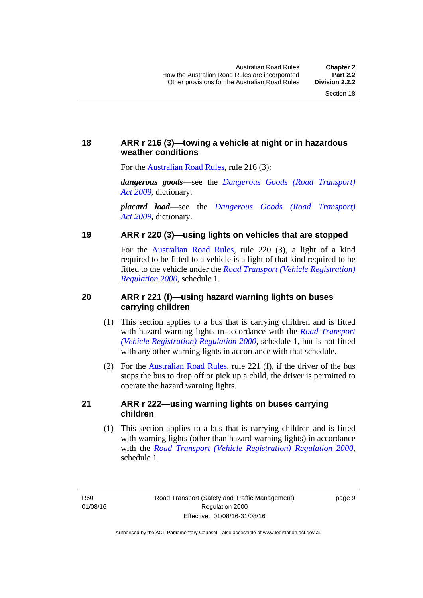#### <span id="page-25-0"></span>**18 ARR r 216 (3)—towing a vehicle at night or in hazardous weather conditions**

For the [Australian Road Rules](http://www.legislation.act.gov.au//ni/db_37271/default.asp), rule 216 (3):

*dangerous goods*—see the *[Dangerous Goods \(Road Transport\)](http://www.legislation.act.gov.au/a/2009-34)  [Act 2009](http://www.legislation.act.gov.au/a/2009-34)*, dictionary.

*placard load*—see the *[Dangerous Goods \(Road Transport\)](http://www.legislation.act.gov.au/a/2009-34)  [Act 2009](http://www.legislation.act.gov.au/a/2009-34)*, dictionary.

#### <span id="page-25-1"></span>**19 ARR r 220 (3)—using lights on vehicles that are stopped**

For the [Australian Road Rules](http://www.legislation.act.gov.au//ni/db_37271/default.asp), rule 220 (3), a light of a kind required to be fitted to a vehicle is a light of that kind required to be fitted to the vehicle under the *[Road Transport \(Vehicle Registration\)](http://www.legislation.act.gov.au/sl/2000-12)  [Regulation 2000](http://www.legislation.act.gov.au/sl/2000-12)*, schedule 1.

#### <span id="page-25-2"></span>**20 ARR r 221 (f)—using hazard warning lights on buses carrying children**

- (1) This section applies to a bus that is carrying children and is fitted with hazard warning lights in accordance with the *[Road Transport](http://www.legislation.act.gov.au/sl/2000-12)  [\(Vehicle Registration\) Regulation 2000](http://www.legislation.act.gov.au/sl/2000-12)*, schedule 1, but is not fitted with any other warning lights in accordance with that schedule.
- (2) For the [Australian Road Rules](http://www.legislation.act.gov.au//ni/db_37271/default.asp), rule 221 (f), if the driver of the bus stops the bus to drop off or pick up a child, the driver is permitted to operate the hazard warning lights.

#### <span id="page-25-3"></span>**21 ARR r 222—using warning lights on buses carrying children**

(1) This section applies to a bus that is carrying children and is fitted with warning lights (other than hazard warning lights) in accordance with the *[Road Transport \(Vehicle Registration\) Regulation 2000](http://www.legislation.act.gov.au/sl/2000-12)*, schedule 1.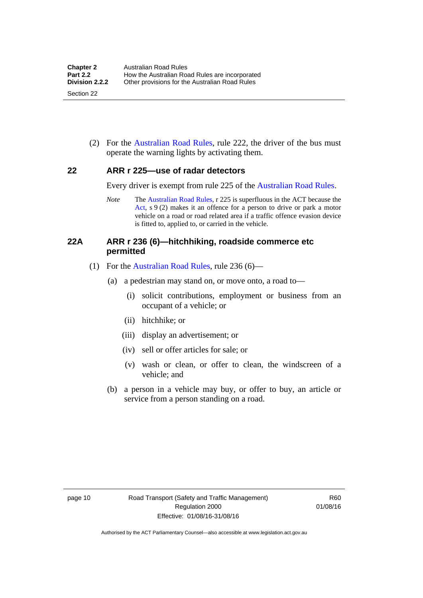(2) For the [Australian Road Rules](http://www.legislation.act.gov.au//ni/db_37271/default.asp), rule 222, the driver of the bus must operate the warning lights by activating them.

#### <span id="page-26-0"></span>**22 ARR r 225—use of radar detectors**

Every driver is exempt from rule 225 of the [Australian Road Rules.](http://www.legislation.act.gov.au//ni/db_37271/default.asp)

*Note* The [Australian Road Rules,](http://www.legislation.act.gov.au//ni/db_37271/default.asp) r 225 is superfluous in the ACT because the [Act](http://www.legislation.act.gov.au/a/1999-80/default.asp), s 9 (2) makes it an offence for a person to drive or park a motor vehicle on a road or road related area if a traffic offence evasion device is fitted to, applied to, or carried in the vehicle.

#### <span id="page-26-1"></span>**22A ARR r 236 (6)—hitchhiking, roadside commerce etc permitted**

- (1) For the [Australian Road Rules,](http://www.legislation.act.gov.au//ni/db_37271/default.asp) rule 236 (6)—
	- (a) a pedestrian may stand on, or move onto, a road to—
		- (i) solicit contributions, employment or business from an occupant of a vehicle; or
		- (ii) hitchhike; or
		- (iii) display an advertisement; or
		- (iv) sell or offer articles for sale; or
		- (v) wash or clean, or offer to clean, the windscreen of a vehicle; and
	- (b) a person in a vehicle may buy, or offer to buy, an article or service from a person standing on a road.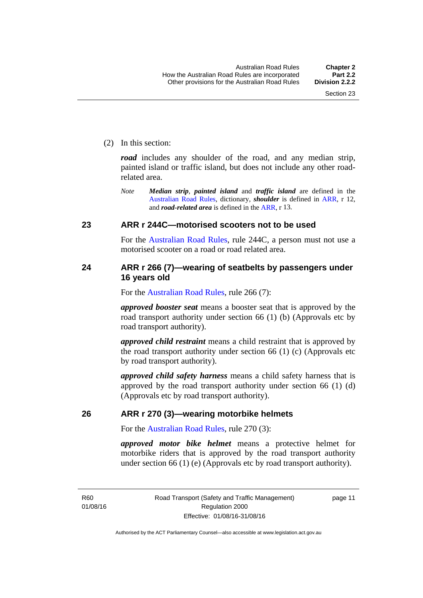(2) In this section:

*road* includes any shoulder of the road, and any median strip, painted island or traffic island, but does not include any other roadrelated area.

*Note Median strip*, *painted island* and *traffic island* are defined in the [Australian Road Rules,](http://www.legislation.act.gov.au//ni/db_37271/default.asp) dictionary, *shoulder* is defined in [ARR](http://www.legislation.act.gov.au//ni/db_37271/default.asp), r 12, and *road-related area* is defined in the [ARR](http://www.legislation.act.gov.au//ni/db_37271/default.asp), r 13.

#### <span id="page-27-0"></span>**23 ARR r 244C—motorised scooters not to be used**

For the [Australian Road Rules](http://www.legislation.act.gov.au//ni/db_37271/default.asp), rule 244C, a person must not use a motorised scooter on a road or road related area.

#### <span id="page-27-1"></span>**24 ARR r 266 (7)—wearing of seatbelts by passengers under 16 years old**

For the [Australian Road Rules](http://www.legislation.act.gov.au//ni/db_37271/default.asp), rule 266 (7):

*approved booster seat* means a booster seat that is approved by the road transport authority under section 66 (1) (b) (Approvals etc by road transport authority).

*approved child restraint* means a child restraint that is approved by the road transport authority under section 66 (1) (c) (Approvals etc by road transport authority).

*approved child safety harness* means a child safety harness that is approved by the road transport authority under section 66 (1) (d) (Approvals etc by road transport authority).

#### <span id="page-27-2"></span>**26 ARR r 270 (3)—wearing motorbike helmets**

For the [Australian Road Rules](http://www.legislation.act.gov.au//ni/db_37271/default.asp), rule 270 (3):

*approved motor bike helmet* means a protective helmet for motorbike riders that is approved by the road transport authority under section 66 (1) (e) (Approvals etc by road transport authority).

R60 01/08/16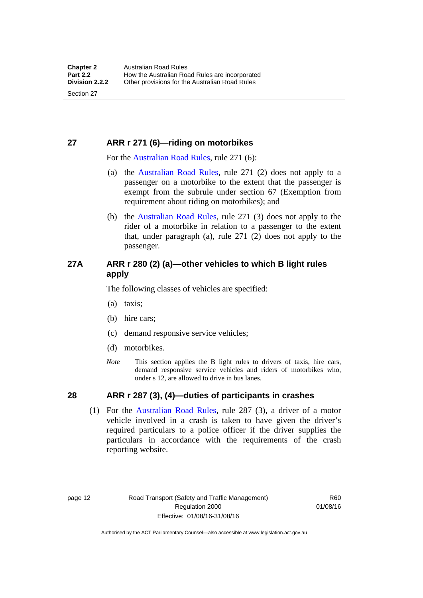### <span id="page-28-0"></span>**27 ARR r 271 (6)—riding on motorbikes**

For the [Australian Road Rules,](http://www.legislation.act.gov.au//ni/db_37271/default.asp) rule 271 (6):

- (a) the [Australian Road Rules](http://www.legislation.act.gov.au//ni/db_37271/default.asp), rule 271 (2) does not apply to a passenger on a motorbike to the extent that the passenger is exempt from the subrule under section 67 (Exemption from requirement about riding on motorbikes); and
- (b) the [Australian Road Rules,](http://www.legislation.act.gov.au//ni/db_37271/default.asp) rule 271 (3) does not apply to the rider of a motorbike in relation to a passenger to the extent that, under paragraph (a), rule 271 (2) does not apply to the passenger.

#### <span id="page-28-1"></span>**27A ARR r 280 (2) (a)—other vehicles to which B light rules apply**

The following classes of vehicles are specified:

- (a) taxis;
- (b) hire cars;
- (c) demand responsive service vehicles;
- (d) motorbikes.
- *Note* This section applies the B light rules to drivers of taxis, hire cars, demand responsive service vehicles and riders of motorbikes who, under s 12, are allowed to drive in bus lanes.

#### <span id="page-28-2"></span>**28 ARR r 287 (3), (4)—duties of participants in crashes**

 (1) For the [Australian Road Rules,](http://www.legislation.act.gov.au//ni/db_37271/default.asp) rule 287 (3), a driver of a motor vehicle involved in a crash is taken to have given the driver's required particulars to a police officer if the driver supplies the particulars in accordance with the requirements of the crash reporting website.

page 12 Road Transport (Safety and Traffic Management) Regulation 2000 Effective: 01/08/16-31/08/16

R60 01/08/16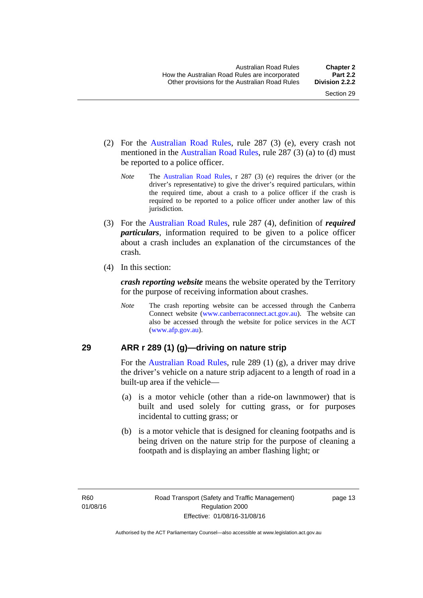- (2) For the [Australian Road Rules,](http://www.legislation.act.gov.au//ni/db_37271/default.asp) rule 287 (3) (e), every crash not mentioned in the [Australian Road Rules,](http://www.legislation.act.gov.au//ni/db_37271/default.asp) rule 287 (3) (a) to (d) must be reported to a police officer.
	- *Note* The [Australian Road Rules,](http://www.legislation.act.gov.au//ni/db_37271/default.asp) r 287 (3) (e) requires the driver (or the driver's representative) to give the driver's required particulars, within the required time, about a crash to a police officer if the crash is required to be reported to a police officer under another law of this jurisdiction.
- (3) For the [Australian Road Rules](http://www.legislation.act.gov.au//ni/db_37271/default.asp), rule 287 (4), definition of *required particulars*, information required to be given to a police officer about a crash includes an explanation of the circumstances of the crash.
- (4) In this section:

*crash reporting website* means the website operated by the Territory for the purpose of receiving information about crashes.

*Note* The crash reporting website can be accessed through the Canberra Connect website [\(www.canberraconnect.act.gov.au\)](http://www.canberraconnect.act.gov.au/). The website can also be accessed through the website for police services in the ACT [\(www.afp.gov.au\)](http://www.afp.gov.au/).

#### <span id="page-29-0"></span>**29 ARR r 289 (1) (g)—driving on nature strip**

For the [Australian Road Rules,](http://www.legislation.act.gov.au//ni/db_37271/default.asp) rule 289 (1) (g), a driver may drive the driver's vehicle on a nature strip adjacent to a length of road in a built-up area if the vehicle—

- (a) is a motor vehicle (other than a ride-on lawnmower) that is built and used solely for cutting grass, or for purposes incidental to cutting grass; or
- (b) is a motor vehicle that is designed for cleaning footpaths and is being driven on the nature strip for the purpose of cleaning a footpath and is displaying an amber flashing light; or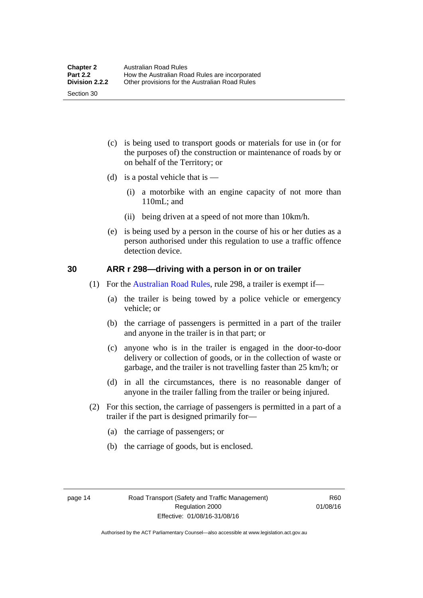(c) is being used to transport goods or materials for use in (or for the purposes of) the construction or maintenance of roads by or on behalf of the Territory; or

- (d) is a postal vehicle that is  $-$ 
	- (i) a motorbike with an engine capacity of not more than 110mL; and
	- (ii) being driven at a speed of not more than 10km/h.
- (e) is being used by a person in the course of his or her duties as a person authorised under this regulation to use a traffic offence detection device.

#### <span id="page-30-0"></span>**30 ARR r 298—driving with a person in or on trailer**

- (1) For the [Australian Road Rules,](http://www.legislation.act.gov.au//ni/db_37271/default.asp) rule 298, a trailer is exempt if—
	- (a) the trailer is being towed by a police vehicle or emergency vehicle; or
	- (b) the carriage of passengers is permitted in a part of the trailer and anyone in the trailer is in that part; or
	- (c) anyone who is in the trailer is engaged in the door-to-door delivery or collection of goods, or in the collection of waste or garbage, and the trailer is not travelling faster than 25 km/h; or
	- (d) in all the circumstances, there is no reasonable danger of anyone in the trailer falling from the trailer or being injured.
- (2) For this section, the carriage of passengers is permitted in a part of a trailer if the part is designed primarily for—
	- (a) the carriage of passengers; or
	- (b) the carriage of goods, but is enclosed.

Section 30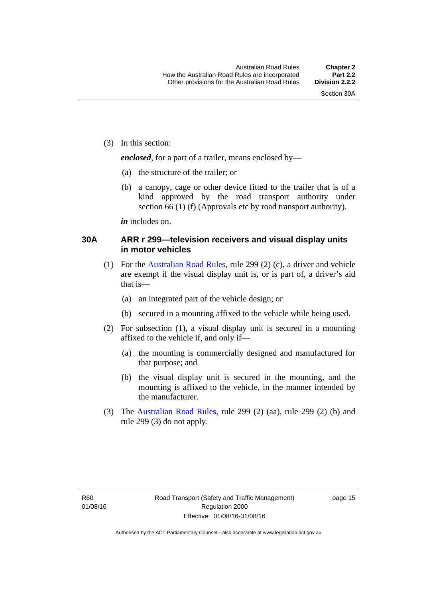(3) In this section:

*enclosed*, for a part of a trailer, means enclosed by—

- (a) the structure of the trailer; or
- (b) a canopy, cage or other device fitted to the trailer that is of a kind approved by the road transport authority under section 66 (1) (f) (Approvals etc by road transport authority).

*in* includes on.

#### <span id="page-31-0"></span>**30A ARR r 299—television receivers and visual display units in motor vehicles**

- (1) For the [Australian Road Rules,](http://www.legislation.act.gov.au//ni/db_37271/default.asp) rule 299 (2) (c), a driver and vehicle are exempt if the visual display unit is, or is part of, a driver's aid that is—
	- (a) an integrated part of the vehicle design; or
	- (b) secured in a mounting affixed to the vehicle while being used.
- (2) For subsection (1), a visual display unit is secured in a mounting affixed to the vehicle if, and only if—
	- (a) the mounting is commercially designed and manufactured for that purpose; and
	- (b) the visual display unit is secured in the mounting, and the mounting is affixed to the vehicle, in the manner intended by the manufacturer.
- (3) The [Australian Road Rules](http://www.legislation.act.gov.au//ni/db_37271/default.asp), rule 299 (2) (aa), rule 299 (2) (b) and rule 299 (3) do not apply.

page 15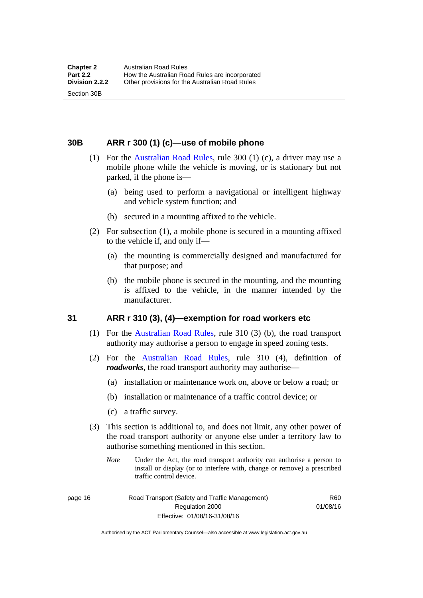Section 30B

<span id="page-32-0"></span>**30B ARR r 300 (1) (c)—use of mobile phone** 

- (1) For the [Australian Road Rules,](http://www.legislation.act.gov.au//ni/db_37271/default.asp) rule 300 (1) (c), a driver may use a mobile phone while the vehicle is moving, or is stationary but not parked, if the phone is—
	- (a) being used to perform a navigational or intelligent highway and vehicle system function; and
	- (b) secured in a mounting affixed to the vehicle.
- (2) For subsection (1), a mobile phone is secured in a mounting affixed to the vehicle if, and only if—
	- (a) the mounting is commercially designed and manufactured for that purpose; and
	- (b) the mobile phone is secured in the mounting, and the mounting is affixed to the vehicle, in the manner intended by the manufacturer.

#### <span id="page-32-1"></span>**31 ARR r 310 (3), (4)—exemption for road workers etc**

- (1) For the [Australian Road Rules](http://www.legislation.act.gov.au//ni/db_37271/default.asp), rule 310 (3) (b), the road transport authority may authorise a person to engage in speed zoning tests.
- (2) For the [Australian Road Rules,](http://www.legislation.act.gov.au//ni/db_37271/default.asp) rule 310 (4), definition of *roadworks*, the road transport authority may authorise—
	- (a) installation or maintenance work on, above or below a road; or
	- (b) installation or maintenance of a traffic control device; or
	- (c) a traffic survey.
- (3) This section is additional to, and does not limit, any other power of the road transport authority or anyone else under a territory law to authorise something mentioned in this section.
	- *Note* Under the Act, the road transport authority can authorise a person to install or display (or to interfere with, change or remove) a prescribed traffic control device.

page 16 Road Transport (Safety and Traffic Management) Regulation 2000 Effective: 01/08/16-31/08/16

R60 01/08/16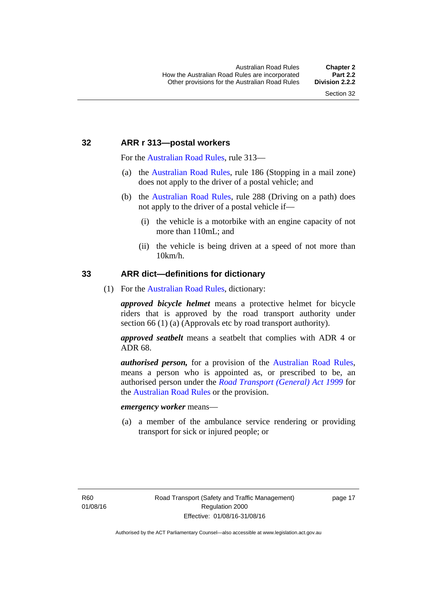#### <span id="page-33-0"></span>**32 ARR r 313—postal workers**

For the [Australian Road Rules](http://www.legislation.act.gov.au//ni/db_37271/default.asp), rule 313—

- (a) the [Australian Road Rules,](http://www.legislation.act.gov.au//ni/db_37271/default.asp) rule 186 (Stopping in a mail zone) does not apply to the driver of a postal vehicle; and
- (b) the [Australian Road Rules](http://www.legislation.act.gov.au//ni/db_37271/default.asp), rule 288 (Driving on a path) does not apply to the driver of a postal vehicle if—
	- (i) the vehicle is a motorbike with an engine capacity of not more than 110mL; and
	- (ii) the vehicle is being driven at a speed of not more than 10km/h.

#### <span id="page-33-1"></span>**33 ARR dict—definitions for dictionary**

(1) For the [Australian Road Rules](http://www.legislation.act.gov.au//ni/db_37271/default.asp), dictionary:

*approved bicycle helmet* means a protective helmet for bicycle riders that is approved by the road transport authority under section 66 (1) (a) (Approvals etc by road transport authority).

*approved seatbelt* means a seatbelt that complies with ADR 4 or ADR 68.

*authorised person,* for a provision of the [Australian Road Rules](http://www.legislation.act.gov.au//ni/db_37271/default.asp), means a person who is appointed as, or prescribed to be, an authorised person under the *[Road Transport \(General\) Act 1999](http://www.legislation.act.gov.au/a/1999-77)* for the [Australian Road Rules](http://www.legislation.act.gov.au//ni/db_37271/default.asp) or the provision.

#### *emergency worker* means—

 (a) a member of the ambulance service rendering or providing transport for sick or injured people; or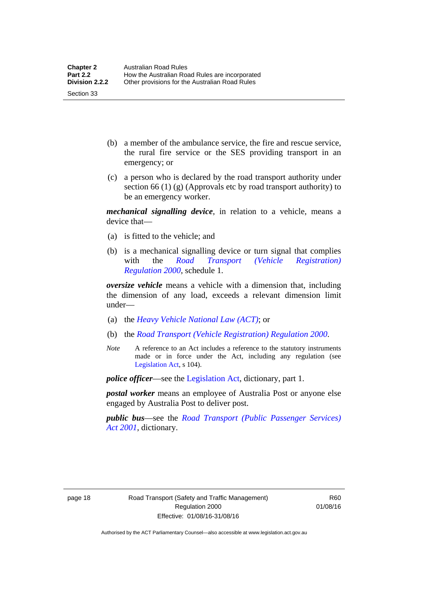- (b) a member of the ambulance service, the fire and rescue service, the rural fire service or the SES providing transport in an emergency; or
- (c) a person who is declared by the road transport authority under section 66 (1) (g) (Approvals etc by road transport authority) to be an emergency worker.

*mechanical signalling device*, in relation to a vehicle, means a device that—

- (a) is fitted to the vehicle; and
- (b) is a mechanical signalling device or turn signal that complies with the *[Road Transport \(Vehicle Registration\)](http://www.legislation.act.gov.au/sl/2000-12)  [Regulation 2000](http://www.legislation.act.gov.au/sl/2000-12)*, schedule 1.

*oversize vehicle* means a vehicle with a dimension that, including the dimension of any load, exceeds a relevant dimension limit under—

- (a) the *[Heavy Vehicle National Law \(ACT\)](http://www.legislation.act.gov.au/a/db_49155/default.asp)*; or
- (b) the *[Road Transport \(Vehicle Registration\) Regulation 2000](http://www.legislation.act.gov.au/sl/2000-12)*.
- *Note* A reference to an Act includes a reference to the statutory instruments made or in force under the Act, including any regulation (see [Legislation Act,](http://www.legislation.act.gov.au/a/2001-14) s 104).

*police officer*—see the [Legislation Act](http://www.legislation.act.gov.au/a/2001-14), dictionary, part 1.

*postal worker* means an employee of Australia Post or anyone else engaged by Australia Post to deliver post.

*public bus*—see the *[Road Transport \(Public Passenger Services\)](http://www.legislation.act.gov.au/a/2001-62)  [Act 2001](http://www.legislation.act.gov.au/a/2001-62)*, dictionary.

Section 33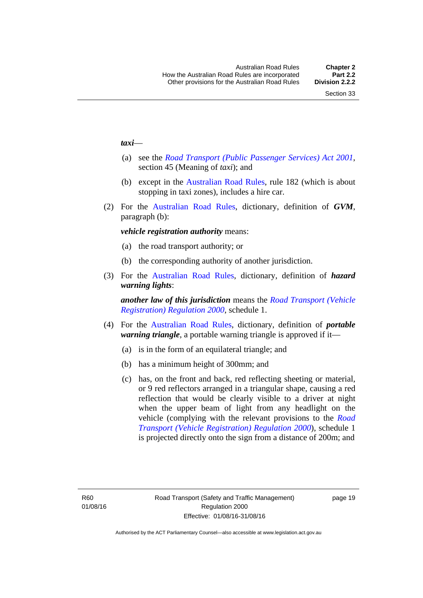#### *taxi*—

- (a) see the *[Road Transport \(Public Passenger Services\) Act 2001](http://www.legislation.act.gov.au/a/2001-62)*, section 45 (Meaning of *taxi*); and
- (b) except in the [Australian Road Rules,](http://www.legislation.act.gov.au//ni/db_37271/default.asp) rule 182 (which is about stopping in taxi zones), includes a hire car.
- (2) For the [Australian Road Rules](http://www.legislation.act.gov.au//ni/db_37271/default.asp), dictionary, definition of *GVM*, paragraph (b):

#### *vehicle registration authority* means:

- (a) the road transport authority; or
- (b) the corresponding authority of another jurisdiction.
- (3) For the [Australian Road Rules,](http://www.legislation.act.gov.au//ni/db_37271/default.asp) dictionary, definition of *hazard warning lights*:

*another law of this jurisdiction* means the *[Road Transport \(Vehicle](http://www.legislation.act.gov.au/sl/2000-12)  [Registration\) Regulation 2000](http://www.legislation.act.gov.au/sl/2000-12)*, schedule 1.

- (4) For the [Australian Road Rules](http://www.legislation.act.gov.au//ni/db_37271/default.asp), dictionary, definition of *portable warning triangle*, a portable warning triangle is approved if it—
	- (a) is in the form of an equilateral triangle; and
	- (b) has a minimum height of 300mm; and
	- (c) has, on the front and back, red reflecting sheeting or material, or 9 red reflectors arranged in a triangular shape, causing a red reflection that would be clearly visible to a driver at night when the upper beam of light from any headlight on the vehicle (complying with the relevant provisions to the *[Road](http://www.legislation.act.gov.au/sl/2000-12)  [Transport \(Vehicle Registration\) Regulation 2000](http://www.legislation.act.gov.au/sl/2000-12)*), schedule 1 is projected directly onto the sign from a distance of 200m; and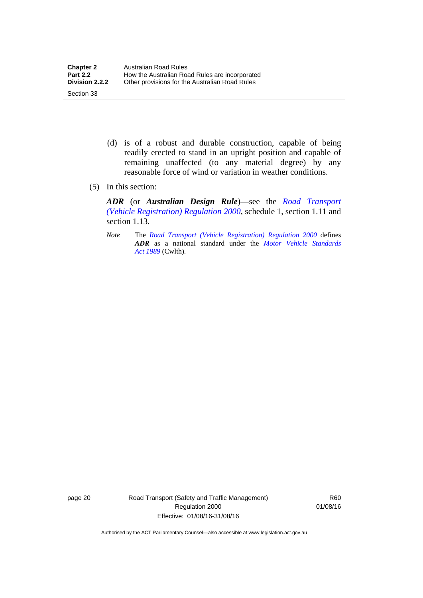- (d) is of a robust and durable construction, capable of being readily erected to stand in an upright position and capable of remaining unaffected (to any material degree) by any reasonable force of wind or variation in weather conditions.
- (5) In this section:

Section 33

*ADR* (or *Australian Design Rule*)—see the *[Road Transport](http://www.legislation.act.gov.au/sl/2000-12)  [\(Vehicle Registration\) Regulation 2000](http://www.legislation.act.gov.au/sl/2000-12)*, schedule 1, section 1.11 and section 1.13.

*Note* The *[Road Transport \(Vehicle Registration\) Regulation 2000](http://www.legislation.act.gov.au/sl/2000-12)* defines *ADR* as a national standard under the *[Motor Vehicle Standards](http://www.comlaw.gov.au/Series/C2004A03813)  [Act 1989](http://www.comlaw.gov.au/Series/C2004A03813)* (Cwlth).

page 20 Road Transport (Safety and Traffic Management) Regulation 2000 Effective: 01/08/16-31/08/16

R60 01/08/16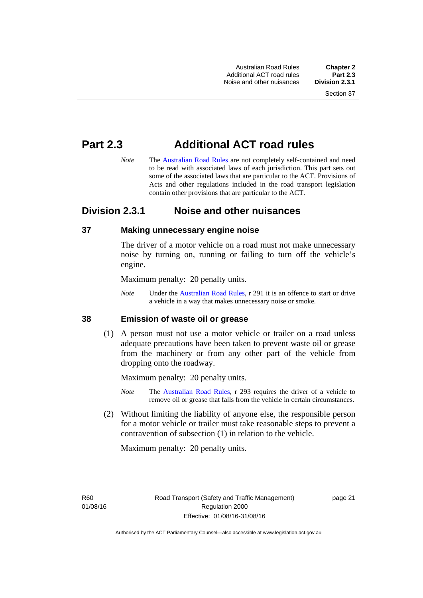Australian Road Rules **Chapter 2** Additional ACT road rules **Part 2.3** Noise and other nuisances

# **Part 2.3 Additional ACT road rules**

*Note* The [Australian Road Rules](http://www.legislation.act.gov.au//ni/db_37271/default.asp) are not completely self-contained and need to be read with associated laws of each jurisdiction. This part sets out some of the associated laws that are particular to the ACT. Provisions of Acts and other regulations included in the road transport legislation contain other provisions that are particular to the ACT.

# **Division 2.3.1 Noise and other nuisances**

# **37 Making unnecessary engine noise**

The driver of a motor vehicle on a road must not make unnecessary noise by turning on, running or failing to turn off the vehicle's engine.

Maximum penalty: 20 penalty units.

*Note* Under the [Australian Road Rules,](http://www.legislation.act.gov.au//ni/db_37271/default.asp) r 291 it is an offence to start or drive a vehicle in a way that makes unnecessary noise or smoke.

# **38 Emission of waste oil or grease**

 (1) A person must not use a motor vehicle or trailer on a road unless adequate precautions have been taken to prevent waste oil or grease from the machinery or from any other part of the vehicle from dropping onto the roadway.

Maximum penalty: 20 penalty units.

- *Note* The [Australian Road Rules,](http://www.legislation.act.gov.au//ni/db_37271/default.asp) r 293 requires the driver of a vehicle to remove oil or grease that falls from the vehicle in certain circumstances.
- (2) Without limiting the liability of anyone else, the responsible person for a motor vehicle or trailer must take reasonable steps to prevent a contravention of subsection (1) in relation to the vehicle.

Maximum penalty: 20 penalty units.

R60 01/08/16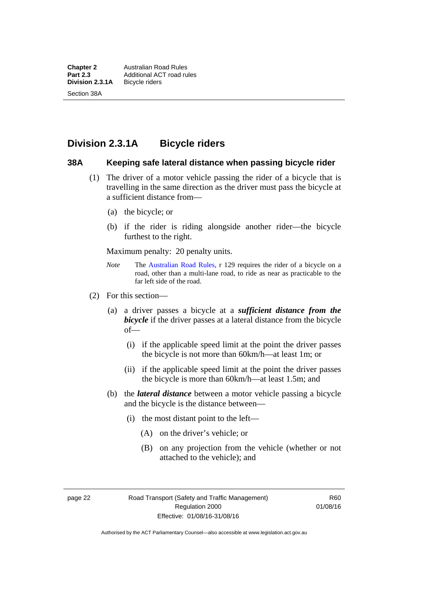# **Division 2.3.1A Bicycle riders**

### **38A Keeping safe lateral distance when passing bicycle rider**

- (1) The driver of a motor vehicle passing the rider of a bicycle that is travelling in the same direction as the driver must pass the bicycle at a sufficient distance from—
	- (a) the bicycle; or
	- (b) if the rider is riding alongside another rider—the bicycle furthest to the right.

Maximum penalty: 20 penalty units.

- *Note* **The [Australian Road Rules](http://www.legislation.act.gov.au//ni/db_37271/default.asp), r 129 requires the rider of a bicycle on a** road, other than a multi-lane road, to ride as near as practicable to the far left side of the road.
- (2) For this section—
	- (a) a driver passes a bicycle at a *sufficient distance from the bicycle* if the driver passes at a lateral distance from the bicycle of—
		- (i) if the applicable speed limit at the point the driver passes the bicycle is not more than 60km/h—at least 1m; or
		- (ii) if the applicable speed limit at the point the driver passes the bicycle is more than 60km/h—at least 1.5m; and
	- (b) the *lateral distance* between a motor vehicle passing a bicycle and the bicycle is the distance between—
		- (i) the most distant point to the left—
			- (A) on the driver's vehicle; or
			- (B) on any projection from the vehicle (whether or not attached to the vehicle); and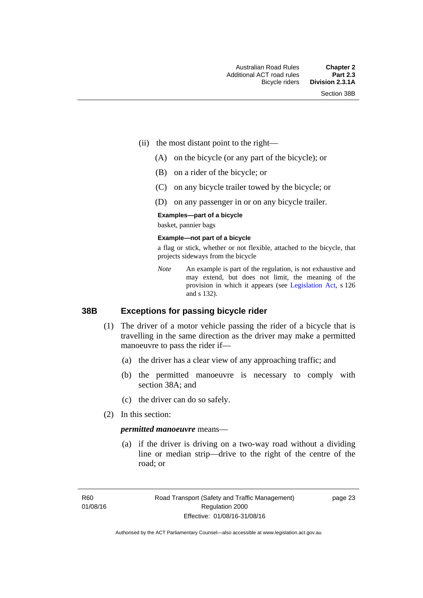- (ii) the most distant point to the right—
	- (A) on the bicycle (or any part of the bicycle); or
	- (B) on a rider of the bicycle; or
	- (C) on any bicycle trailer towed by the bicycle; or
	- (D) on any passenger in or on any bicycle trailer.

#### **Examples—part of a bicycle**

basket, pannier bags

#### **Example—not part of a bicycle**

a flag or stick, whether or not flexible, attached to the bicycle, that projects sideways from the bicycle

*Note* An example is part of the regulation, is not exhaustive and may extend, but does not limit, the meaning of the provision in which it appears (see [Legislation Act,](http://www.legislation.act.gov.au/a/2001-14) s 126 and s 132).

### **38B Exceptions for passing bicycle rider**

- (1) The driver of a motor vehicle passing the rider of a bicycle that is travelling in the same direction as the driver may make a permitted manoeuvre to pass the rider if—
	- (a) the driver has a clear view of any approaching traffic; and
	- (b) the permitted manoeuvre is necessary to comply with section 38A; and
	- (c) the driver can do so safely.
- (2) In this section:

#### *permitted manoeuvre* means—

 (a) if the driver is driving on a two-way road without a dividing line or median strip—drive to the right of the centre of the road; or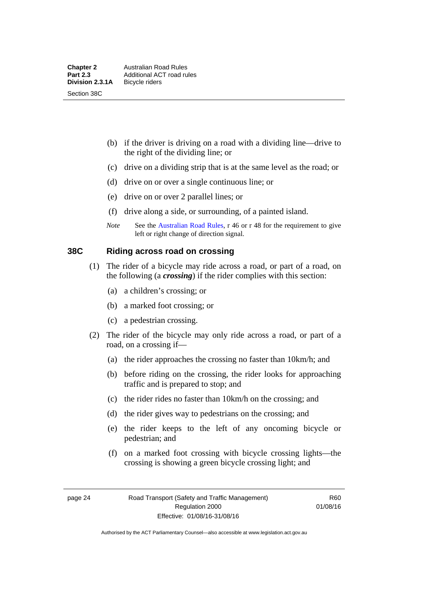- (b) if the driver is driving on a road with a dividing line—drive to the right of the dividing line; or
- (c) drive on a dividing strip that is at the same level as the road; or
- (d) drive on or over a single continuous line; or
- (e) drive on or over 2 parallel lines; or
- (f) drive along a side, or surrounding, of a painted island.
- *Note* See the [Australian Road Rules](http://www.legislation.act.gov.au//ni/db_37271/default.asp), r 46 or r 48 for the requirement to give left or right change of direction signal.

# **38C Riding across road on crossing**

- (1) The rider of a bicycle may ride across a road, or part of a road, on the following (a *crossing*) if the rider complies with this section:
	- (a) a children's crossing; or
	- (b) a marked foot crossing; or
	- (c) a pedestrian crossing.
- (2) The rider of the bicycle may only ride across a road, or part of a road, on a crossing if—
	- (a) the rider approaches the crossing no faster than 10km/h; and
	- (b) before riding on the crossing, the rider looks for approaching traffic and is prepared to stop; and
	- (c) the rider rides no faster than 10km/h on the crossing; and
	- (d) the rider gives way to pedestrians on the crossing; and
	- (e) the rider keeps to the left of any oncoming bicycle or pedestrian; and
	- (f) on a marked foot crossing with bicycle crossing lights—the crossing is showing a green bicycle crossing light; and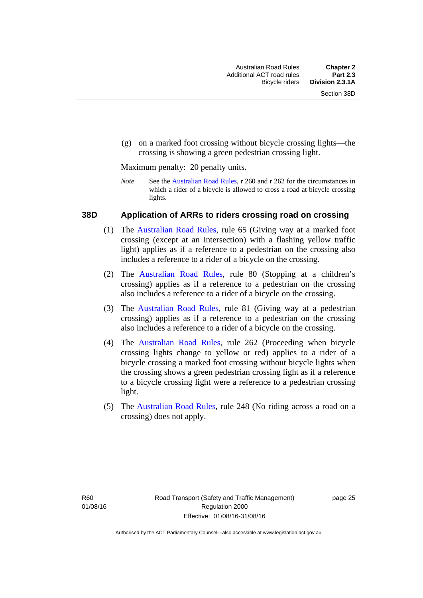(g) on a marked foot crossing without bicycle crossing lights—the crossing is showing a green pedestrian crossing light.

Maximum penalty: 20 penalty units.

*Note* See the [Australian Road Rules](http://www.legislation.act.gov.au//ni/db_37271/default.asp), r 260 and r 262 for the circumstances in which a rider of a bicycle is allowed to cross a road at bicycle crossing lights.

### **38D Application of ARRs to riders crossing road on crossing**

- (1) The [Australian Road Rules,](http://www.legislation.act.gov.au//ni/db_37271/default.asp) rule 65 (Giving way at a marked foot crossing (except at an intersection) with a flashing yellow traffic light) applies as if a reference to a pedestrian on the crossing also includes a reference to a rider of a bicycle on the crossing.
- (2) The [Australian Road Rules](http://www.legislation.act.gov.au//ni/db_37271/default.asp), rule 80 (Stopping at a children's crossing) applies as if a reference to a pedestrian on the crossing also includes a reference to a rider of a bicycle on the crossing.
- (3) The [Australian Road Rules,](http://www.legislation.act.gov.au//ni/db_37271/default.asp) rule 81 (Giving way at a pedestrian crossing) applies as if a reference to a pedestrian on the crossing also includes a reference to a rider of a bicycle on the crossing.
- (4) The [Australian Road Rules](http://www.legislation.act.gov.au//ni/db_37271/default.asp), rule 262 (Proceeding when bicycle crossing lights change to yellow or red) applies to a rider of a bicycle crossing a marked foot crossing without bicycle lights when the crossing shows a green pedestrian crossing light as if a reference to a bicycle crossing light were a reference to a pedestrian crossing light.
- (5) The [Australian Road Rules](http://www.legislation.act.gov.au//ni/db_37271/default.asp), rule 248 (No riding across a road on a crossing) does not apply.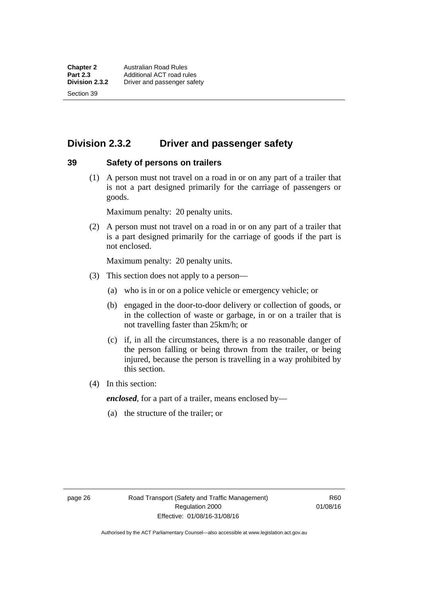Section 39

# **Division 2.3.2 Driver and passenger safety**

### **39 Safety of persons on trailers**

 (1) A person must not travel on a road in or on any part of a trailer that is not a part designed primarily for the carriage of passengers or goods.

Maximum penalty: 20 penalty units.

 (2) A person must not travel on a road in or on any part of a trailer that is a part designed primarily for the carriage of goods if the part is not enclosed.

Maximum penalty: 20 penalty units.

- (3) This section does not apply to a person—
	- (a) who is in or on a police vehicle or emergency vehicle; or
	- (b) engaged in the door-to-door delivery or collection of goods, or in the collection of waste or garbage, in or on a trailer that is not travelling faster than 25km/h; or
	- (c) if, in all the circumstances, there is a no reasonable danger of the person falling or being thrown from the trailer, or being injured, because the person is travelling in a way prohibited by this section.
- (4) In this section:

*enclosed*, for a part of a trailer, means enclosed by—

(a) the structure of the trailer; or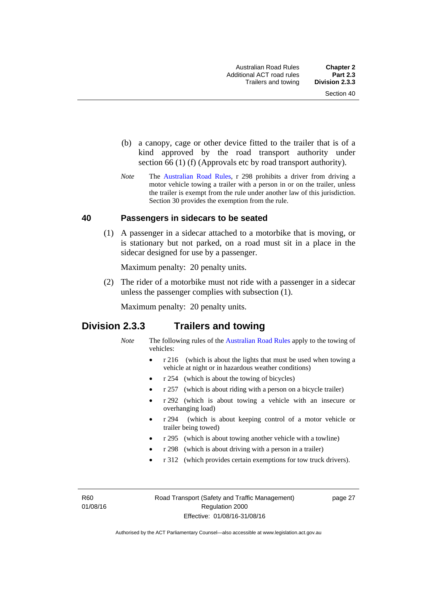- (b) a canopy, cage or other device fitted to the trailer that is of a kind approved by the road transport authority under section 66 (1) (f) (Approvals etc by road transport authority).
- *Note* The [Australian Road Rules](http://www.legislation.act.gov.au//ni/db_37271/default.asp), r 298 prohibits a driver from driving a motor vehicle towing a trailer with a person in or on the trailer, unless the trailer is exempt from the rule under another law of this jurisdiction. Section 30 provides the exemption from the rule.

# **40 Passengers in sidecars to be seated**

 (1) A passenger in a sidecar attached to a motorbike that is moving, or is stationary but not parked, on a road must sit in a place in the sidecar designed for use by a passenger.

Maximum penalty: 20 penalty units.

 (2) The rider of a motorbike must not ride with a passenger in a sidecar unless the passenger complies with subsection (1).

Maximum penalty: 20 penalty units.

# **Division 2.3.3 Trailers and towing**

- *Note* The following rules of the [Australian Road Rules](http://www.legislation.act.gov.au//ni/db_37271/default.asp) apply to the towing of vehicles:
	- r 216 (which is about the lights that must be used when towing a vehicle at night or in hazardous weather conditions)
	- r 254 (which is about the towing of bicycles)
	- r 257 (which is about riding with a person on a bicycle trailer)
	- r 292 (which is about towing a vehicle with an insecure or overhanging load)
	- r 294 (which is about keeping control of a motor vehicle or trailer being towed)
	- r 295 (which is about towing another vehicle with a towline)
	- r 298 (which is about driving with a person in a trailer)
	- r 312 (which provides certain exemptions for tow truck drivers).

R<sub>60</sub> 01/08/16 page 27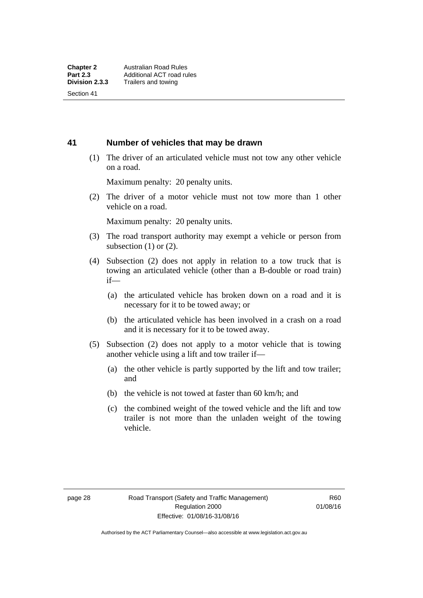Section 41

# **41 Number of vehicles that may be drawn**

 (1) The driver of an articulated vehicle must not tow any other vehicle on a road.

Maximum penalty: 20 penalty units.

 (2) The driver of a motor vehicle must not tow more than 1 other vehicle on a road.

Maximum penalty: 20 penalty units.

- (3) The road transport authority may exempt a vehicle or person from subsection  $(1)$  or  $(2)$ .
- (4) Subsection (2) does not apply in relation to a tow truck that is towing an articulated vehicle (other than a B-double or road train) if—
	- (a) the articulated vehicle has broken down on a road and it is necessary for it to be towed away; or
	- (b) the articulated vehicle has been involved in a crash on a road and it is necessary for it to be towed away.
- (5) Subsection (2) does not apply to a motor vehicle that is towing another vehicle using a lift and tow trailer if—
	- (a) the other vehicle is partly supported by the lift and tow trailer; and
	- (b) the vehicle is not towed at faster than 60 km/h; and
	- (c) the combined weight of the towed vehicle and the lift and tow trailer is not more than the unladen weight of the towing vehicle.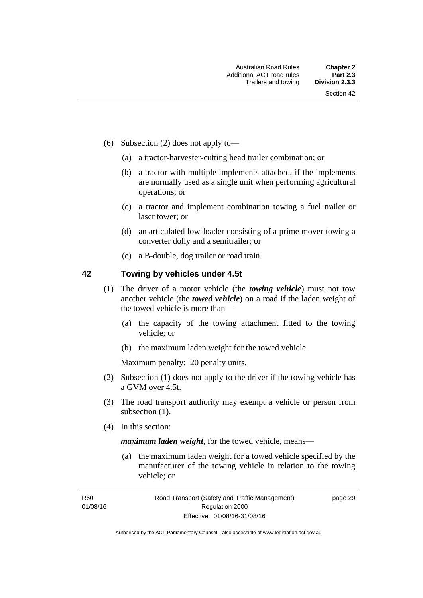- (6) Subsection (2) does not apply to—
	- (a) a tractor-harvester-cutting head trailer combination; or
	- (b) a tractor with multiple implements attached, if the implements are normally used as a single unit when performing agricultural operations; or
	- (c) a tractor and implement combination towing a fuel trailer or laser tower; or
	- (d) an articulated low-loader consisting of a prime mover towing a converter dolly and a semitrailer; or
	- (e) a B-double, dog trailer or road train.

# **42 Towing by vehicles under 4.5t**

- (1) The driver of a motor vehicle (the *towing vehicle*) must not tow another vehicle (the *towed vehicle*) on a road if the laden weight of the towed vehicle is more than—
	- (a) the capacity of the towing attachment fitted to the towing vehicle; or
	- (b) the maximum laden weight for the towed vehicle.

Maximum penalty: 20 penalty units.

- (2) Subsection (1) does not apply to the driver if the towing vehicle has a GVM over 4.5t.
- (3) The road transport authority may exempt a vehicle or person from subsection  $(1)$ .
- (4) In this section:

*maximum laden weight*, for the towed vehicle, means—

 (a) the maximum laden weight for a towed vehicle specified by the manufacturer of the towing vehicle in relation to the towing vehicle; or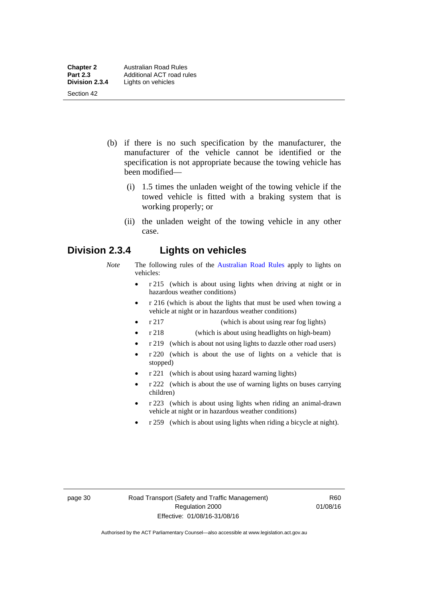- (b) if there is no such specification by the manufacturer, the manufacturer of the vehicle cannot be identified or the specification is not appropriate because the towing vehicle has been modified—
	- (i) 1.5 times the unladen weight of the towing vehicle if the towed vehicle is fitted with a braking system that is working properly; or
	- (ii) the unladen weight of the towing vehicle in any other case.

# **Division 2.3.4 Lights on vehicles**

- *Note* The following rules of the [Australian Road Rules](http://www.legislation.act.gov.au//ni/db_37271/default.asp) apply to lights on vehicles:
	- r 215 (which is about using lights when driving at night or in hazardous weather conditions)
	- r 216 (which is about the lights that must be used when towing a vehicle at night or in hazardous weather conditions)
	- r 217 (which is about using rear fog lights)
	- r 218 (which is about using headlights on high-beam)
	- r 219 (which is about not using lights to dazzle other road users)
	- r 220 (which is about the use of lights on a vehicle that is stopped)
	- r 221 (which is about using hazard warning lights)
	- r 222 (which is about the use of warning lights on buses carrying children)
	- r 223 (which is about using lights when riding an animal-drawn vehicle at night or in hazardous weather conditions)
	- r 259 (which is about using lights when riding a bicycle at night).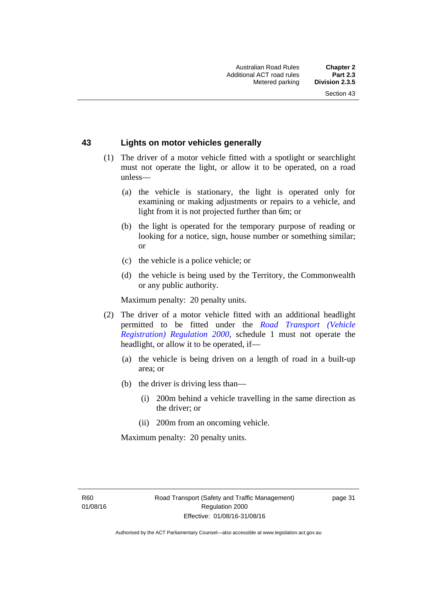# **43 Lights on motor vehicles generally**

- (1) The driver of a motor vehicle fitted with a spotlight or searchlight must not operate the light, or allow it to be operated, on a road unless—
	- (a) the vehicle is stationary, the light is operated only for examining or making adjustments or repairs to a vehicle, and light from it is not projected further than 6m; or
	- (b) the light is operated for the temporary purpose of reading or looking for a notice, sign, house number or something similar; or
	- (c) the vehicle is a police vehicle; or
	- (d) the vehicle is being used by the Territory, the Commonwealth or any public authority.

Maximum penalty: 20 penalty units.

- (2) The driver of a motor vehicle fitted with an additional headlight permitted to be fitted under the *[Road Transport \(Vehicle](http://www.legislation.act.gov.au/sl/2000-12)  [Registration\) Regulation 2000](http://www.legislation.act.gov.au/sl/2000-12)*, schedule 1 must not operate the headlight, or allow it to be operated, if—
	- (a) the vehicle is being driven on a length of road in a built-up area; or
	- (b) the driver is driving less than—
		- (i) 200m behind a vehicle travelling in the same direction as the driver; or
		- (ii) 200m from an oncoming vehicle.

Maximum penalty: 20 penalty units.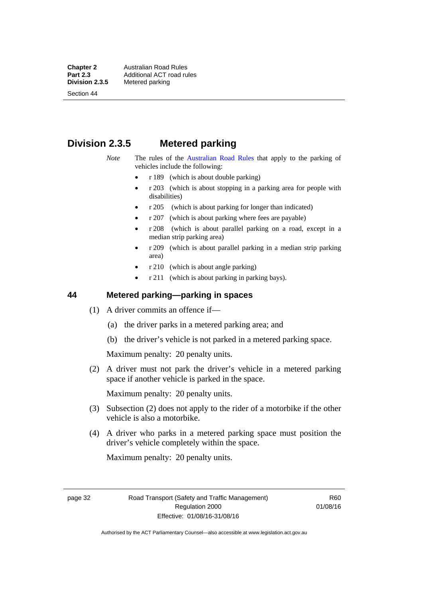**Chapter 2 Australian Road Rules**<br>**Part 2.3 Additional ACT road rules Part 2.3 Additional ACT road rules**<br>**Division 2.3.5** Metered parking

Section 44

# **Metered parking**

# **Division 2.3.5 Metered parking**

- *Note* The rules of the [Australian Road Rules](http://www.legislation.act.gov.au//ni/db_37271/default.asp) that apply to the parking of vehicles include the following:
	- r 189 (which is about double parking)
	- $r$  203 (which is about stopping in a parking area for people with disabilities)
	- r 205 (which is about parking for longer than indicated)
	- r 207 (which is about parking where fees are payable)
	- r 208 (which is about parallel parking on a road, except in a median strip parking area)
	- r 209 (which is about parallel parking in a median strip parking area)
	- r 210 (which is about angle parking)
	- r 211 (which is about parking in parking bays).

# **44 Metered parking—parking in spaces**

- (1) A driver commits an offence if—
	- (a) the driver parks in a metered parking area; and
	- (b) the driver's vehicle is not parked in a metered parking space.

Maximum penalty: 20 penalty units.

 (2) A driver must not park the driver's vehicle in a metered parking space if another vehicle is parked in the space.

Maximum penalty: 20 penalty units.

- (3) Subsection (2) does not apply to the rider of a motorbike if the other vehicle is also a motorbike.
- (4) A driver who parks in a metered parking space must position the driver's vehicle completely within the space.

Maximum penalty: 20 penalty units.

page 32 Road Transport (Safety and Traffic Management) Regulation 2000 Effective: 01/08/16-31/08/16

R60 01/08/16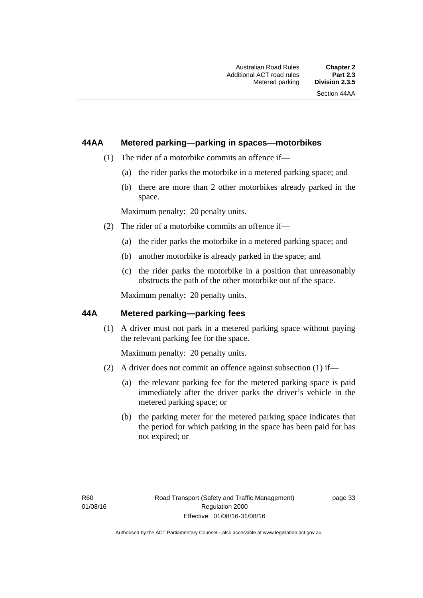# **44AA Metered parking—parking in spaces—motorbikes**

- (1) The rider of a motorbike commits an offence if—
	- (a) the rider parks the motorbike in a metered parking space; and
	- (b) there are more than 2 other motorbikes already parked in the space.

Maximum penalty: 20 penalty units.

- (2) The rider of a motorbike commits an offence if—
	- (a) the rider parks the motorbike in a metered parking space; and
	- (b) another motorbike is already parked in the space; and
	- (c) the rider parks the motorbike in a position that unreasonably obstructs the path of the other motorbike out of the space.

Maximum penalty: 20 penalty units.

# **44A Metered parking—parking fees**

(1) A driver must not park in a metered parking space without paying the relevant parking fee for the space.

Maximum penalty: 20 penalty units.

- (2) A driver does not commit an offence against subsection (1) if—
	- (a) the relevant parking fee for the metered parking space is paid immediately after the driver parks the driver's vehicle in the metered parking space; or
	- (b) the parking meter for the metered parking space indicates that the period for which parking in the space has been paid for has not expired; or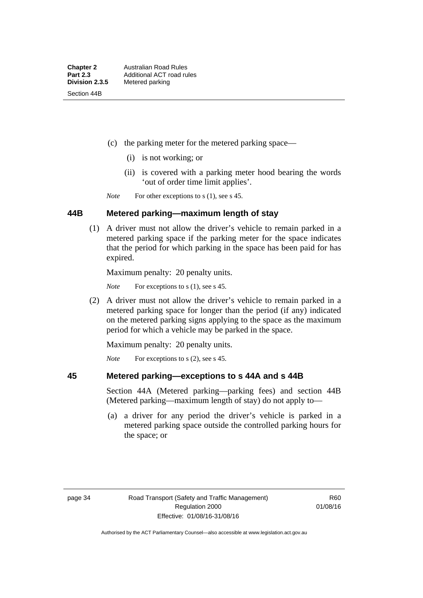- (c) the parking meter for the metered parking space—
	- (i) is not working; or
	- (ii) is covered with a parking meter hood bearing the words 'out of order time limit applies'.

*Note* For other exceptions to s (1), see s 45.

# **44B Metered parking—maximum length of stay**

 (1) A driver must not allow the driver's vehicle to remain parked in a metered parking space if the parking meter for the space indicates that the period for which parking in the space has been paid for has expired.

Maximum penalty: 20 penalty units.

*Note* For exceptions to s (1), see s 45.

 (2) A driver must not allow the driver's vehicle to remain parked in a metered parking space for longer than the period (if any) indicated on the metered parking signs applying to the space as the maximum period for which a vehicle may be parked in the space.

Maximum penalty: 20 penalty units.

*Note* For exceptions to s (2), see s 45.

### **45 Metered parking—exceptions to s 44A and s 44B**

Section 44A (Metered parking—parking fees) and section 44B (Metered parking—maximum length of stay) do not apply to—

 (a) a driver for any period the driver's vehicle is parked in a metered parking space outside the controlled parking hours for the space; or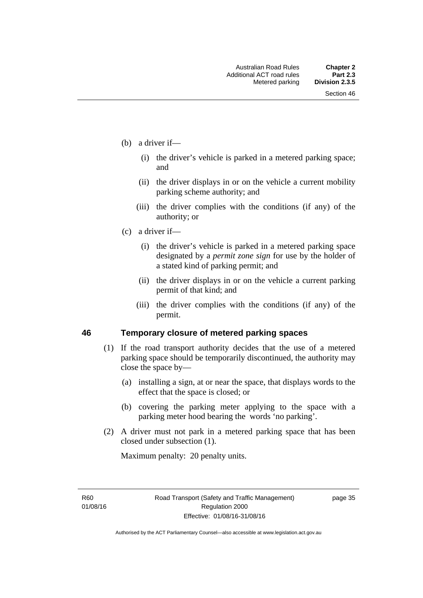- (b) a driver if—
	- (i) the driver's vehicle is parked in a metered parking space; and
	- (ii) the driver displays in or on the vehicle a current mobility parking scheme authority; and
	- (iii) the driver complies with the conditions (if any) of the authority; or
- (c) a driver if—
	- (i) the driver's vehicle is parked in a metered parking space designated by a *permit zone sign* for use by the holder of a stated kind of parking permit; and
	- (ii) the driver displays in or on the vehicle a current parking permit of that kind; and
	- (iii) the driver complies with the conditions (if any) of the permit.

# **46 Temporary closure of metered parking spaces**

- (1) If the road transport authority decides that the use of a metered parking space should be temporarily discontinued, the authority may close the space by—
	- (a) installing a sign, at or near the space, that displays words to the effect that the space is closed; or
	- (b) covering the parking meter applying to the space with a parking meter hood bearing the words 'no parking'.
- (2) A driver must not park in a metered parking space that has been closed under subsection (1).

Maximum penalty: 20 penalty units.

R60 01/08/16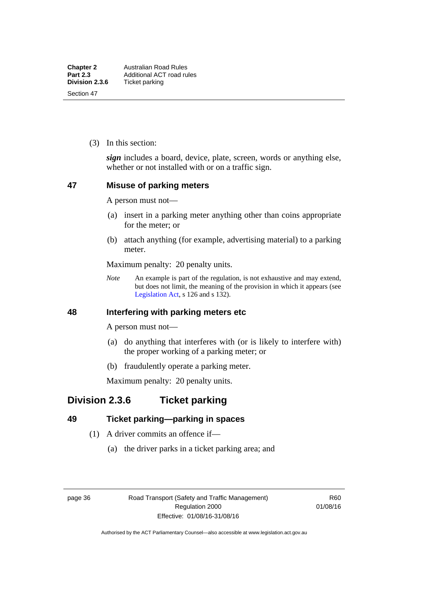(3) In this section:

*sign* includes a board, device, plate, screen, words or anything else, whether or not installed with or on a traffic sign.

# **47 Misuse of parking meters**

A person must not—

- (a) insert in a parking meter anything other than coins appropriate for the meter; or
- (b) attach anything (for example, advertising material) to a parking meter.

Maximum penalty: 20 penalty units.

*Note* An example is part of the regulation, is not exhaustive and may extend, but does not limit, the meaning of the provision in which it appears (see [Legislation Act,](http://www.legislation.act.gov.au/a/2001-14) s 126 and s 132).

# **48 Interfering with parking meters etc**

A person must not—

- (a) do anything that interferes with (or is likely to interfere with) the proper working of a parking meter; or
- (b) fraudulently operate a parking meter.

Maximum penalty: 20 penalty units.

# **Division 2.3.6 Ticket parking**

# **49 Ticket parking—parking in spaces**

- (1) A driver commits an offence if—
	- (a) the driver parks in a ticket parking area; and

page 36 Road Transport (Safety and Traffic Management) Regulation 2000 Effective: 01/08/16-31/08/16

R60 01/08/16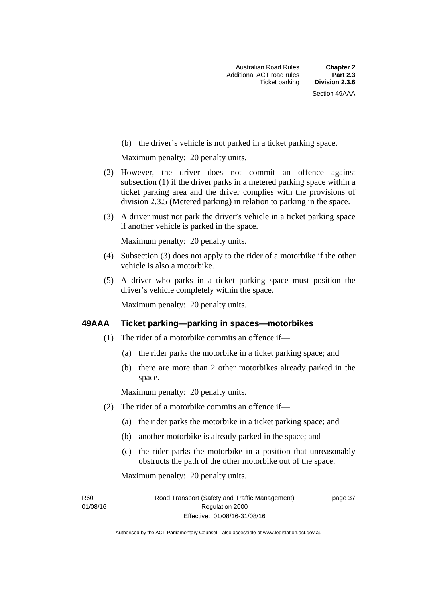(b) the driver's vehicle is not parked in a ticket parking space.

Maximum penalty: 20 penalty units.

- (2) However, the driver does not commit an offence against subsection (1) if the driver parks in a metered parking space within a ticket parking area and the driver complies with the provisions of division 2.3.5 (Metered parking) in relation to parking in the space.
- (3) A driver must not park the driver's vehicle in a ticket parking space if another vehicle is parked in the space.

Maximum penalty: 20 penalty units.

- (4) Subsection (3) does not apply to the rider of a motorbike if the other vehicle is also a motorbike.
- (5) A driver who parks in a ticket parking space must position the driver's vehicle completely within the space.

Maximum penalty: 20 penalty units.

### **49AAA Ticket parking—parking in spaces—motorbikes**

- (1) The rider of a motorbike commits an offence if—
	- (a) the rider parks the motorbike in a ticket parking space; and
	- (b) there are more than 2 other motorbikes already parked in the space.

Maximum penalty: 20 penalty units.

- (2) The rider of a motorbike commits an offence if—
	- (a) the rider parks the motorbike in a ticket parking space; and
	- (b) another motorbike is already parked in the space; and
	- (c) the rider parks the motorbike in a position that unreasonably obstructs the path of the other motorbike out of the space.

Maximum penalty: 20 penalty units.

R60 01/08/16 page 37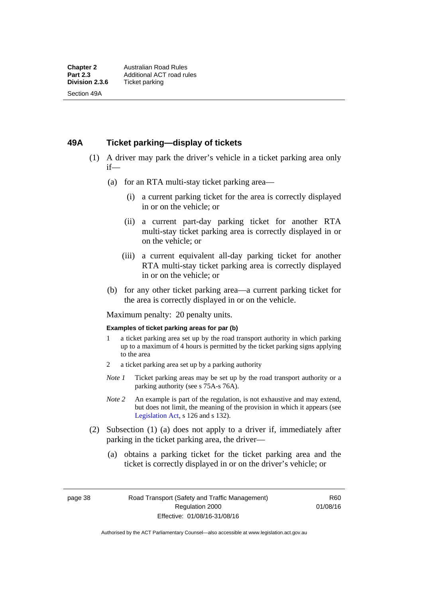# **49A Ticket parking—display of tickets**

- (1) A driver may park the driver's vehicle in a ticket parking area only if—
	- (a) for an RTA multi-stay ticket parking area—
		- (i) a current parking ticket for the area is correctly displayed in or on the vehicle; or
		- (ii) a current part-day parking ticket for another RTA multi-stay ticket parking area is correctly displayed in or on the vehicle; or
		- (iii) a current equivalent all-day parking ticket for another RTA multi-stay ticket parking area is correctly displayed in or on the vehicle; or
	- (b) for any other ticket parking area—a current parking ticket for the area is correctly displayed in or on the vehicle.

Maximum penalty: 20 penalty units.

#### **Examples of ticket parking areas for par (b)**

- 1 a ticket parking area set up by the road transport authority in which parking up to a maximum of 4 hours is permitted by the ticket parking signs applying to the area
- 2 a ticket parking area set up by a parking authority
- *Note 1* Ticket parking areas may be set up by the road transport authority or a parking authority (see s 75A-s 76A).
- *Note 2* An example is part of the regulation, is not exhaustive and may extend, but does not limit, the meaning of the provision in which it appears (see [Legislation Act,](http://www.legislation.act.gov.au/a/2001-14) s 126 and s 132).
- (2) Subsection (1) (a) does not apply to a driver if, immediately after parking in the ticket parking area, the driver—
	- (a) obtains a parking ticket for the ticket parking area and the ticket is correctly displayed in or on the driver's vehicle; or

page 38 Road Transport (Safety and Traffic Management) Regulation 2000 Effective: 01/08/16-31/08/16

R60 01/08/16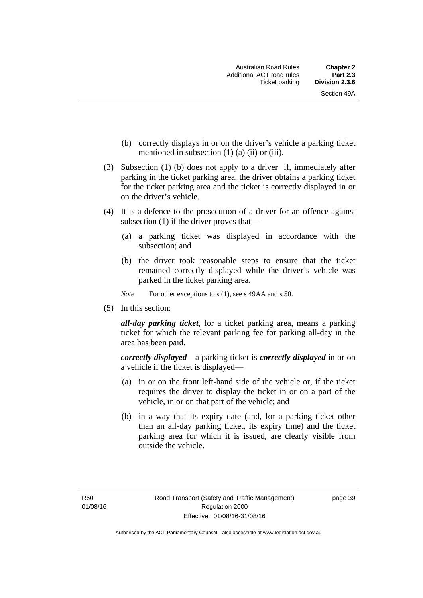- (b) correctly displays in or on the driver's vehicle a parking ticket mentioned in subsection  $(1)$   $(a)$   $(ii)$  or  $(iii)$ .
- (3) Subsection (1) (b) does not apply to a driver if, immediately after parking in the ticket parking area, the driver obtains a parking ticket for the ticket parking area and the ticket is correctly displayed in or on the driver's vehicle.
- (4) It is a defence to the prosecution of a driver for an offence against subsection (1) if the driver proves that—
	- (a) a parking ticket was displayed in accordance with the subsection; and
	- (b) the driver took reasonable steps to ensure that the ticket remained correctly displayed while the driver's vehicle was parked in the ticket parking area.
	- *Note* For other exceptions to s (1), see s 49AA and s 50.
- (5) In this section:

*all-day parking ticket*, for a ticket parking area, means a parking ticket for which the relevant parking fee for parking all-day in the area has been paid.

*correctly displayed*—a parking ticket is *correctly displayed* in or on a vehicle if the ticket is displayed—

- (a) in or on the front left-hand side of the vehicle or, if the ticket requires the driver to display the ticket in or on a part of the vehicle, in or on that part of the vehicle; and
- (b) in a way that its expiry date (and, for a parking ticket other than an all-day parking ticket, its expiry time) and the ticket parking area for which it is issued, are clearly visible from outside the vehicle.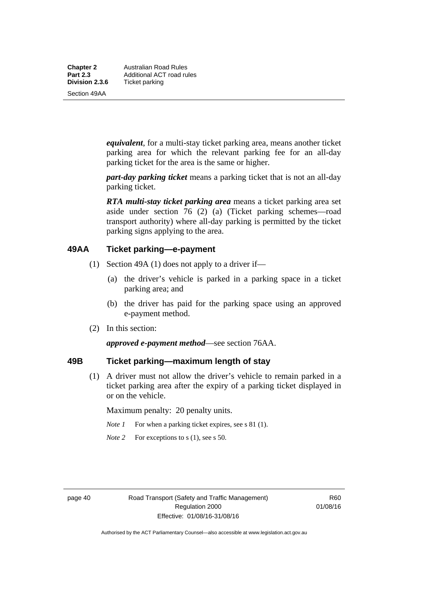**Chapter 2** Australian Road Rules<br>**Part 2.3** Additional ACT road ru **Part 2.3 Additional ACT road rules**<br>**Division 2.3.6** Ticket parking **Ticket parking** 

Section 49AA

*equivalent*, for a multi-stay ticket parking area, means another ticket parking area for which the relevant parking fee for an all-day parking ticket for the area is the same or higher.

*part-day parking ticket* means a parking ticket that is not an all-day parking ticket.

*RTA multi-stay ticket parking area* means a ticket parking area set aside under section 76 (2) (a) (Ticket parking schemes—road transport authority) where all-day parking is permitted by the ticket parking signs applying to the area.

# **49AA Ticket parking—e-payment**

- (1) Section 49A (1) does not apply to a driver if—
	- (a) the driver's vehicle is parked in a parking space in a ticket parking area; and
	- (b) the driver has paid for the parking space using an approved e-payment method.
- (2) In this section:

*approved e-payment method*—see section 76AA.

# **49B Ticket parking—maximum length of stay**

(1) A driver must not allow the driver's vehicle to remain parked in a ticket parking area after the expiry of a parking ticket displayed in or on the vehicle.

Maximum penalty: 20 penalty units.

- *Note 1* For when a parking ticket expires, see s 81 (1).
- *Note* 2 For exceptions to s (1), see s 50.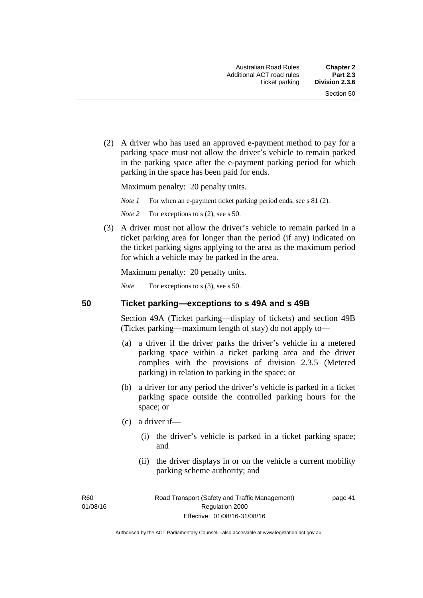(2) A driver who has used an approved e-payment method to pay for a parking space must not allow the driver's vehicle to remain parked in the parking space after the e-payment parking period for which parking in the space has been paid for ends.

Maximum penalty: 20 penalty units.

*Note 1* For when an e-payment ticket parking period ends, see s 81 (2).

*Note* 2 For exceptions to s (2), see s 50.

 (3) A driver must not allow the driver's vehicle to remain parked in a ticket parking area for longer than the period (if any) indicated on the ticket parking signs applying to the area as the maximum period for which a vehicle may be parked in the area.

Maximum penalty: 20 penalty units.

*Note* For exceptions to s (3), see s 50.

**50 Ticket parking—exceptions to s 49A and s 49B** 

Section 49A (Ticket parking—display of tickets) and section 49B (Ticket parking—maximum length of stay) do not apply to—

- (a) a driver if the driver parks the driver's vehicle in a metered parking space within a ticket parking area and the driver complies with the provisions of division 2.3.5 (Metered parking) in relation to parking in the space; or
- (b) a driver for any period the driver's vehicle is parked in a ticket parking space outside the controlled parking hours for the space; or
- (c) a driver if—
	- (i) the driver's vehicle is parked in a ticket parking space; and
	- (ii) the driver displays in or on the vehicle a current mobility parking scheme authority; and

R<sub>60</sub> 01/08/16 page 41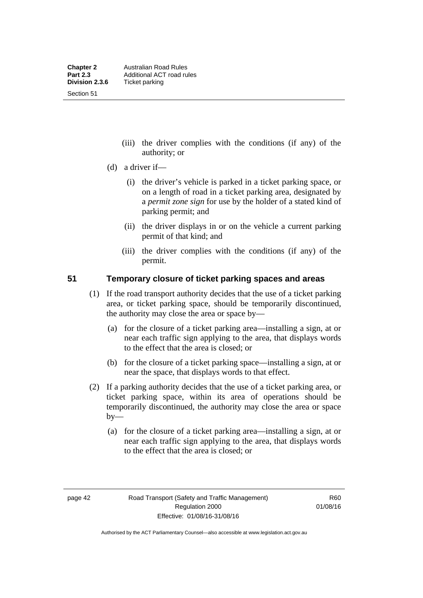Section 51

- (iii) the driver complies with the conditions (if any) of the authority; or
- (d) a driver if—
	- (i) the driver's vehicle is parked in a ticket parking space, or on a length of road in a ticket parking area, designated by a *permit zone sign* for use by the holder of a stated kind of parking permit; and
	- (ii) the driver displays in or on the vehicle a current parking permit of that kind; and
	- (iii) the driver complies with the conditions (if any) of the permit.

# **51 Temporary closure of ticket parking spaces and areas**

- (1) If the road transport authority decides that the use of a ticket parking area, or ticket parking space, should be temporarily discontinued, the authority may close the area or space by—
	- (a) for the closure of a ticket parking area—installing a sign, at or near each traffic sign applying to the area, that displays words to the effect that the area is closed; or
	- (b) for the closure of a ticket parking space—installing a sign, at or near the space, that displays words to that effect.
- (2) If a parking authority decides that the use of a ticket parking area, or ticket parking space, within its area of operations should be temporarily discontinued, the authority may close the area or space  $by-$ 
	- (a) for the closure of a ticket parking area—installing a sign, at or near each traffic sign applying to the area, that displays words to the effect that the area is closed; or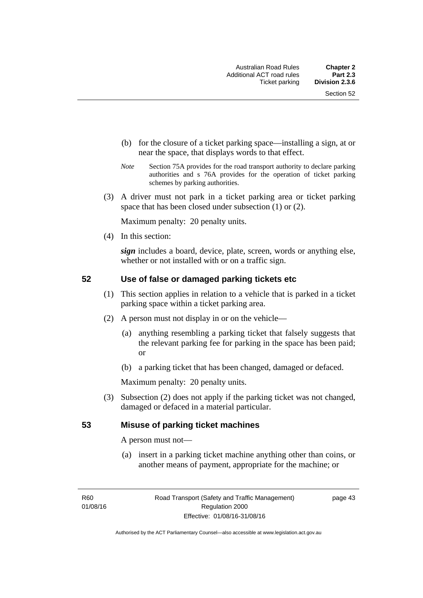- (b) for the closure of a ticket parking space—installing a sign, at or near the space, that displays words to that effect.
- *Note* Section 75A provides for the road transport authority to declare parking authorities and s 76A provides for the operation of ticket parking schemes by parking authorities.
- (3) A driver must not park in a ticket parking area or ticket parking space that has been closed under subsection (1) or (2).

Maximum penalty: 20 penalty units.

(4) In this section:

*sign* includes a board, device, plate, screen, words or anything else, whether or not installed with or on a traffic sign.

# **52 Use of false or damaged parking tickets etc**

- (1) This section applies in relation to a vehicle that is parked in a ticket parking space within a ticket parking area.
- (2) A person must not display in or on the vehicle—
	- (a) anything resembling a parking ticket that falsely suggests that the relevant parking fee for parking in the space has been paid; or
	- (b) a parking ticket that has been changed, damaged or defaced.

Maximum penalty: 20 penalty units.

 (3) Subsection (2) does not apply if the parking ticket was not changed, damaged or defaced in a material particular.

# **53 Misuse of parking ticket machines**

A person must not—

(a) insert in a parking ticket machine anything other than coins, or another means of payment, appropriate for the machine; or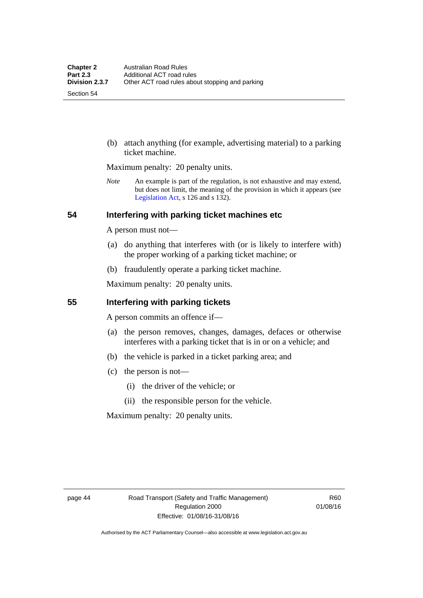Section 54

 (b) attach anything (for example, advertising material) to a parking ticket machine.

Maximum penalty: 20 penalty units.

*Note* An example is part of the regulation, is not exhaustive and may extend, but does not limit, the meaning of the provision in which it appears (see [Legislation Act,](http://www.legislation.act.gov.au/a/2001-14) s 126 and s 132).

# **54 Interfering with parking ticket machines etc**

A person must not—

- (a) do anything that interferes with (or is likely to interfere with) the proper working of a parking ticket machine; or
- (b) fraudulently operate a parking ticket machine.

Maximum penalty: 20 penalty units.

# **55 Interfering with parking tickets**

A person commits an offence if—

- (a) the person removes, changes, damages, defaces or otherwise interferes with a parking ticket that is in or on a vehicle; and
- (b) the vehicle is parked in a ticket parking area; and
- (c) the person is not—
	- (i) the driver of the vehicle; or
	- (ii) the responsible person for the vehicle.

Maximum penalty: 20 penalty units.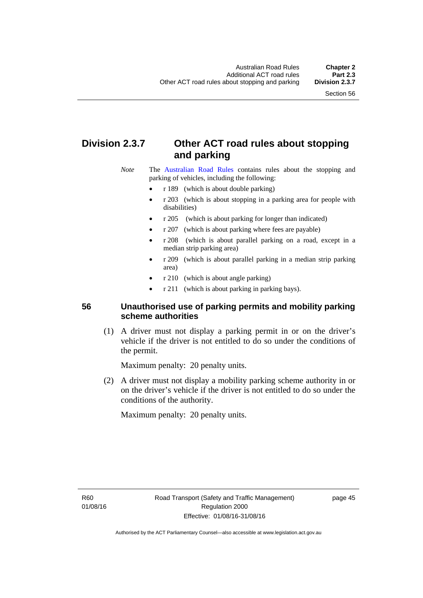# **Division 2.3.7 Other ACT road rules about stopping and parking**

*Note* The [Australian Road Rules](http://www.legislation.act.gov.au//ni/db_37271/default.asp) contains rules about the stopping and parking of vehicles, including the following:

- r 189 (which is about double parking)
- r 203 (which is about stopping in a parking area for people with disabilities)
- r 205 (which is about parking for longer than indicated)
- r 207 (which is about parking where fees are payable)
- r 208 (which is about parallel parking on a road, except in a median strip parking area)
- r 209 (which is about parallel parking in a median strip parking area)
- r 210 (which is about angle parking)
- r 211 (which is about parking in parking bays).

# **56 Unauthorised use of parking permits and mobility parking scheme authorities**

 (1) A driver must not display a parking permit in or on the driver's vehicle if the driver is not entitled to do so under the conditions of the permit.

Maximum penalty: 20 penalty units.

 (2) A driver must not display a mobility parking scheme authority in or on the driver's vehicle if the driver is not entitled to do so under the conditions of the authority.

Maximum penalty: 20 penalty units.

R60 01/08/16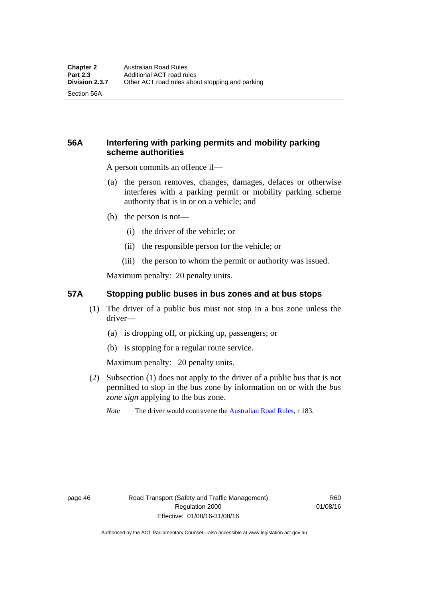Section 56A

# **56A Interfering with parking permits and mobility parking scheme authorities**

A person commits an offence if—

- (a) the person removes, changes, damages, defaces or otherwise interferes with a parking permit or mobility parking scheme authority that is in or on a vehicle; and
- (b) the person is not—
	- (i) the driver of the vehicle; or
	- (ii) the responsible person for the vehicle; or
	- (iii) the person to whom the permit or authority was issued.

Maximum penalty: 20 penalty units.

# **57A Stopping public buses in bus zones and at bus stops**

- (1) The driver of a public bus must not stop in a bus zone unless the driver—
	- (a) is dropping off, or picking up, passengers; or
	- (b) is stopping for a regular route service.

Maximum penalty: 20 penalty units.

- (2) Subsection (1) does not apply to the driver of a public bus that is not permitted to stop in the bus zone by information on or with the *bus zone sign* applying to the bus zone.
	- *Note* The driver would contravene the [Australian Road Rules,](http://www.legislation.act.gov.au//ni/db_37271/default.asp) r 183.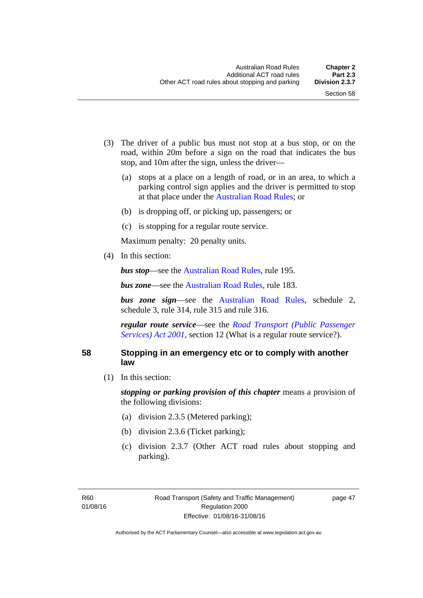- (3) The driver of a public bus must not stop at a bus stop, or on the road, within 20m before a sign on the road that indicates the bus stop, and 10m after the sign, unless the driver—
	- (a) stops at a place on a length of road, or in an area, to which a parking control sign applies and the driver is permitted to stop at that place under the [Australian Road Rules;](http://www.legislation.act.gov.au//ni/db_37271/default.asp) or
	- (b) is dropping off, or picking up, passengers; or
	- (c) is stopping for a regular route service.

Maximum penalty: 20 penalty units.

(4) In this section:

*bus stop***—see the [Australian Road Rules](http://www.legislation.act.gov.au//ni/db_37271/default.asp)**, rule 195.

*bus zone***—see the Australian Road Rules**, rule 183.

*bus zone sign*—see the [Australian Road Rules,](http://www.legislation.act.gov.au//ni/db_37271/default.asp) schedule 2, schedule 3, rule 314, rule 315 and rule 316.

*regular route service*—see the *[Road Transport \(Public Passenger](http://www.legislation.act.gov.au/a/2001-62)  Services*) *Act 2001*, section 12 (What is a regular route service?).

### **58 Stopping in an emergency etc or to comply with another law**

(1) In this section:

*stopping or parking provision of this chapter* means a provision of the following divisions:

- (a) division 2.3.5 (Metered parking);
- (b) division 2.3.6 (Ticket parking);
- (c) division 2.3.7 (Other ACT road rules about stopping and parking).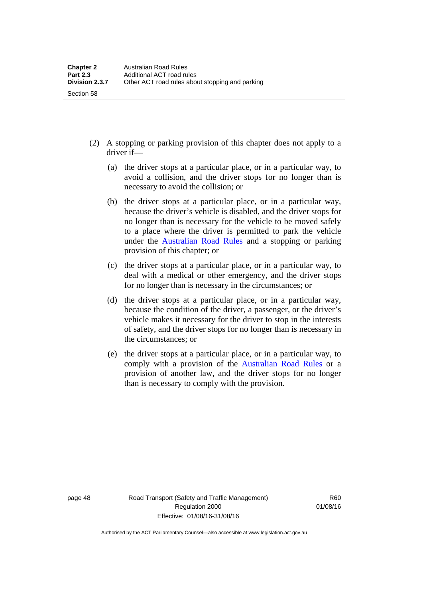- (2) A stopping or parking provision of this chapter does not apply to a driver if—
	- (a) the driver stops at a particular place, or in a particular way, to avoid a collision, and the driver stops for no longer than is necessary to avoid the collision; or
	- (b) the driver stops at a particular place, or in a particular way, because the driver's vehicle is disabled, and the driver stops for no longer than is necessary for the vehicle to be moved safely to a place where the driver is permitted to park the vehicle under the [Australian Road Rules](http://www.legislation.act.gov.au//ni/db_37271/default.asp) and a stopping or parking provision of this chapter; or
	- (c) the driver stops at a particular place, or in a particular way, to deal with a medical or other emergency, and the driver stops for no longer than is necessary in the circumstances; or
	- (d) the driver stops at a particular place, or in a particular way, because the condition of the driver, a passenger, or the driver's vehicle makes it necessary for the driver to stop in the interests of safety, and the driver stops for no longer than is necessary in the circumstances; or
	- (e) the driver stops at a particular place, or in a particular way, to comply with a provision of the [Australian Road Rules](http://www.legislation.act.gov.au//ni/db_37271/default.asp) or a provision of another law, and the driver stops for no longer than is necessary to comply with the provision.

Section 58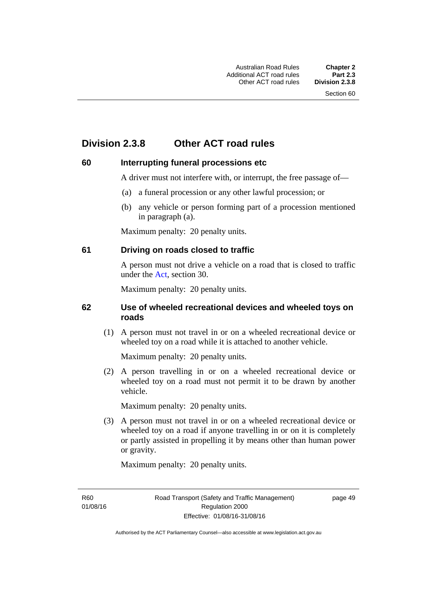# **Division 2.3.8 Other ACT road rules**

# **60 Interrupting funeral processions etc**

A driver must not interfere with, or interrupt, the free passage of—

- (a) a funeral procession or any other lawful procession; or
- (b) any vehicle or person forming part of a procession mentioned in paragraph (a).

Maximum penalty: 20 penalty units.

# **61 Driving on roads closed to traffic**

A person must not drive a vehicle on a road that is closed to traffic under the [Act](http://www.legislation.act.gov.au/a/1999-80/default.asp), section 30.

Maximum penalty: 20 penalty units.

# **62 Use of wheeled recreational devices and wheeled toys on roads**

 (1) A person must not travel in or on a wheeled recreational device or wheeled toy on a road while it is attached to another vehicle.

Maximum penalty: 20 penalty units.

 (2) A person travelling in or on a wheeled recreational device or wheeled toy on a road must not permit it to be drawn by another vehicle.

Maximum penalty: 20 penalty units.

 (3) A person must not travel in or on a wheeled recreational device or wheeled toy on a road if anyone travelling in or on it is completely or partly assisted in propelling it by means other than human power or gravity.

Maximum penalty: 20 penalty units.

R60 01/08/16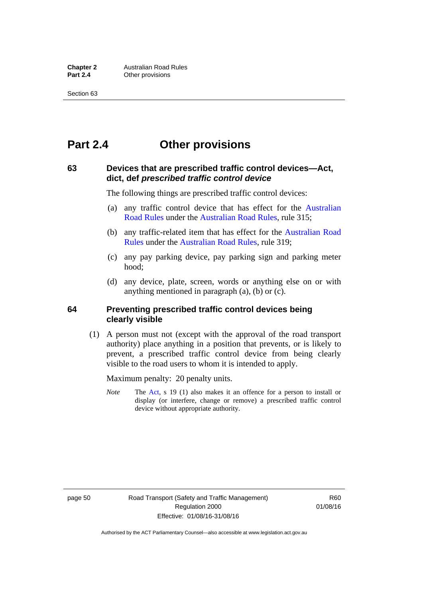# **Part 2.4 Other provisions**

# **63 Devices that are prescribed traffic control devices—Act, dict, def** *prescribed traffic control device*

The following things are prescribed traffic control devices:

- (a) any traffic control device that has effect for the [Australian](http://www.legislation.act.gov.au//ni/db_37271/default.asp)  [Road Rules](http://www.legislation.act.gov.au//ni/db_37271/default.asp) under the [Australian Road Rules](http://www.legislation.act.gov.au//ni/db_37271/default.asp), rule 315;
- (b) any traffic-related item that has effect for the [Australian Road](http://www.legislation.act.gov.au//ni/db_37271/default.asp)  [Rules](http://www.legislation.act.gov.au//ni/db_37271/default.asp) under the [Australian Road Rules,](http://www.legislation.act.gov.au//ni/db_37271/default.asp) rule 319;
- (c) any pay parking device, pay parking sign and parking meter hood;
- (d) any device, plate, screen, words or anything else on or with anything mentioned in paragraph (a), (b) or (c).

# **64 Preventing prescribed traffic control devices being clearly visible**

 (1) A person must not (except with the approval of the road transport authority) place anything in a position that prevents, or is likely to prevent, a prescribed traffic control device from being clearly visible to the road users to whom it is intended to apply.

Maximum penalty: 20 penalty units.

*Note* The [Act](http://www.legislation.act.gov.au/a/1999-80/default.asp), s 19 (1) also makes it an offence for a person to install or display (or interfere, change or remove) a prescribed traffic control device without appropriate authority.

page 50 Road Transport (Safety and Traffic Management) Regulation 2000 Effective: 01/08/16-31/08/16

R<sub>60</sub> 01/08/16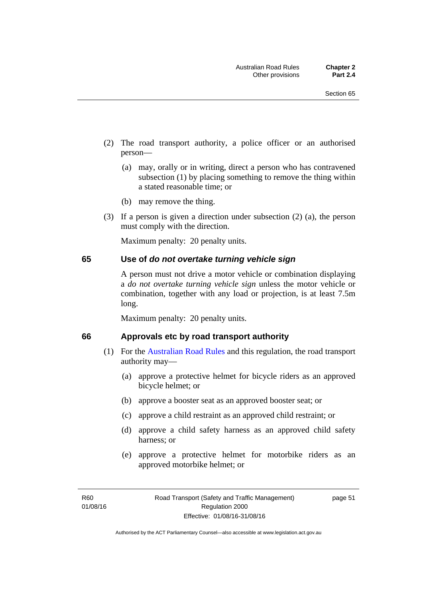- (2) The road transport authority, a police officer or an authorised person—
	- (a) may, orally or in writing, direct a person who has contravened subsection (1) by placing something to remove the thing within a stated reasonable time; or
	- (b) may remove the thing.
- (3) If a person is given a direction under subsection (2) (a), the person must comply with the direction.

Maximum penalty: 20 penalty units.

#### **65 Use of** *do not overtake turning vehicle sign*

A person must not drive a motor vehicle or combination displaying a *do not overtake turning vehicle sign* unless the motor vehicle or combination, together with any load or projection, is at least 7.5m long.

Maximum penalty: 20 penalty units.

#### **66 Approvals etc by road transport authority**

- (1) For the [Australian Road Rules](http://www.legislation.act.gov.au//ni/db_37271/default.asp) and this regulation, the road transport authority may—
	- (a) approve a protective helmet for bicycle riders as an approved bicycle helmet; or
	- (b) approve a booster seat as an approved booster seat; or
	- (c) approve a child restraint as an approved child restraint; or
	- (d) approve a child safety harness as an approved child safety harness; or
	- (e) approve a protective helmet for motorbike riders as an approved motorbike helmet; or

page 51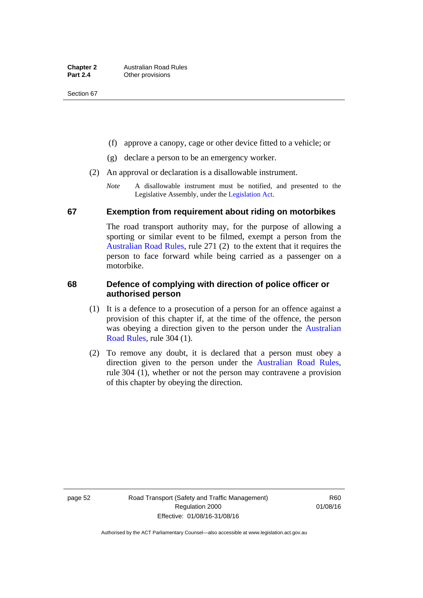- (f) approve a canopy, cage or other device fitted to a vehicle; or
- (g) declare a person to be an emergency worker.
- (2) An approval or declaration is a disallowable instrument.
	- *Note* A disallowable instrument must be notified, and presented to the Legislative Assembly, under the [Legislation Act.](http://www.legislation.act.gov.au/a/2001-14)

### **67 Exemption from requirement about riding on motorbikes**

The road transport authority may, for the purpose of allowing a sporting or similar event to be filmed, exempt a person from the [Australian Road Rules](http://www.legislation.act.gov.au//ni/db_37271/default.asp), rule 271 (2) to the extent that it requires the person to face forward while being carried as a passenger on a motorbike.

# **68 Defence of complying with direction of police officer or authorised person**

- (1) It is a defence to a prosecution of a person for an offence against a provision of this chapter if, at the time of the offence, the person was obeying a direction given to the person under the [Australian](http://www.legislation.act.gov.au//ni/db_37271/default.asp)  [Road Rules,](http://www.legislation.act.gov.au//ni/db_37271/default.asp) rule 304 (1).
- (2) To remove any doubt, it is declared that a person must obey a direction given to the person under the [Australian Road Rules](http://www.legislation.act.gov.au//ni/db_37271/default.asp), rule 304 (1), whether or not the person may contravene a provision of this chapter by obeying the direction.

page 52 Road Transport (Safety and Traffic Management) Regulation 2000 Effective: 01/08/16-31/08/16

R60 01/08/16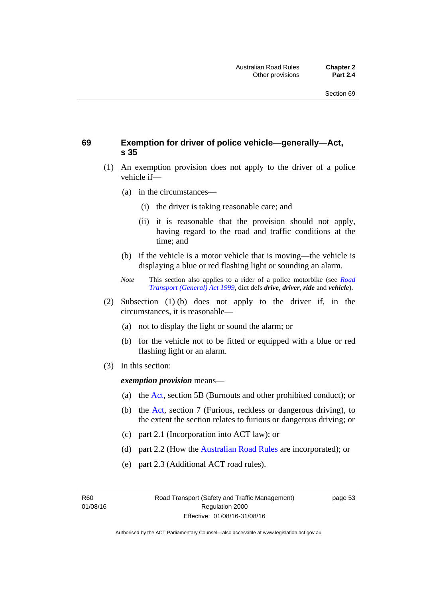# **69 Exemption for driver of police vehicle—generally—Act, s 35**

- (1) An exemption provision does not apply to the driver of a police vehicle if—
	- (a) in the circumstances—
		- (i) the driver is taking reasonable care; and
		- (ii) it is reasonable that the provision should not apply, having regard to the road and traffic conditions at the time; and
	- (b) if the vehicle is a motor vehicle that is moving—the vehicle is displaying a blue or red flashing light or sounding an alarm.
	- *Note* This section also applies to a rider of a police motorbike (see *[Road](http://www.legislation.act.gov.au/a/1999-77)  [Transport \(General\) Act 1999](http://www.legislation.act.gov.au/a/1999-77)*, dict defs *drive*, *driver*, *ride* and *vehicle*).
- (2) Subsection (1) (b) does not apply to the driver if, in the circumstances, it is reasonable—
	- (a) not to display the light or sound the alarm; or
	- (b) for the vehicle not to be fitted or equipped with a blue or red flashing light or an alarm.
- (3) In this section:

*exemption provision* means—

- (a) the [Act](http://www.legislation.act.gov.au/a/1999-80/default.asp), section 5B (Burnouts and other prohibited conduct); or
- (b) the [Act](http://www.legislation.act.gov.au/a/1999-80/default.asp), section 7 (Furious, reckless or dangerous driving), to the extent the section relates to furious or dangerous driving; or
- (c) part 2.1 (Incorporation into ACT law); or
- (d) part 2.2 (How the [Australian Road Rules](http://www.legislation.act.gov.au//ni/db_37271/default.asp) are incorporated); or
- (e) part 2.3 (Additional ACT road rules).

R60 01/08/16 page 53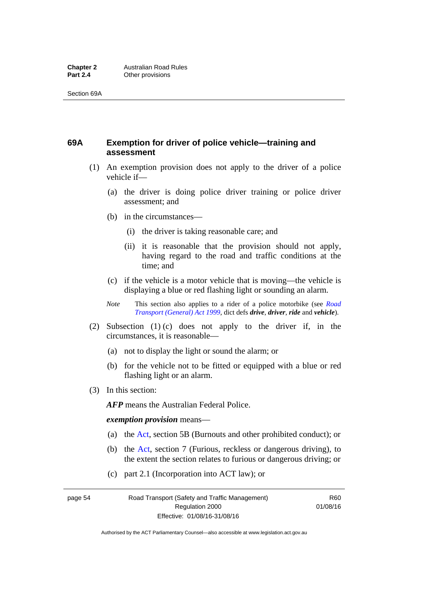# **69A Exemption for driver of police vehicle—training and assessment**

- (1) An exemption provision does not apply to the driver of a police vehicle if—
	- (a) the driver is doing police driver training or police driver assessment; and
	- (b) in the circumstances—
		- (i) the driver is taking reasonable care; and
		- (ii) it is reasonable that the provision should not apply, having regard to the road and traffic conditions at the time; and
	- (c) if the vehicle is a motor vehicle that is moving—the vehicle is displaying a blue or red flashing light or sounding an alarm.
	- *Note* This section also applies to a rider of a police motorbike (see *[Road](http://www.legislation.act.gov.au/a/1999-77)  [Transport \(General\) Act 1999](http://www.legislation.act.gov.au/a/1999-77)*, dict defs *drive*, *driver*, *ride* and *vehicle*).
- (2) Subsection (1) (c) does not apply to the driver if, in the circumstances, it is reasonable—
	- (a) not to display the light or sound the alarm; or
	- (b) for the vehicle not to be fitted or equipped with a blue or red flashing light or an alarm.
- (3) In this section:

*AFP* means the Australian Federal Police.

#### *exemption provision* means—

- (a) the [Act,](http://www.legislation.act.gov.au/a/1999-80/default.asp) section 5B (Burnouts and other prohibited conduct); or
- (b) the [Act](http://www.legislation.act.gov.au/a/1999-80/default.asp), section 7 (Furious, reckless or dangerous driving), to the extent the section relates to furious or dangerous driving; or
- (c) part 2.1 (Incorporation into ACT law); or

page 54 Road Transport (Safety and Traffic Management) Regulation 2000 Effective: 01/08/16-31/08/16

R60 01/08/16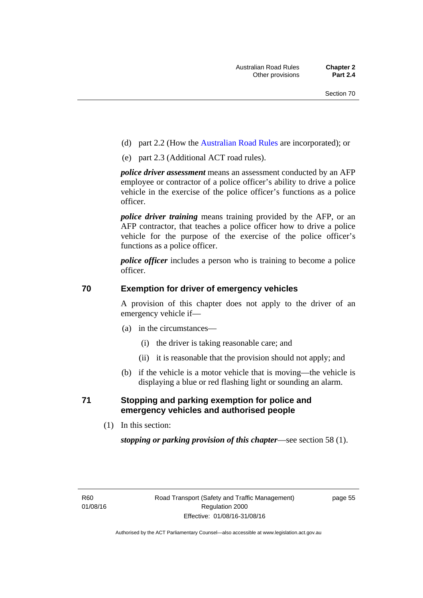- (d) part 2.2 (How the [Australian Road Rules](http://www.legislation.act.gov.au//ni/db_37271/default.asp) are incorporated); or
- (e) part 2.3 (Additional ACT road rules).

*police driver assessment* means an assessment conducted by an AFP employee or contractor of a police officer's ability to drive a police vehicle in the exercise of the police officer's functions as a police officer.

*police driver training* means training provided by the AFP, or an AFP contractor, that teaches a police officer how to drive a police vehicle for the purpose of the exercise of the police officer's functions as a police officer.

*police officer* includes a person who is training to become a police officer.

# **70 Exemption for driver of emergency vehicles**

A provision of this chapter does not apply to the driver of an emergency vehicle if—

- (a) in the circumstances—
	- (i) the driver is taking reasonable care; and
	- (ii) it is reasonable that the provision should not apply; and
- (b) if the vehicle is a motor vehicle that is moving—the vehicle is displaying a blue or red flashing light or sounding an alarm.

# **71 Stopping and parking exemption for police and emergency vehicles and authorised people**

(1) In this section:

*stopping or parking provision of this chapter*—see section 58 (1).

page 55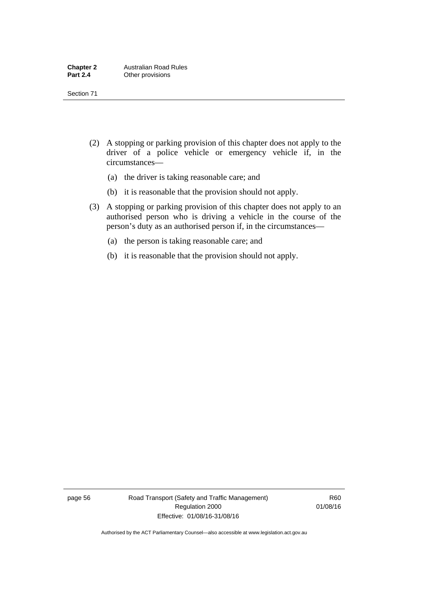- (2) A stopping or parking provision of this chapter does not apply to the driver of a police vehicle or emergency vehicle if, in the circumstances—
	- (a) the driver is taking reasonable care; and
	- (b) it is reasonable that the provision should not apply.
- (3) A stopping or parking provision of this chapter does not apply to an authorised person who is driving a vehicle in the course of the person's duty as an authorised person if, in the circumstances—
	- (a) the person is taking reasonable care; and
	- (b) it is reasonable that the provision should not apply.

page 56 Road Transport (Safety and Traffic Management) Regulation 2000 Effective: 01/08/16-31/08/16

R60 01/08/16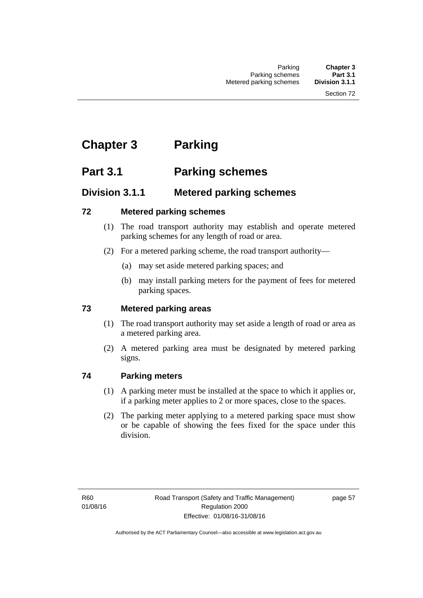# **Chapter 3 Parking**

# **Part 3.1 Parking schemes**

# **Division 3.1.1 Metered parking schemes**

# **72 Metered parking schemes**

- (1) The road transport authority may establish and operate metered parking schemes for any length of road or area.
- (2) For a metered parking scheme, the road transport authority—
	- (a) may set aside metered parking spaces; and
	- (b) may install parking meters for the payment of fees for metered parking spaces.

# **73 Metered parking areas**

- (1) The road transport authority may set aside a length of road or area as a metered parking area.
- (2) A metered parking area must be designated by metered parking signs.

# **74 Parking meters**

- (1) A parking meter must be installed at the space to which it applies or, if a parking meter applies to 2 or more spaces, close to the spaces.
- (2) The parking meter applying to a metered parking space must show or be capable of showing the fees fixed for the space under this division.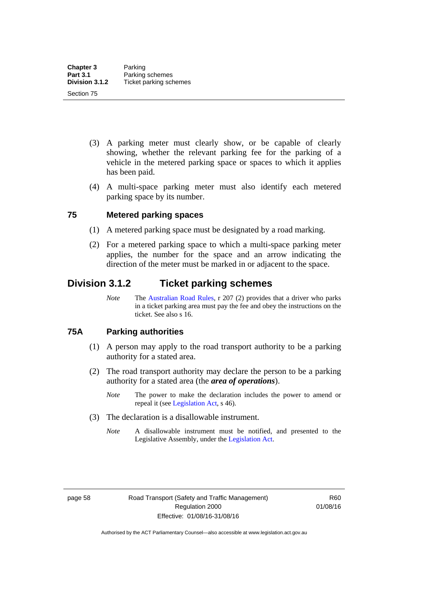- (3) A parking meter must clearly show, or be capable of clearly showing, whether the relevant parking fee for the parking of a vehicle in the metered parking space or spaces to which it applies has been paid.
- (4) A multi-space parking meter must also identify each metered parking space by its number.

# **75 Metered parking spaces**

- (1) A metered parking space must be designated by a road marking.
- (2) For a metered parking space to which a multi-space parking meter applies, the number for the space and an arrow indicating the direction of the meter must be marked in or adjacent to the space.

# **Division 3.1.2 Ticket parking schemes**

*Note* The [Australian Road Rules](http://www.legislation.act.gov.au//ni/db_37271/default.asp), r 207 (2) provides that a driver who parks in a ticket parking area must pay the fee and obey the instructions on the ticket. See also s 16.

#### **75A Parking authorities**

- (1) A person may apply to the road transport authority to be a parking authority for a stated area.
- (2) The road transport authority may declare the person to be a parking authority for a stated area (the *area of operations*).
	- *Note* The power to make the declaration includes the power to amend or repeal it (see [Legislation Act,](http://www.legislation.act.gov.au/a/2001-14) s 46).
- (3) The declaration is a disallowable instrument.
	- *Note* A disallowable instrument must be notified, and presented to the Legislative Assembly, under the [Legislation Act.](http://www.legislation.act.gov.au/a/2001-14)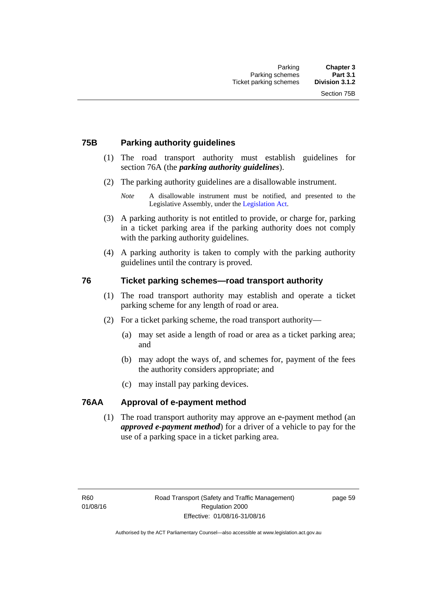# **75B Parking authority guidelines**

- (1) The road transport authority must establish guidelines for section 76A (the *parking authority guidelines*).
- (2) The parking authority guidelines are a disallowable instrument.

- (3) A parking authority is not entitled to provide, or charge for, parking in a ticket parking area if the parking authority does not comply with the parking authority guidelines.
- (4) A parking authority is taken to comply with the parking authority guidelines until the contrary is proved.

# **76 Ticket parking schemes—road transport authority**

- (1) The road transport authority may establish and operate a ticket parking scheme for any length of road or area.
- (2) For a ticket parking scheme, the road transport authority—
	- (a) may set aside a length of road or area as a ticket parking area; and
	- (b) may adopt the ways of, and schemes for, payment of the fees the authority considers appropriate; and
	- (c) may install pay parking devices.

#### **76AA Approval of e-payment method**

(1) The road transport authority may approve an e-payment method (an *approved e-payment method*) for a driver of a vehicle to pay for the use of a parking space in a ticket parking area.

*Note* A disallowable instrument must be notified, and presented to the Legislative Assembly, under the [Legislation Act.](http://www.legislation.act.gov.au/a/2001-14)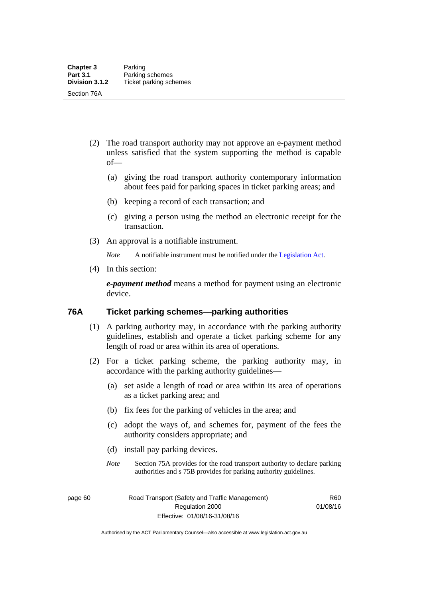- (2) The road transport authority may not approve an e-payment method unless satisfied that the system supporting the method is capable of—
	- (a) giving the road transport authority contemporary information about fees paid for parking spaces in ticket parking areas; and
	- (b) keeping a record of each transaction; and
	- (c) giving a person using the method an electronic receipt for the transaction.
- (3) An approval is a notifiable instrument.

*Note* A notifiable instrument must be notified under the [Legislation Act](http://www.legislation.act.gov.au/a/2001-14).

(4) In this section:

*e-payment method* means a method for payment using an electronic device.

#### **76A Ticket parking schemes—parking authorities**

- (1) A parking authority may, in accordance with the parking authority guidelines, establish and operate a ticket parking scheme for any length of road or area within its area of operations.
- (2) For a ticket parking scheme, the parking authority may, in accordance with the parking authority guidelines—
	- (a) set aside a length of road or area within its area of operations as a ticket parking area; and
	- (b) fix fees for the parking of vehicles in the area; and
	- (c) adopt the ways of, and schemes for, payment of the fees the authority considers appropriate; and
	- (d) install pay parking devices.
	- *Note* Section 75A provides for the road transport authority to declare parking authorities and s 75B provides for parking authority guidelines.

page 60 Road Transport (Safety and Traffic Management) Regulation 2000 Effective: 01/08/16-31/08/16

R60 01/08/16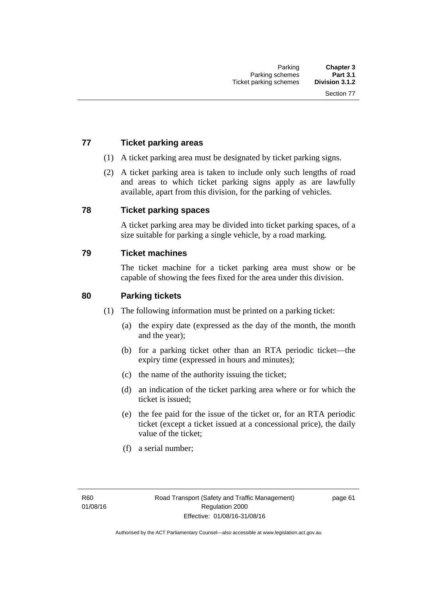# **77 Ticket parking areas**

- (1) A ticket parking area must be designated by ticket parking signs.
- (2) A ticket parking area is taken to include only such lengths of road and areas to which ticket parking signs apply as are lawfully available, apart from this division, for the parking of vehicles.

#### **78 Ticket parking spaces**

A ticket parking area may be divided into ticket parking spaces, of a size suitable for parking a single vehicle, by a road marking.

#### **79 Ticket machines**

The ticket machine for a ticket parking area must show or be capable of showing the fees fixed for the area under this division.

#### **80 Parking tickets**

- (1) The following information must be printed on a parking ticket:
	- (a) the expiry date (expressed as the day of the month, the month and the year);
	- (b) for a parking ticket other than an RTA periodic ticket—the expiry time (expressed in hours and minutes);
	- (c) the name of the authority issuing the ticket;
	- (d) an indication of the ticket parking area where or for which the ticket is issued;
	- (e) the fee paid for the issue of the ticket or, for an RTA periodic ticket (except a ticket issued at a concessional price), the daily value of the ticket;
	- (f) a serial number;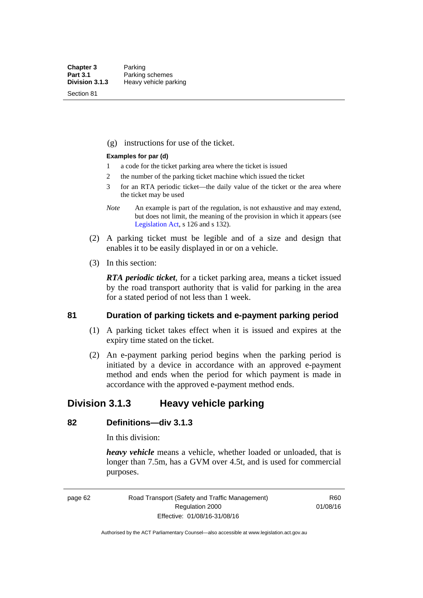Section 81

(g) instructions for use of the ticket.

#### **Examples for par (d)**

- 1 a code for the ticket parking area where the ticket is issued
- 2 the number of the parking ticket machine which issued the ticket
- 3 for an RTA periodic ticket—the daily value of the ticket or the area where the ticket may be used
- *Note* An example is part of the regulation, is not exhaustive and may extend, but does not limit, the meaning of the provision in which it appears (see [Legislation Act,](http://www.legislation.act.gov.au/a/2001-14) s 126 and s 132).
- (2) A parking ticket must be legible and of a size and design that enables it to be easily displayed in or on a vehicle.
- (3) In this section:

*RTA periodic ticket*, for a ticket parking area, means a ticket issued by the road transport authority that is valid for parking in the area for a stated period of not less than 1 week.

#### **81 Duration of parking tickets and e-payment parking period**

- (1) A parking ticket takes effect when it is issued and expires at the expiry time stated on the ticket.
- (2) An e-payment parking period begins when the parking period is initiated by a device in accordance with an approved e-payment method and ends when the period for which payment is made in accordance with the approved e-payment method ends.

# **Division 3.1.3 Heavy vehicle parking**

# **82 Definitions—div 3.1.3**

In this division:

*heavy vehicle* means a vehicle, whether loaded or unloaded, that is longer than 7.5m, has a GVM over 4.5t, and is used for commercial purposes.

page 62 Road Transport (Safety and Traffic Management) Regulation 2000 Effective: 01/08/16-31/08/16

R60 01/08/16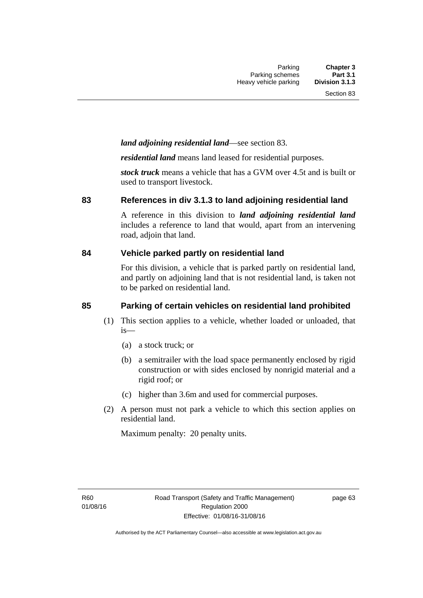# *land adjoining residential land*—see section 83.

*residential land* means land leased for residential purposes.

*stock truck* means a vehicle that has a GVM over 4.5t and is built or used to transport livestock.

#### **83 References in div 3.1.3 to land adjoining residential land**

A reference in this division to *land adjoining residential land* includes a reference to land that would, apart from an intervening road, adjoin that land.

#### **84 Vehicle parked partly on residential land**

For this division, a vehicle that is parked partly on residential land, and partly on adjoining land that is not residential land, is taken not to be parked on residential land.

# **85 Parking of certain vehicles on residential land prohibited**

- (1) This section applies to a vehicle, whether loaded or unloaded, that is—
	- (a) a stock truck; or
	- (b) a semitrailer with the load space permanently enclosed by rigid construction or with sides enclosed by nonrigid material and a rigid roof; or
	- (c) higher than 3.6m and used for commercial purposes.
- (2) A person must not park a vehicle to which this section applies on residential land.

Maximum penalty: 20 penalty units.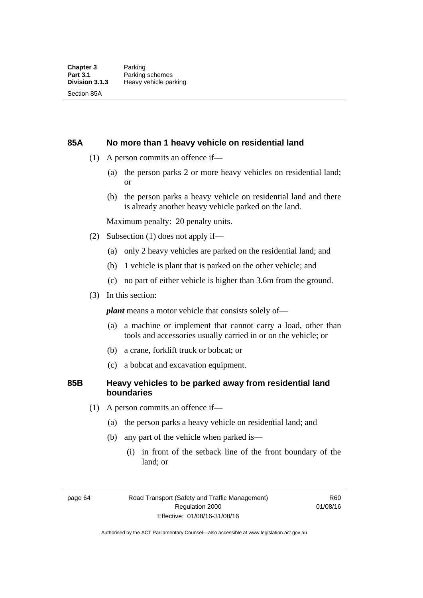#### **85A No more than 1 heavy vehicle on residential land**

- (1) A person commits an offence if—
	- (a) the person parks 2 or more heavy vehicles on residential land; or
	- (b) the person parks a heavy vehicle on residential land and there is already another heavy vehicle parked on the land.

Maximum penalty: 20 penalty units.

- (2) Subsection (1) does not apply if—
	- (a) only 2 heavy vehicles are parked on the residential land; and
	- (b) 1 vehicle is plant that is parked on the other vehicle; and
	- (c) no part of either vehicle is higher than 3.6m from the ground.
- (3) In this section:

*plant* means a motor vehicle that consists solely of—

- (a) a machine or implement that cannot carry a load, other than tools and accessories usually carried in or on the vehicle; or
- (b) a crane, forklift truck or bobcat; or
- (c) a bobcat and excavation equipment.

### **85B Heavy vehicles to be parked away from residential land boundaries**

- (1) A person commits an offence if—
	- (a) the person parks a heavy vehicle on residential land; and
	- (b) any part of the vehicle when parked is—
		- (i) in front of the setback line of the front boundary of the land; or

page 64 Road Transport (Safety and Traffic Management) Regulation 2000 Effective: 01/08/16-31/08/16

R60 01/08/16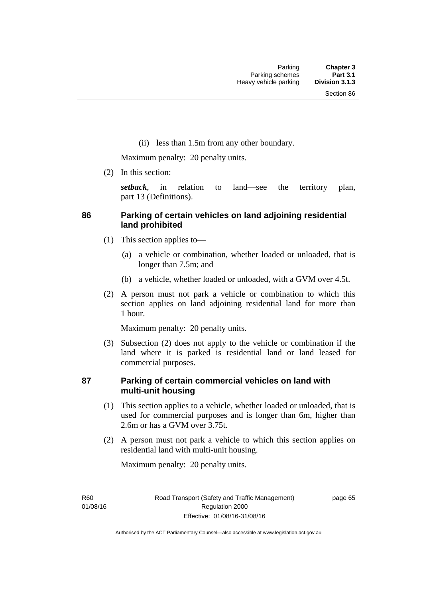(ii) less than 1.5m from any other boundary.

Maximum penalty: 20 penalty units.

(2) In this section:

*setback*, in relation to land—see the territory plan, part 13 (Definitions).

# **86 Parking of certain vehicles on land adjoining residential land prohibited**

- (1) This section applies to—
	- (a) a vehicle or combination, whether loaded or unloaded, that is longer than 7.5m; and
	- (b) a vehicle, whether loaded or unloaded, with a GVM over 4.5t.
- (2) A person must not park a vehicle or combination to which this section applies on land adjoining residential land for more than 1 hour.

Maximum penalty: 20 penalty units.

 (3) Subsection (2) does not apply to the vehicle or combination if the land where it is parked is residential land or land leased for commercial purposes.

# **87 Parking of certain commercial vehicles on land with multi-unit housing**

- (1) This section applies to a vehicle, whether loaded or unloaded, that is used for commercial purposes and is longer than 6m, higher than 2.6m or has a GVM over 3.75t.
- (2) A person must not park a vehicle to which this section applies on residential land with multi-unit housing.

Maximum penalty: 20 penalty units.

R60 01/08/16 page 65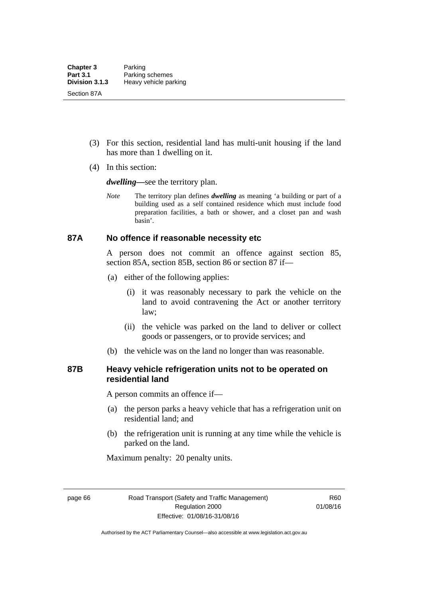- (3) For this section, residential land has multi-unit housing if the land has more than 1 dwelling on it.
- (4) In this section:

*dwelling—*see the territory plan.

*Note* The territory plan defines *dwelling* as meaning 'a building or part of a building used as a self contained residence which must include food preparation facilities, a bath or shower, and a closet pan and wash basin'.

#### **87A No offence if reasonable necessity etc**

A person does not commit an offence against section 85, section 85A, section 85B, section 86 or section 87 if—

- (a) either of the following applies:
	- (i) it was reasonably necessary to park the vehicle on the land to avoid contravening the Act or another territory law;
	- (ii) the vehicle was parked on the land to deliver or collect goods or passengers, or to provide services; and
- (b) the vehicle was on the land no longer than was reasonable.

# **87B Heavy vehicle refrigeration units not to be operated on residential land**

A person commits an offence if—

- (a) the person parks a heavy vehicle that has a refrigeration unit on residential land; and
- (b) the refrigeration unit is running at any time while the vehicle is parked on the land.

Maximum penalty: 20 penalty units.

page 66 Road Transport (Safety and Traffic Management) Regulation 2000 Effective: 01/08/16-31/08/16

R60 01/08/16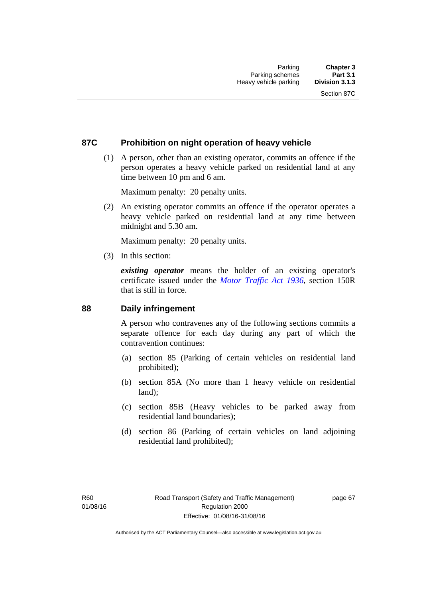### **87C Prohibition on night operation of heavy vehicle**

 (1) A person, other than an existing operator, commits an offence if the person operates a heavy vehicle parked on residential land at any time between 10 pm and 6 am.

Maximum penalty: 20 penalty units.

 (2) An existing operator commits an offence if the operator operates a heavy vehicle parked on residential land at any time between midnight and 5.30 am.

Maximum penalty: 20 penalty units.

(3) In this section:

*existing operator* means the holder of an existing operator's certificate issued under the *[Motor Traffic Act 1936](http://www.legislation.act.gov.au/a/1936-45)*, section 150R that is still in force.

#### **88 Daily infringement**

A person who contravenes any of the following sections commits a separate offence for each day during any part of which the contravention continues:

- (a) section 85 (Parking of certain vehicles on residential land prohibited);
- (b) section 85A (No more than 1 heavy vehicle on residential land);
- (c) section 85B (Heavy vehicles to be parked away from residential land boundaries);
- (d) section 86 (Parking of certain vehicles on land adjoining residential land prohibited);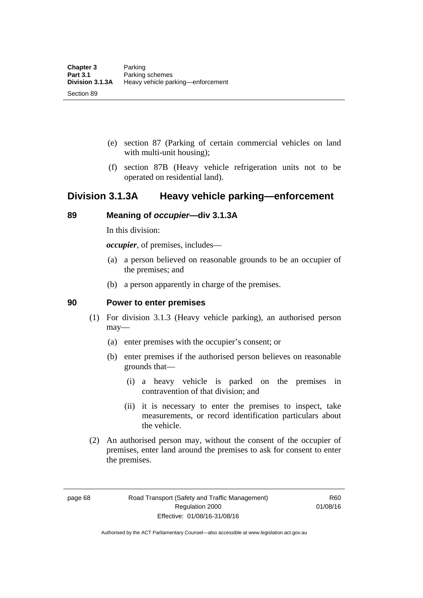- (e) section 87 (Parking of certain commercial vehicles on land with multi-unit housing);
- (f) section 87B (Heavy vehicle refrigeration units not to be operated on residential land).

# **Division 3.1.3A Heavy vehicle parking—enforcement**

# **89 Meaning of** *occupier***—div 3.1.3A**

In this division:

*occupier*, of premises, includes—

- (a) a person believed on reasonable grounds to be an occupier of the premises; and
- (b) a person apparently in charge of the premises.

#### **90 Power to enter premises**

- (1) For division 3.1.3 (Heavy vehicle parking), an authorised person may—
	- (a) enter premises with the occupier's consent; or
	- (b) enter premises if the authorised person believes on reasonable grounds that—
		- (i) a heavy vehicle is parked on the premises in contravention of that division; and
		- (ii) it is necessary to enter the premises to inspect, take measurements, or record identification particulars about the vehicle.
- (2) An authorised person may, without the consent of the occupier of premises, enter land around the premises to ask for consent to enter the premises.

page 68 Road Transport (Safety and Traffic Management) Regulation 2000 Effective: 01/08/16-31/08/16

R60 01/08/16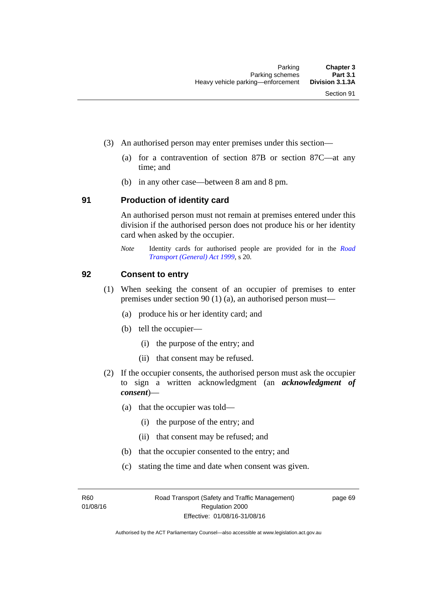- (3) An authorised person may enter premises under this section––
	- (a) for a contravention of section 87B or section 87C––at any time; and
	- (b) in any other case––between 8 am and 8 pm.

#### **91 Production of identity card**

An authorised person must not remain at premises entered under this division if the authorised person does not produce his or her identity card when asked by the occupier.

*Note* Identity cards for authorised people are provided for in the *[Road](http://www.legislation.act.gov.au/a/1999-77)  [Transport \(General\) Act 1999](http://www.legislation.act.gov.au/a/1999-77)*, s 20.

#### **92 Consent to entry**

- (1) When seeking the consent of an occupier of premises to enter premises under section 90 (1) (a), an authorised person must—
	- (a) produce his or her identity card; and
	- (b) tell the occupier—
		- (i) the purpose of the entry; and
		- (ii) that consent may be refused.
- (2) If the occupier consents, the authorised person must ask the occupier to sign a written acknowledgment (an *acknowledgment of consent*)—
	- (a) that the occupier was told—
		- (i) the purpose of the entry; and
		- (ii) that consent may be refused; and
	- (b) that the occupier consented to the entry; and
	- (c) stating the time and date when consent was given.

R60 01/08/16 page 69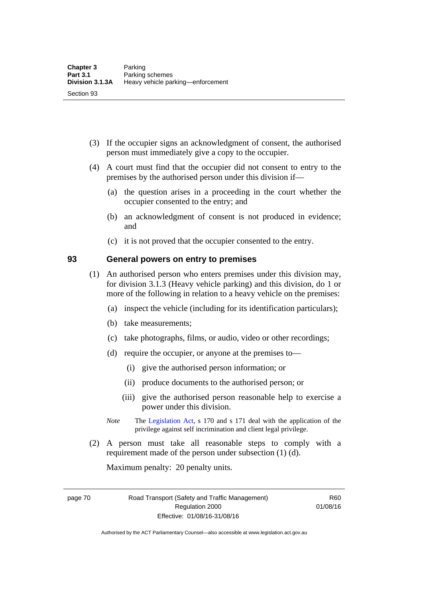- (3) If the occupier signs an acknowledgment of consent, the authorised person must immediately give a copy to the occupier.
- (4) A court must find that the occupier did not consent to entry to the premises by the authorised person under this division if—
	- (a) the question arises in a proceeding in the court whether the occupier consented to the entry; and
	- (b) an acknowledgment of consent is not produced in evidence; and
	- (c) it is not proved that the occupier consented to the entry.

#### **93 General powers on entry to premises**

- (1) An authorised person who enters premises under this division may, for division 3.1.3 (Heavy vehicle parking) and this division, do 1 or more of the following in relation to a heavy vehicle on the premises:
	- (a) inspect the vehicle (including for its identification particulars);
	- (b) take measurements;
	- (c) take photographs, films, or audio, video or other recordings;
	- (d) require the occupier, or anyone at the premises to—
		- (i) give the authorised person information; or
		- (ii) produce documents to the authorised person; or
		- (iii) give the authorised person reasonable help to exercise a power under this division.
	- *Note* The [Legislation Act](http://www.legislation.act.gov.au/a/2001-14), s 170 and s 171 deal with the application of the privilege against self incrimination and client legal privilege.
- (2) A person must take all reasonable steps to comply with a requirement made of the person under subsection (1) (d).

Maximum penalty: 20 penalty units.

page 70 Road Transport (Safety and Traffic Management) Regulation 2000 Effective: 01/08/16-31/08/16

R60 01/08/16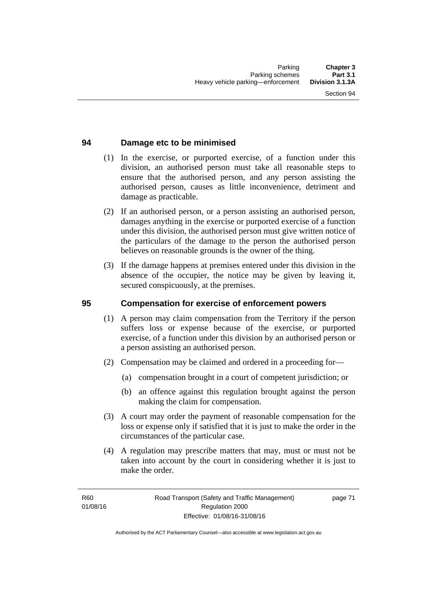# **94 Damage etc to be minimised**

- (1) In the exercise, or purported exercise, of a function under this division, an authorised person must take all reasonable steps to ensure that the authorised person, and any person assisting the authorised person, causes as little inconvenience, detriment and damage as practicable.
- (2) If an authorised person, or a person assisting an authorised person, damages anything in the exercise or purported exercise of a function under this division, the authorised person must give written notice of the particulars of the damage to the person the authorised person believes on reasonable grounds is the owner of the thing.
- (3) If the damage happens at premises entered under this division in the absence of the occupier, the notice may be given by leaving it, secured conspicuously, at the premises.

#### **95 Compensation for exercise of enforcement powers**

- (1) A person may claim compensation from the Territory if the person suffers loss or expense because of the exercise, or purported exercise, of a function under this division by an authorised person or a person assisting an authorised person.
- (2) Compensation may be claimed and ordered in a proceeding for—
	- (a) compensation brought in a court of competent jurisdiction; or
	- (b) an offence against this regulation brought against the person making the claim for compensation.
- (3) A court may order the payment of reasonable compensation for the loss or expense only if satisfied that it is just to make the order in the circumstances of the particular case.
- (4) A regulation may prescribe matters that may, must or must not be taken into account by the court in considering whether it is just to make the order.

page 71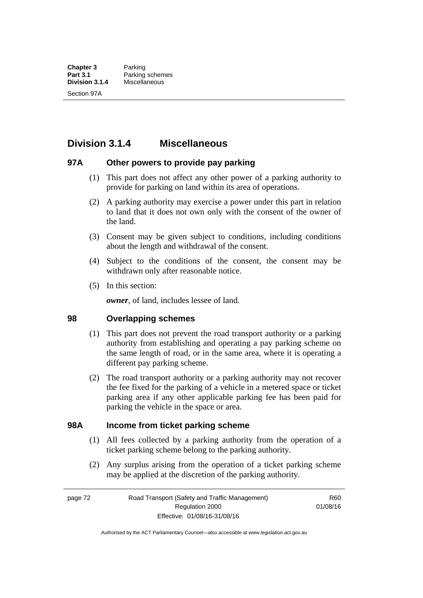# **Division 3.1.4 Miscellaneous**

### **97A Other powers to provide pay parking**

- (1) This part does not affect any other power of a parking authority to provide for parking on land within its area of operations.
- (2) A parking authority may exercise a power under this part in relation to land that it does not own only with the consent of the owner of the land.
- (3) Consent may be given subject to conditions, including conditions about the length and withdrawal of the consent.
- (4) Subject to the conditions of the consent, the consent may be withdrawn only after reasonable notice.
- (5) In this section:

*owner*, of land, includes lessee of land.

#### **98 Overlapping schemes**

- (1) This part does not prevent the road transport authority or a parking authority from establishing and operating a pay parking scheme on the same length of road, or in the same area, where it is operating a different pay parking scheme.
- (2) The road transport authority or a parking authority may not recover the fee fixed for the parking of a vehicle in a metered space or ticket parking area if any other applicable parking fee has been paid for parking the vehicle in the space or area.

#### **98A Income from ticket parking scheme**

- (1) All fees collected by a parking authority from the operation of a ticket parking scheme belong to the parking authority.
- (2) Any surplus arising from the operation of a ticket parking scheme may be applied at the discretion of the parking authority.

page 72 Road Transport (Safety and Traffic Management) Regulation 2000 Effective: 01/08/16-31/08/16

R60 01/08/16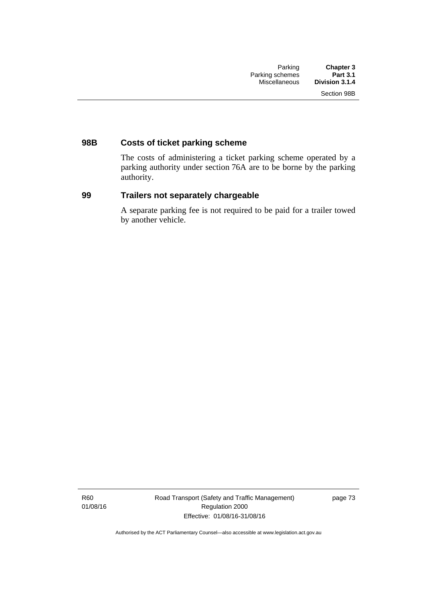# **98B Costs of ticket parking scheme**

The costs of administering a ticket parking scheme operated by a parking authority under section 76A are to be borne by the parking authority.

# **99 Trailers not separately chargeable**

A separate parking fee is not required to be paid for a trailer towed by another vehicle.

R60 01/08/16 Road Transport (Safety and Traffic Management) Regulation 2000 Effective: 01/08/16-31/08/16

page 73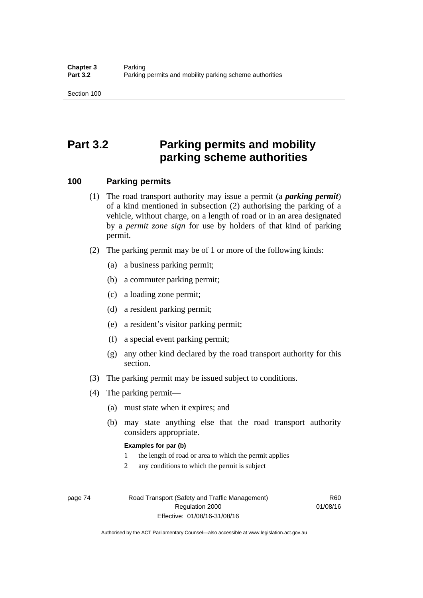# **Part 3.2 Parking permits and mobility parking scheme authorities**

#### **100 Parking permits**

- (1) The road transport authority may issue a permit (a *parking permit*) of a kind mentioned in subsection (2) authorising the parking of a vehicle, without charge, on a length of road or in an area designated by a *permit zone sign* for use by holders of that kind of parking permit.
- (2) The parking permit may be of 1 or more of the following kinds:
	- (a) a business parking permit;
	- (b) a commuter parking permit;
	- (c) a loading zone permit;
	- (d) a resident parking permit;
	- (e) a resident's visitor parking permit;
	- (f) a special event parking permit;
	- (g) any other kind declared by the road transport authority for this section.
- (3) The parking permit may be issued subject to conditions.
- (4) The parking permit—
	- (a) must state when it expires; and
	- (b) may state anything else that the road transport authority considers appropriate.

#### **Examples for par (b)**

- 1 the length of road or area to which the permit applies
- 2 any conditions to which the permit is subject

page 74 Road Transport (Safety and Traffic Management) Regulation 2000 Effective: 01/08/16-31/08/16

R60 01/08/16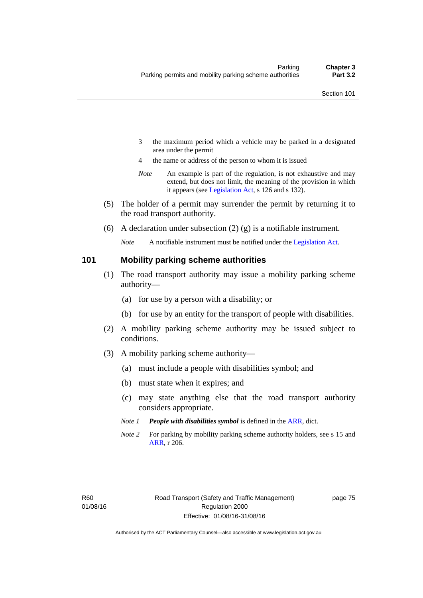- 3 the maximum period which a vehicle may be parked in a designated area under the permit
- 4 the name or address of the person to whom it is issued
- *Note* An example is part of the regulation, is not exhaustive and may extend, but does not limit, the meaning of the provision in which it appears (see [Legislation Act,](http://www.legislation.act.gov.au/a/2001-14) s 126 and s 132).
- (5) The holder of a permit may surrender the permit by returning it to the road transport authority.
- (6) A declaration under subsection  $(2)$  (g) is a notifiable instrument.

*Note* A notifiable instrument must be notified under the [Legislation Act](http://www.legislation.act.gov.au/a/2001-14).

#### **101 Mobility parking scheme authorities**

- (1) The road transport authority may issue a mobility parking scheme authority—
	- (a) for use by a person with a disability; or
	- (b) for use by an entity for the transport of people with disabilities.
- (2) A mobility parking scheme authority may be issued subject to conditions.
- (3) A mobility parking scheme authority—
	- (a) must include a people with disabilities symbol; and
	- (b) must state when it expires; and
	- (c) may state anything else that the road transport authority considers appropriate.
	- *Note 1 People with disabilities symbol* is defined in the [ARR,](http://www.legislation.act.gov.au//ni/db_37271/default.asp) dict.
	- *Note 2* For parking by mobility parking scheme authority holders, see s 15 and [ARR,](http://www.legislation.act.gov.au//ni/db_37271/default.asp) r 206.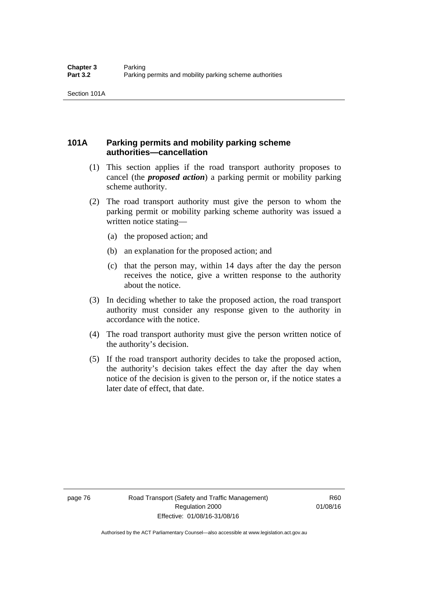# **101A Parking permits and mobility parking scheme authorities—cancellation**

- (1) This section applies if the road transport authority proposes to cancel (the *proposed action*) a parking permit or mobility parking scheme authority.
- (2) The road transport authority must give the person to whom the parking permit or mobility parking scheme authority was issued a written notice stating—
	- (a) the proposed action; and
	- (b) an explanation for the proposed action; and
	- (c) that the person may, within 14 days after the day the person receives the notice, give a written response to the authority about the notice.
- (3) In deciding whether to take the proposed action, the road transport authority must consider any response given to the authority in accordance with the notice.
- (4) The road transport authority must give the person written notice of the authority's decision.
- (5) If the road transport authority decides to take the proposed action, the authority's decision takes effect the day after the day when notice of the decision is given to the person or, if the notice states a later date of effect, that date.

page 76 Road Transport (Safety and Traffic Management) Regulation 2000 Effective: 01/08/16-31/08/16

R60 01/08/16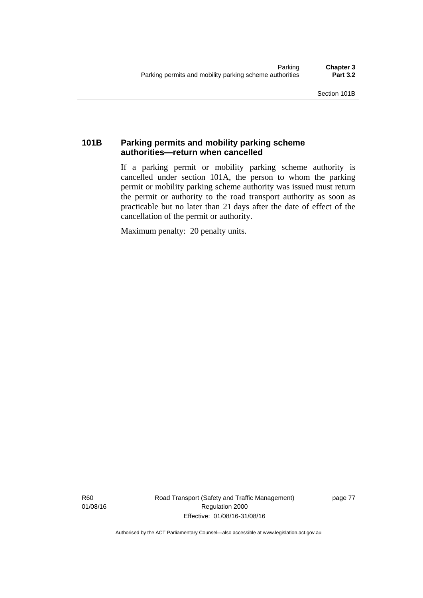# **101B Parking permits and mobility parking scheme authorities—return when cancelled**

If a parking permit or mobility parking scheme authority is cancelled under section 101A, the person to whom the parking permit or mobility parking scheme authority was issued must return the permit or authority to the road transport authority as soon as practicable but no later than 21 days after the date of effect of the cancellation of the permit or authority.

Maximum penalty: 20 penalty units.

R60 01/08/16 Road Transport (Safety and Traffic Management) Regulation 2000 Effective: 01/08/16-31/08/16

page 77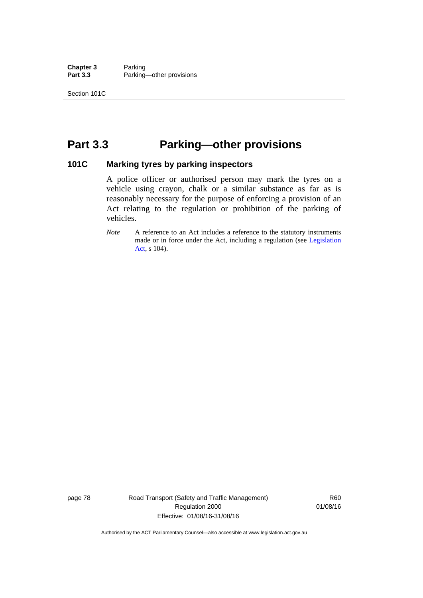**Chapter 3** Parking<br>**Part 3.3** Parking Parking—other provisions

# **Part 3.3 Parking—other provisions**

#### **101C Marking tyres by parking inspectors**

A police officer or authorised person may mark the tyres on a vehicle using crayon, chalk or a similar substance as far as is reasonably necessary for the purpose of enforcing a provision of an Act relating to the regulation or prohibition of the parking of vehicles.

*Note* A reference to an Act includes a reference to the statutory instruments made or in force under the Act, including a regulation (see [Legislation](http://www.legislation.act.gov.au/a/2001-14)  [Act](http://www.legislation.act.gov.au/a/2001-14), s 104).

page 78 Road Transport (Safety and Traffic Management) Regulation 2000 Effective: 01/08/16-31/08/16

R60 01/08/16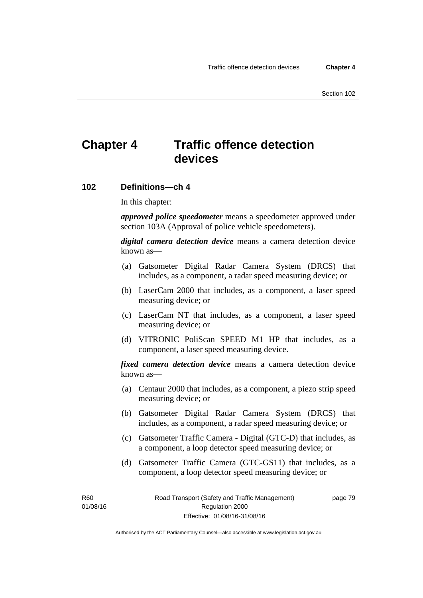# **Chapter 4 Traffic offence detection devices**

#### **102 Definitions—ch 4**

In this chapter:

*approved police speedometer* means a speedometer approved under section 103A (Approval of police vehicle speedometers).

*digital camera detection device* means a camera detection device known as—

- (a) Gatsometer Digital Radar Camera System (DRCS) that includes, as a component, a radar speed measuring device; or
- (b) LaserCam 2000 that includes, as a component, a laser speed measuring device; or
- (c) LaserCam NT that includes, as a component, a laser speed measuring device; or
- (d) VITRONIC PoliScan SPEED M1 HP that includes, as a component, a laser speed measuring device.

*fixed camera detection device* means a camera detection device known as—

- (a) Centaur 2000 that includes, as a component, a piezo strip speed measuring device; or
- (b) Gatsometer Digital Radar Camera System (DRCS) that includes, as a component, a radar speed measuring device; or
- (c) Gatsometer Traffic Camera Digital (GTC-D) that includes, as a component, a loop detector speed measuring device; or
- (d) Gatsometer Traffic Camera (GTC-GS11) that includes, as a component, a loop detector speed measuring device; or

R60 01/08/16 page 79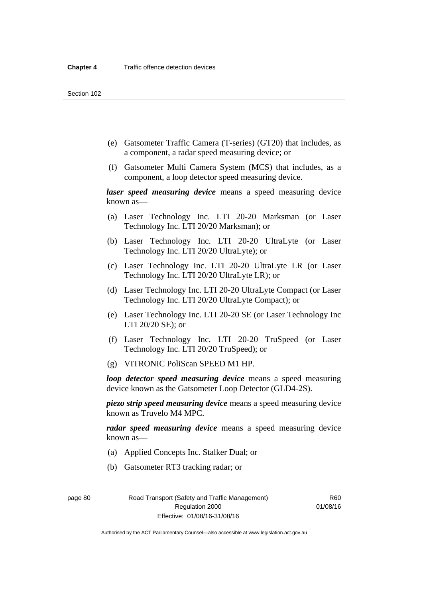- (e) Gatsometer Traffic Camera (T-series) (GT20) that includes, as a component, a radar speed measuring device; or
- (f) Gatsometer Multi Camera System (MCS) that includes, as a component, a loop detector speed measuring device.

*laser speed measuring device* means a speed measuring device known as—

- (a) Laser Technology Inc. LTI 20-20 Marksman (or Laser Technology Inc. LTI 20/20 Marksman); or
- (b) Laser Technology Inc. LTI 20-20 UltraLyte (or Laser Technology Inc. LTI 20/20 UltraLyte); or
- (c) Laser Technology Inc. LTI 20-20 UltraLyte LR (or Laser Technology Inc. LTI 20/20 UltraLyte LR); or
- (d) Laser Technology Inc. LTI 20-20 UltraLyte Compact (or Laser Technology Inc. LTI 20/20 UltraLyte Compact); or
- (e) Laser Technology Inc. LTI 20-20 SE (or Laser Technology Inc LTI 20/20 SE); or
- (f) Laser Technology Inc. LTI 20-20 TruSpeed (or Laser Technology Inc. LTI 20/20 TruSpeed); or
- (g) VITRONIC PoliScan SPEED M1 HP.

*loop detector speed measuring device* means a speed measuring device known as the Gatsometer Loop Detector (GLD4-2S).

*piezo strip speed measuring device* means a speed measuring device known as Truvelo M4 MPC.

*radar speed measuring device* means a speed measuring device known as—

- (a) Applied Concepts Inc. Stalker Dual; or
- (b) Gatsometer RT3 tracking radar; or

page 80 Road Transport (Safety and Traffic Management) Regulation 2000 Effective: 01/08/16-31/08/16

R60 01/08/16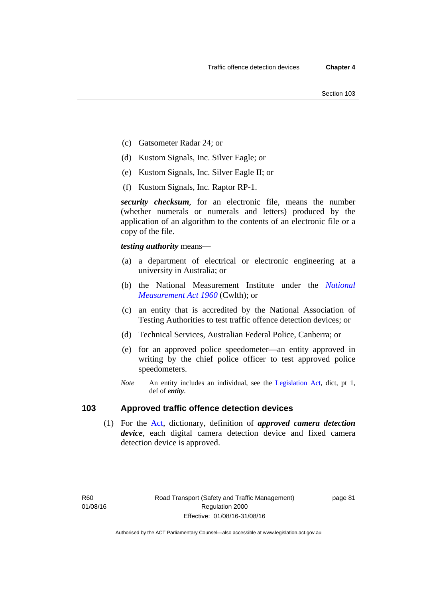- (c) Gatsometer Radar 24; or
- (d) Kustom Signals, Inc. Silver Eagle; or
- (e) Kustom Signals, Inc. Silver Eagle II; or
- (f) Kustom Signals, Inc. Raptor RP-1.

*security checksum*, for an electronic file, means the number (whether numerals or numerals and letters) produced by the application of an algorithm to the contents of an electronic file or a copy of the file.

*testing authority* means—

- (a) a department of electrical or electronic engineering at a university in Australia; or
- (b) the National Measurement Institute under the *[National](http://www.comlaw.gov.au/Series/C2004A07405)  [Measurement Act 1960](http://www.comlaw.gov.au/Series/C2004A07405)* (Cwlth); or
- (c) an entity that is accredited by the National Association of Testing Authorities to test traffic offence detection devices; or
- (d) Technical Services, Australian Federal Police, Canberra; or
- (e) for an approved police speedometer—an entity approved in writing by the chief police officer to test approved police speedometers.
- *Note* An entity includes an individual, see the [Legislation Act,](http://www.legislation.act.gov.au/a/2001-14) dict, pt 1, def of *entity*.

# **103 Approved traffic offence detection devices**

 (1) For the [Act,](http://www.legislation.act.gov.au/a/1999-80/default.asp) dictionary, definition of *approved camera detection device*, each digital camera detection device and fixed camera detection device is approved.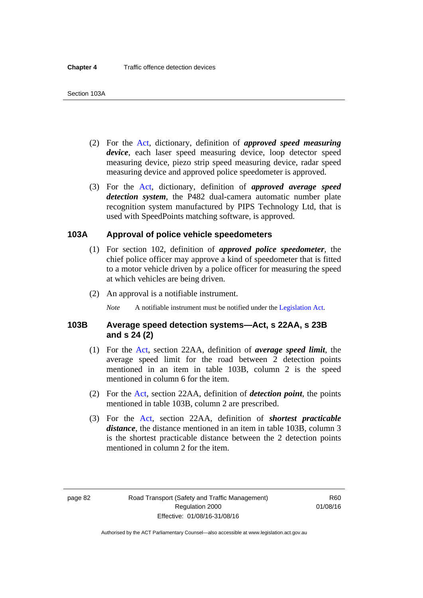- (2) For the [Act,](http://www.legislation.act.gov.au/a/1999-80/default.asp) dictionary, definition of *approved speed measuring device*, each laser speed measuring device, loop detector speed measuring device, piezo strip speed measuring device, radar speed measuring device and approved police speedometer is approved.
- (3) For the [Act](http://www.legislation.act.gov.au/a/1999-80/default.asp), dictionary, definition of *approved average speed detection system*, the P482 dual-camera automatic number plate recognition system manufactured by PIPS Technology Ltd, that is used with SpeedPoints matching software, is approved.

#### **103A Approval of police vehicle speedometers**

- (1) For section 102, definition of *approved police speedometer*, the chief police officer may approve a kind of speedometer that is fitted to a motor vehicle driven by a police officer for measuring the speed at which vehicles are being driven.
- (2) An approval is a notifiable instrument.

*Note* A notifiable instrument must be notified under the [Legislation Act](http://www.legislation.act.gov.au/a/2001-14).

#### **103B Average speed detection systems—Act, s 22AA, s 23B and s 24 (2)**

- (1) For the [Act](http://www.legislation.act.gov.au/a/1999-80/default.asp), section 22AA, definition of *average speed limit*, the average speed limit for the road between 2 detection points mentioned in an item in table 103B, column 2 is the speed mentioned in column 6 for the item.
- (2) For the [Act](http://www.legislation.act.gov.au/a/1999-80/default.asp), section 22AA, definition of *detection point*, the points mentioned in table 103B, column 2 are prescribed.
- (3) For the [Act](http://www.legislation.act.gov.au/a/1999-80/default.asp), section 22AA, definition of *shortest practicable distance*, the distance mentioned in an item in table 103B, column 3 is the shortest practicable distance between the 2 detection points mentioned in column 2 for the item.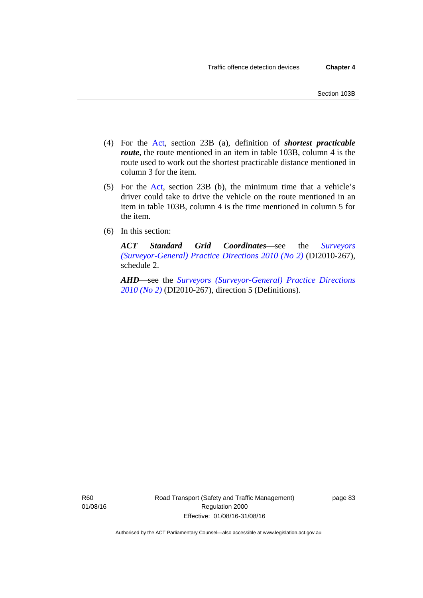- (4) For the [Act,](http://www.legislation.act.gov.au/a/1999-80/default.asp) section 23B (a), definition of *shortest practicable route*, the route mentioned in an item in table 103B, column 4 is the route used to work out the shortest practicable distance mentioned in column 3 for the item.
- (5) For the [Act](http://www.legislation.act.gov.au/a/1999-80/default.asp), section 23B (b), the minimum time that a vehicle's driver could take to drive the vehicle on the route mentioned in an item in table 103B, column 4 is the time mentioned in column 5 for the item.
- (6) In this section:

*ACT Standard Grid Coordinates*—see the *[Surveyors](http://www.legislation.act.gov.au/di/2010-267/default.asp)  [\(Surveyor-General\) Practice Directions 2010 \(No 2\)](http://www.legislation.act.gov.au/di/2010-267/default.asp)* (DI2010-267), schedule 2.

*AHD*—see the *[Surveyors \(Surveyor-General\) Practice Directions](http://www.legislation.act.gov.au/di/2010-267/default.asp)  [2010 \(No 2\)](http://www.legislation.act.gov.au/di/2010-267/default.asp)* (DI2010-267), direction 5 (Definitions).

R60 01/08/16 Road Transport (Safety and Traffic Management) Regulation 2000 Effective: 01/08/16-31/08/16

page 83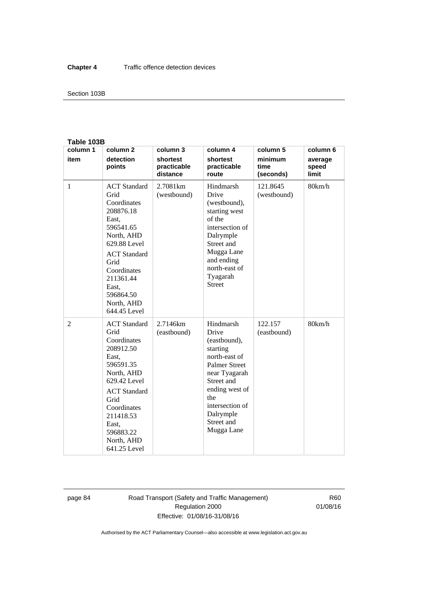#### Section 103B

#### **Table 103B**

| column 1 | column <sub>2</sub>                                                                                                                                                                                                        | column 3                            | column 4                                                                                                                                                                                                    | column 5                     | column 6                  |
|----------|----------------------------------------------------------------------------------------------------------------------------------------------------------------------------------------------------------------------------|-------------------------------------|-------------------------------------------------------------------------------------------------------------------------------------------------------------------------------------------------------------|------------------------------|---------------------------|
| item     | detection<br>points                                                                                                                                                                                                        | shortest<br>practicable<br>distance | shortest<br>practicable<br>route                                                                                                                                                                            | minimum<br>time<br>(seconds) | average<br>speed<br>limit |
| 1        | <b>ACT</b> Standard<br>Grid<br>Coordinates<br>208876.18<br>East,<br>596541.65<br>North, AHD<br>629.88 Level<br><b>ACT</b> Standard<br>Grid<br>Coordinates<br>211361.44<br>East.<br>596864.50<br>North, AHD<br>644.45 Level | 2.7081 <sub>km</sub><br>(westbound) | Hindmarsh<br>Drive<br>(westbound),<br>starting west<br>of the<br>intersection of<br>Dalrymple<br>Street and<br>Mugga Lane<br>and ending<br>north-east of<br>Tyagarah<br><b>Street</b>                       | 121.8645<br>(westbound)      | 80km/h                    |
| 2        | <b>ACT</b> Standard<br>Grid<br>Coordinates<br>208912.50<br>East,<br>596591.35<br>North, AHD<br>629.42 Level<br><b>ACT</b> Standard<br>Grid<br>Coordinates<br>211418.53<br>East.<br>596883.22<br>North, AHD<br>641.25 Level | 2.7146km<br>(eastbound)             | Hindmarsh<br>Drive<br>(eastbound),<br>starting<br>north-east of<br><b>Palmer Street</b><br>near Tyagarah<br>Street and<br>ending west of<br>the<br>intersection of<br>Dalrymple<br>Street and<br>Mugga Lane | 122.157<br>(eastbound)       | 80km/h                    |

page 84 Road Transport (Safety and Traffic Management) Regulation 2000 Effective: 01/08/16-31/08/16

R60 01/08/16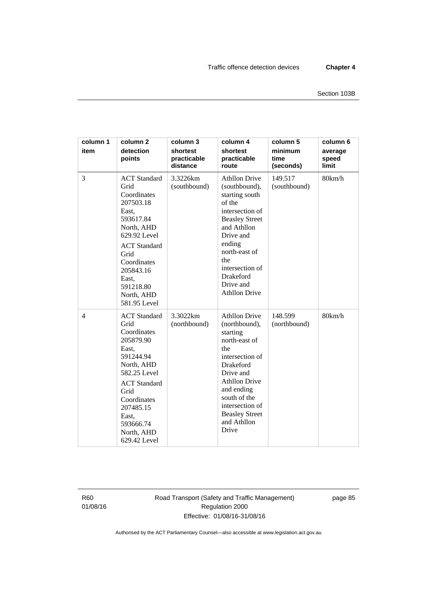| column 1<br>item | column <sub>2</sub><br>detection<br>points                                                                                                                                                                                 | column 3<br>shortest<br>practicable<br>distance | column 4<br>shortest<br>practicable<br>route                                                                                                                                                                                                            | column 5<br>minimum<br>time<br>(seconds) | column 6<br>average<br>speed<br>limit |
|------------------|----------------------------------------------------------------------------------------------------------------------------------------------------------------------------------------------------------------------------|-------------------------------------------------|---------------------------------------------------------------------------------------------------------------------------------------------------------------------------------------------------------------------------------------------------------|------------------------------------------|---------------------------------------|
| 3                | <b>ACT</b> Standard<br>Grid<br>Coordinates<br>207503.18<br>East,<br>593617.84<br>North, AHD<br>629.92 Level<br><b>ACT</b> Standard<br>Grid<br>Coordinates<br>205843.16<br>East,<br>591218.80<br>North, AHD<br>581.95 Level | 3.3226km<br>(southbound)                        | <b>Athllon Drive</b><br>(southbound),<br>starting south<br>of the<br>intersection of<br><b>Beasley Street</b><br>and Athllon<br>Drive and<br>ending<br>north-east of<br>the<br>intersection of<br>Drakeford<br>Drive and<br><b>Athllon Drive</b>        | 149.517<br>(southbound)                  | 80km/h                                |
| $\overline{4}$   | <b>ACT</b> Standard<br>Grid<br>Coordinates<br>205879.90<br>East,<br>591244.94<br>North, AHD<br>582.25 Level<br><b>ACT</b> Standard<br>Grid<br>Coordinates<br>207485.15<br>East,<br>593666.74<br>North, AHD<br>629.42 Level | 3.3022km<br>(northbound)                        | <b>Athllon Drive</b><br>(northbound),<br>starting<br>north-east of<br>the<br>intersection of<br><b>Drakeford</b><br>Drive and<br><b>Athllon Drive</b><br>and ending<br>south of the<br>intersection of<br><b>Beasley Street</b><br>and Athllon<br>Drive | 148.599<br>(northbound)                  | 80km/h                                |

R60 01/08/16 Road Transport (Safety and Traffic Management) Regulation 2000 Effective: 01/08/16-31/08/16

page 85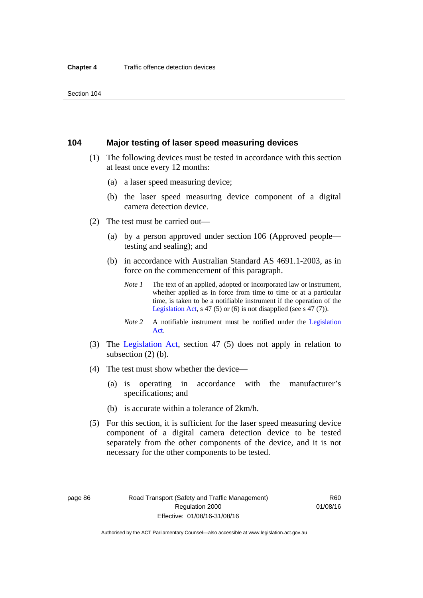#### **104 Major testing of laser speed measuring devices**

- (1) The following devices must be tested in accordance with this section at least once every 12 months:
	- (a) a laser speed measuring device;
	- (b) the laser speed measuring device component of a digital camera detection device.
- (2) The test must be carried out—
	- (a) by a person approved under section 106 (Approved people testing and sealing); and
	- (b) in accordance with Australian Standard AS 4691.1-2003, as in force on the commencement of this paragraph.
		- *Note 1* The text of an applied, adopted or incorporated law or instrument, whether applied as in force from time to time or at a particular time, is taken to be a notifiable instrument if the operation of the [Legislation Act,](http://www.legislation.act.gov.au/a/2001-14) s 47 (5) or (6) is not disapplied (see s 47 (7)).
		- *Note 2* A notifiable instrument must be notified under the [Legislation](http://www.legislation.act.gov.au/a/2001-14)  [Act](http://www.legislation.act.gov.au/a/2001-14).
- (3) The [Legislation Act,](http://www.legislation.act.gov.au/a/2001-14) section 47 (5) does not apply in relation to subsection (2) (b).
- (4) The test must show whether the device—
	- (a) is operating in accordance with the manufacturer's specifications; and
	- (b) is accurate within a tolerance of 2km/h.
- (5) For this section, it is sufficient for the laser speed measuring device component of a digital camera detection device to be tested separately from the other components of the device, and it is not necessary for the other components to be tested.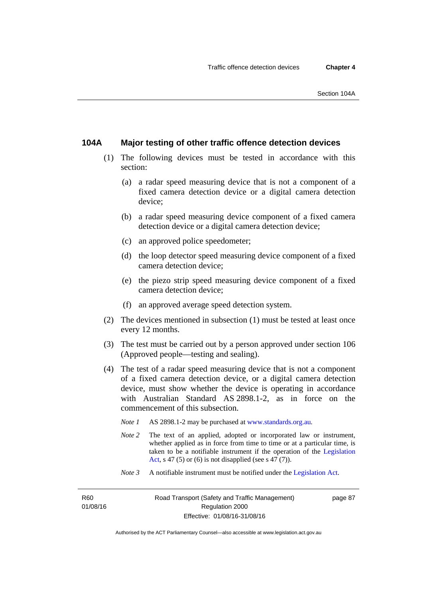### **104A Major testing of other traffic offence detection devices**

- (1) The following devices must be tested in accordance with this section:
	- (a) a radar speed measuring device that is not a component of a fixed camera detection device or a digital camera detection device;
	- (b) a radar speed measuring device component of a fixed camera detection device or a digital camera detection device;
	- (c) an approved police speedometer;
	- (d) the loop detector speed measuring device component of a fixed camera detection device;
	- (e) the piezo strip speed measuring device component of a fixed camera detection device;
	- (f) an approved average speed detection system.
- (2) The devices mentioned in subsection (1) must be tested at least once every 12 months.
- (3) The test must be carried out by a person approved under section 106 (Approved people—testing and sealing).
- (4) The test of a radar speed measuring device that is not a component of a fixed camera detection device, or a digital camera detection device, must show whether the device is operating in accordance with Australian Standard AS 2898.1-2, as in force on the commencement of this subsection.
	- *Note 1* AS 2898.1-2 may be purchased at [www.standards.org.au](http://www.standards.org.au/Pages/default.aspx)*.*
	- *Note* 2 The text of an applied, adopted or incorporated law or instrument, whether applied as in force from time to time or at a particular time, is taken to be a notifiable instrument if the operation of the [Legislation](http://www.legislation.act.gov.au/a/2001-14)  [Act,](http://www.legislation.act.gov.au/a/2001-14) s 47 (5) or (6) is not disapplied (see s 47 (7)).
	- *Note 3* A notifiable instrument must be notified under the [Legislation Act](http://www.legislation.act.gov.au/a/2001-14).

R<sub>60</sub> 01/08/16 page 87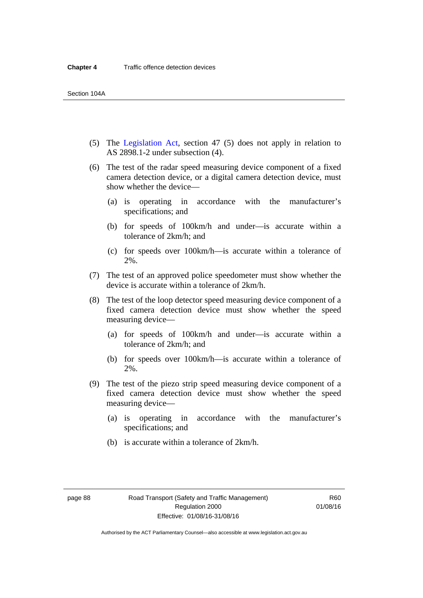- (5) The [Legislation Act,](http://www.legislation.act.gov.au/a/2001-14) section 47 (5) does not apply in relation to AS 2898.1-2 under subsection (4).
- (6) The test of the radar speed measuring device component of a fixed camera detection device, or a digital camera detection device, must show whether the device—
	- (a) is operating in accordance with the manufacturer's specifications; and
	- (b) for speeds of 100km/h and under—is accurate within a tolerance of 2km/h; and
	- (c) for speeds over 100km/h—is accurate within a tolerance of 2%.
- (7) The test of an approved police speedometer must show whether the device is accurate within a tolerance of 2km/h.
- (8) The test of the loop detector speed measuring device component of a fixed camera detection device must show whether the speed measuring device—
	- (a) for speeds of 100km/h and under—is accurate within a tolerance of 2km/h; and
	- (b) for speeds over 100km/h—is accurate within a tolerance of 2%.
- (9) The test of the piezo strip speed measuring device component of a fixed camera detection device must show whether the speed measuring device—
	- (a) is operating in accordance with the manufacturer's specifications; and
	- (b) is accurate within a tolerance of 2km/h.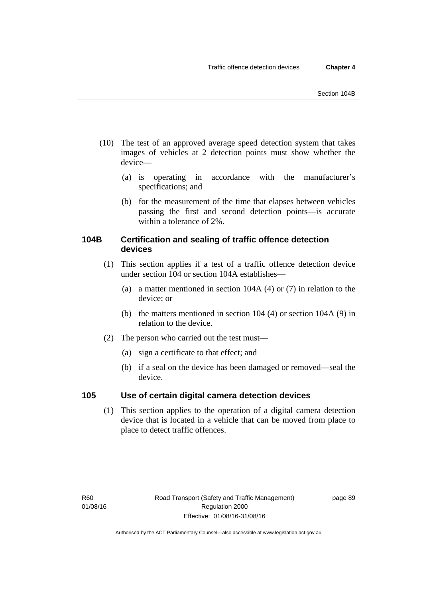- (10) The test of an approved average speed detection system that takes images of vehicles at 2 detection points must show whether the device—
	- (a) is operating in accordance with the manufacturer's specifications; and
	- (b) for the measurement of the time that elapses between vehicles passing the first and second detection points—is accurate within a tolerance of 2%.

# **104B Certification and sealing of traffic offence detection devices**

- (1) This section applies if a test of a traffic offence detection device under section 104 or section 104A establishes—
	- (a) a matter mentioned in section 104A (4) or (7) in relation to the device; or
	- (b) the matters mentioned in section 104 (4) or section 104A (9) in relation to the device.
- (2) The person who carried out the test must—
	- (a) sign a certificate to that effect; and
	- (b) if a seal on the device has been damaged or removed—seal the device.

# **105 Use of certain digital camera detection devices**

(1) This section applies to the operation of a digital camera detection device that is located in a vehicle that can be moved from place to place to detect traffic offences.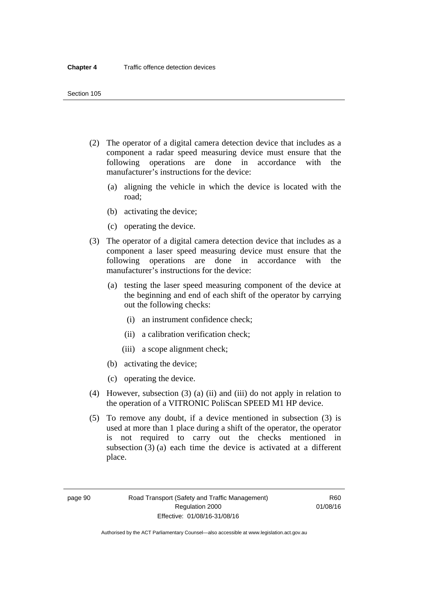- (2) The operator of a digital camera detection device that includes as a component a radar speed measuring device must ensure that the following operations are done in accordance with the manufacturer's instructions for the device:
	- (a) aligning the vehicle in which the device is located with the road;
	- (b) activating the device;
	- (c) operating the device.
- (3) The operator of a digital camera detection device that includes as a component a laser speed measuring device must ensure that the following operations are done in accordance with the manufacturer's instructions for the device:
	- (a) testing the laser speed measuring component of the device at the beginning and end of each shift of the operator by carrying out the following checks:
		- (i) an instrument confidence check;
		- (ii) a calibration verification check;
		- (iii) a scope alignment check;
	- (b) activating the device;
	- (c) operating the device.
- (4) However, subsection (3) (a) (ii) and (iii) do not apply in relation to the operation of a VITRONIC PoliScan SPEED M1 HP device.
- (5) To remove any doubt, if a device mentioned in subsection (3) is used at more than 1 place during a shift of the operator, the operator is not required to carry out the checks mentioned in subsection (3) (a) each time the device is activated at a different place.

page 90 Road Transport (Safety and Traffic Management) Regulation 2000 Effective: 01/08/16-31/08/16

R60 01/08/16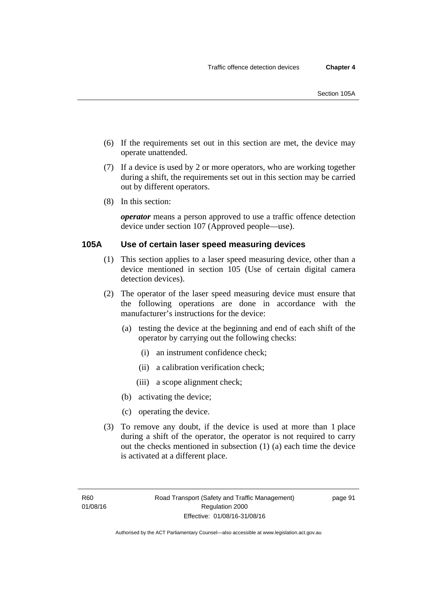- (6) If the requirements set out in this section are met, the device may operate unattended.
- (7) If a device is used by 2 or more operators, who are working together during a shift, the requirements set out in this section may be carried out by different operators.
- (8) In this section:

*operator* means a person approved to use a traffic offence detection device under section 107 (Approved people—use).

# **105A Use of certain laser speed measuring devices**

- (1) This section applies to a laser speed measuring device, other than a device mentioned in section 105 (Use of certain digital camera detection devices).
- (2) The operator of the laser speed measuring device must ensure that the following operations are done in accordance with the manufacturer's instructions for the device:
	- (a) testing the device at the beginning and end of each shift of the operator by carrying out the following checks:
		- (i) an instrument confidence check;
		- (ii) a calibration verification check;
		- (iii) a scope alignment check;
	- (b) activating the device;
	- (c) operating the device.
- (3) To remove any doubt, if the device is used at more than 1 place during a shift of the operator, the operator is not required to carry out the checks mentioned in subsection (1) (a) each time the device is activated at a different place.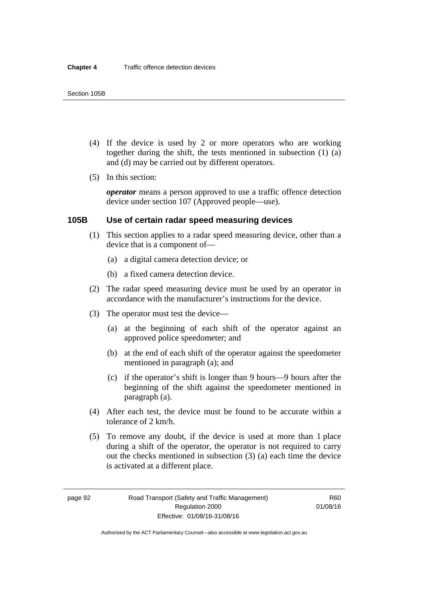- (4) If the device is used by 2 or more operators who are working together during the shift, the tests mentioned in subsection (1) (a) and (d) may be carried out by different operators.
- (5) In this section:

*operator* means a person approved to use a traffic offence detection device under section 107 (Approved people—use).

### **105B Use of certain radar speed measuring devices**

- (1) This section applies to a radar speed measuring device, other than a device that is a component of—
	- (a) a digital camera detection device; or
	- (b) a fixed camera detection device.
- (2) The radar speed measuring device must be used by an operator in accordance with the manufacturer's instructions for the device.
- (3) The operator must test the device—
	- (a) at the beginning of each shift of the operator against an approved police speedometer; and
	- (b) at the end of each shift of the operator against the speedometer mentioned in paragraph (a); and
	- (c) if the operator's shift is longer than 9 hours—9 hours after the beginning of the shift against the speedometer mentioned in paragraph (a).
- (4) After each test, the device must be found to be accurate within a tolerance of 2 km/h.
- (5) To remove any doubt, if the device is used at more than 1 place during a shift of the operator, the operator is not required to carry out the checks mentioned in subsection (3) (a) each time the device is activated at a different place.

page 92 Road Transport (Safety and Traffic Management) Regulation 2000 Effective: 01/08/16-31/08/16

R60 01/08/16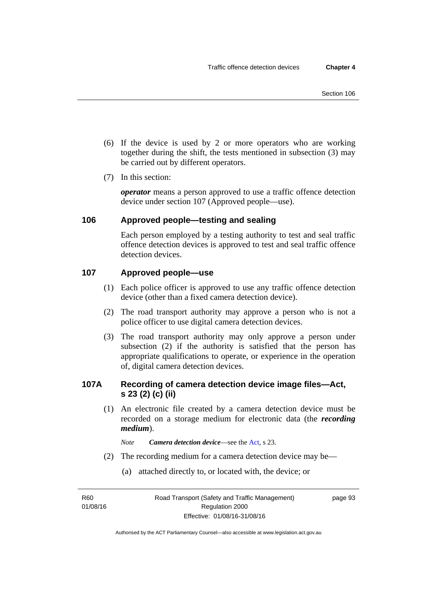- (6) If the device is used by 2 or more operators who are working together during the shift, the tests mentioned in subsection (3) may be carried out by different operators.
- (7) In this section:

*operator* means a person approved to use a traffic offence detection device under section 107 (Approved people—use).

# **106 Approved people—testing and sealing**

Each person employed by a testing authority to test and seal traffic offence detection devices is approved to test and seal traffic offence detection devices.

# **107 Approved people—use**

- (1) Each police officer is approved to use any traffic offence detection device (other than a fixed camera detection device).
- (2) The road transport authority may approve a person who is not a police officer to use digital camera detection devices.
- (3) The road transport authority may only approve a person under subsection (2) if the authority is satisfied that the person has appropriate qualifications to operate, or experience in the operation of, digital camera detection devices.

# **107A Recording of camera detection device image files—Act, s 23 (2) (c) (ii)**

(1) An electronic file created by a camera detection device must be recorded on a storage medium for electronic data (the *recording medium*).

*Note Camera detection device*—see the [Act](http://www.legislation.act.gov.au/a/1999-80/default.asp), s 23.

- (2) The recording medium for a camera detection device may be—
	- (a) attached directly to, or located with, the device; or

R60 01/08/16 page 93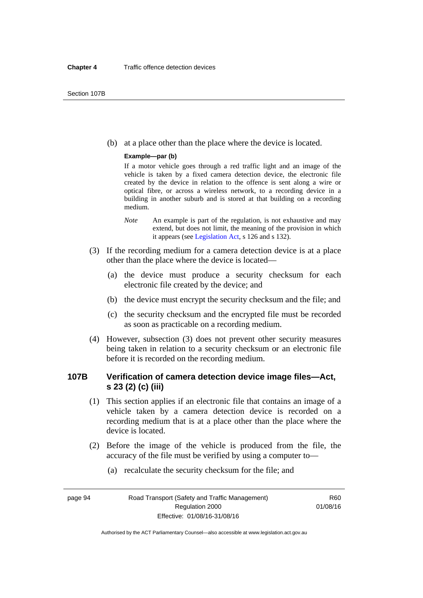(b) at a place other than the place where the device is located.

#### **Example—par (b)**

If a motor vehicle goes through a red traffic light and an image of the vehicle is taken by a fixed camera detection device, the electronic file created by the device in relation to the offence is sent along a wire or optical fibre, or across a wireless network, to a recording device in a building in another suburb and is stored at that building on a recording medium.

- *Note* An example is part of the regulation, is not exhaustive and may extend, but does not limit, the meaning of the provision in which it appears (see [Legislation Act,](http://www.legislation.act.gov.au/a/2001-14) s 126 and s 132).
- (3) If the recording medium for a camera detection device is at a place other than the place where the device is located—
	- (a) the device must produce a security checksum for each electronic file created by the device; and
	- (b) the device must encrypt the security checksum and the file; and
	- (c) the security checksum and the encrypted file must be recorded as soon as practicable on a recording medium.
- (4) However, subsection (3) does not prevent other security measures being taken in relation to a security checksum or an electronic file before it is recorded on the recording medium.

# **107B Verification of camera detection device image files—Act, s 23 (2) (c) (iii)**

- (1) This section applies if an electronic file that contains an image of a vehicle taken by a camera detection device is recorded on a recording medium that is at a place other than the place where the device is located.
- (2) Before the image of the vehicle is produced from the file, the accuracy of the file must be verified by using a computer to—
	- (a) recalculate the security checksum for the file; and

page 94 Road Transport (Safety and Traffic Management) Regulation 2000 Effective: 01/08/16-31/08/16

R60 01/08/16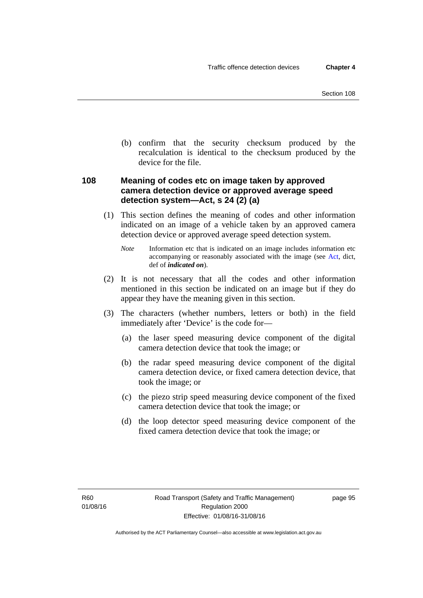(b) confirm that the security checksum produced by the recalculation is identical to the checksum produced by the device for the file.

# **108 Meaning of codes etc on image taken by approved camera detection device or approved average speed detection system—Act, s 24 (2) (a)**

(1) This section defines the meaning of codes and other information indicated on an image of a vehicle taken by an approved camera detection device or approved average speed detection system.

*Note* Information etc that is indicated on an image includes information etc accompanying or reasonably associated with the image (see [Act,](http://www.legislation.act.gov.au/a/1999-80/default.asp) dict, def of *indicated on*).

- (2) It is not necessary that all the codes and other information mentioned in this section be indicated on an image but if they do appear they have the meaning given in this section.
- (3) The characters (whether numbers, letters or both) in the field immediately after 'Device' is the code for—
	- (a) the laser speed measuring device component of the digital camera detection device that took the image; or
	- (b) the radar speed measuring device component of the digital camera detection device, or fixed camera detection device, that took the image; or
	- (c) the piezo strip speed measuring device component of the fixed camera detection device that took the image; or
	- (d) the loop detector speed measuring device component of the fixed camera detection device that took the image; or

page 95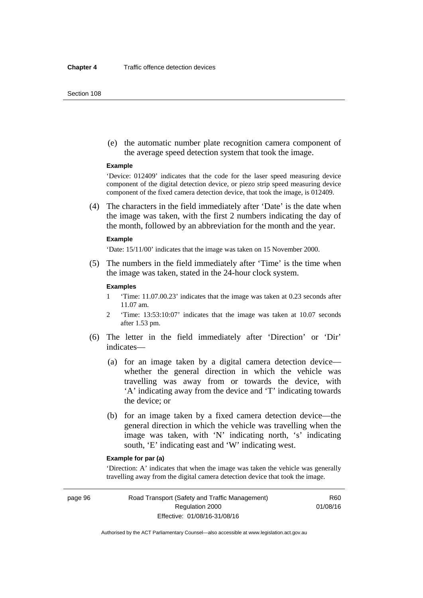#### Section 108

 (e) the automatic number plate recognition camera component of the average speed detection system that took the image.

#### **Example**

'Device: 012409' indicates that the code for the laser speed measuring device component of the digital detection device, or piezo strip speed measuring device component of the fixed camera detection device, that took the image, is 012409.

 (4) The characters in the field immediately after 'Date' is the date when the image was taken, with the first 2 numbers indicating the day of the month, followed by an abbreviation for the month and the year.

#### **Example**

'Date: 15/11/00' indicates that the image was taken on 15 November 2000.

 (5) The numbers in the field immediately after 'Time' is the time when the image was taken, stated in the 24-hour clock system.

#### **Examples**

- 1 'Time: 11.07.00.23' indicates that the image was taken at 0.23 seconds after 11.07 am.
- 2 'Time: 13:53:10:07' indicates that the image was taken at 10.07 seconds after 1.53 pm.
- (6) The letter in the field immediately after 'Direction' or 'Dir' indicates—
	- (a) for an image taken by a digital camera detection device whether the general direction in which the vehicle was travelling was away from or towards the device, with 'A' indicating away from the device and 'T' indicating towards the device; or
	- (b) for an image taken by a fixed camera detection device—the general direction in which the vehicle was travelling when the image was taken, with 'N' indicating north, 's' indicating south, 'E' indicating east and 'W' indicating west.

#### **Example for par (a)**

'Direction: A' indicates that when the image was taken the vehicle was generally travelling away from the digital camera detection device that took the image.

page 96 Road Transport (Safety and Traffic Management) Regulation 2000 Effective: 01/08/16-31/08/16

R60 01/08/16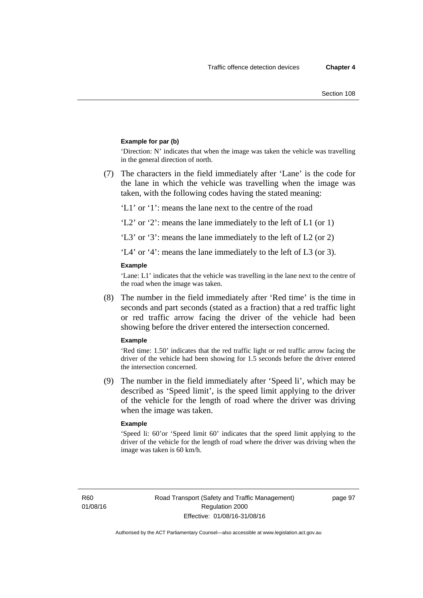#### **Example for par (b)**

'Direction: N' indicates that when the image was taken the vehicle was travelling in the general direction of north.

 (7) The characters in the field immediately after 'Lane' is the code for the lane in which the vehicle was travelling when the image was taken, with the following codes having the stated meaning:

'L1' or '1': means the lane next to the centre of the road

'L2' or '2': means the lane immediately to the left of L1 (or 1)

'L3' or '3': means the lane immediately to the left of L2 (or 2)

'L4' or '4': means the lane immediately to the left of L3 (or 3).

#### **Example**

'Lane: L1' indicates that the vehicle was travelling in the lane next to the centre of the road when the image was taken.

 (8) The number in the field immediately after 'Red time' is the time in seconds and part seconds (stated as a fraction) that a red traffic light or red traffic arrow facing the driver of the vehicle had been showing before the driver entered the intersection concerned.

#### **Example**

'Red time: 1.50' indicates that the red traffic light or red traffic arrow facing the driver of the vehicle had been showing for 1.5 seconds before the driver entered the intersection concerned.

 (9) The number in the field immediately after 'Speed li', which may be described as 'Speed limit', is the speed limit applying to the driver of the vehicle for the length of road where the driver was driving when the image was taken.

#### **Example**

'Speed li: 60'or 'Speed limit 60' indicates that the speed limit applying to the driver of the vehicle for the length of road where the driver was driving when the image was taken is 60 km/h.

R60 01/08/16 page 97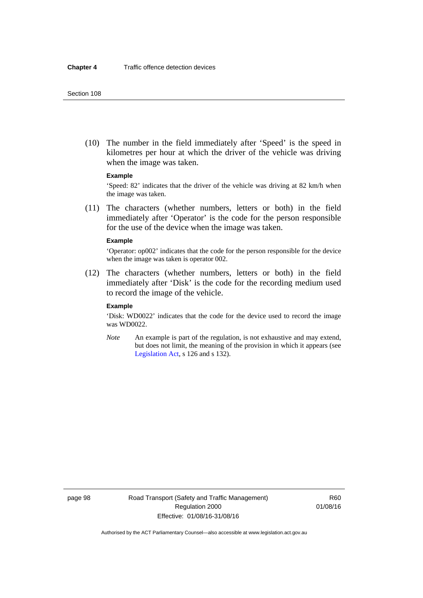(10) The number in the field immediately after 'Speed' is the speed in kilometres per hour at which the driver of the vehicle was driving when the image was taken.

#### **Example**

'Speed: 82' indicates that the driver of the vehicle was driving at 82 km/h when the image was taken.

 (11) The characters (whether numbers, letters or both) in the field immediately after 'Operator' is the code for the person responsible for the use of the device when the image was taken.

#### **Example**

'Operator: op002' indicates that the code for the person responsible for the device when the image was taken is operator 002.

 (12) The characters (whether numbers, letters or both) in the field immediately after 'Disk' is the code for the recording medium used to record the image of the vehicle.

#### **Example**

'Disk: WD0022' indicates that the code for the device used to record the image was WD0022.

*Note* An example is part of the regulation, is not exhaustive and may extend, but does not limit, the meaning of the provision in which it appears (see [Legislation Act,](http://www.legislation.act.gov.au/a/2001-14) s 126 and s 132).

page 98 Road Transport (Safety and Traffic Management) Regulation 2000 Effective: 01/08/16-31/08/16

R60 01/08/16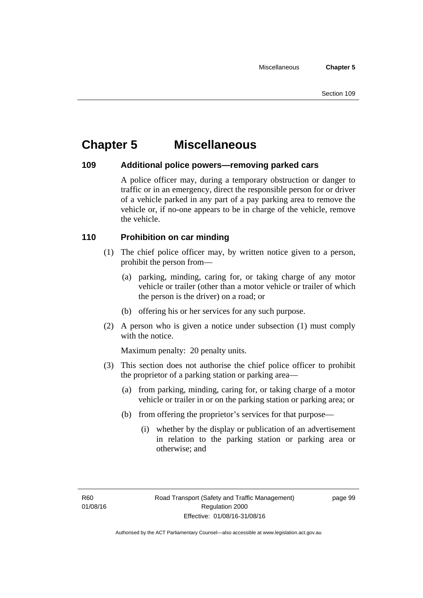# **Chapter 5 Miscellaneous**

# **109 Additional police powers—removing parked cars**

A police officer may, during a temporary obstruction or danger to traffic or in an emergency, direct the responsible person for or driver of a vehicle parked in any part of a pay parking area to remove the vehicle or, if no-one appears to be in charge of the vehicle, remove the vehicle.

# **110 Prohibition on car minding**

- (1) The chief police officer may, by written notice given to a person, prohibit the person from—
	- (a) parking, minding, caring for, or taking charge of any motor vehicle or trailer (other than a motor vehicle or trailer of which the person is the driver) on a road; or
	- (b) offering his or her services for any such purpose.
- (2) A person who is given a notice under subsection (1) must comply with the notice.

Maximum penalty: 20 penalty units.

- (3) This section does not authorise the chief police officer to prohibit the proprietor of a parking station or parking area—
	- (a) from parking, minding, caring for, or taking charge of a motor vehicle or trailer in or on the parking station or parking area; or
	- (b) from offering the proprietor's services for that purpose—
		- (i) whether by the display or publication of an advertisement in relation to the parking station or parking area or otherwise; and

page 99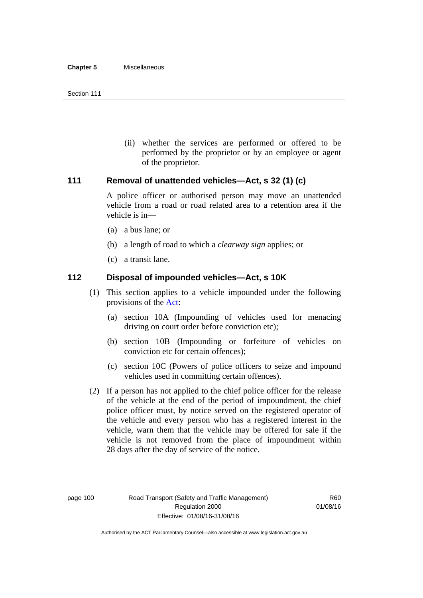(ii) whether the services are performed or offered to be performed by the proprietor or by an employee or agent of the proprietor.

# **111 Removal of unattended vehicles—Act, s 32 (1) (c)**

A police officer or authorised person may move an unattended vehicle from a road or road related area to a retention area if the vehicle is in—

- (a) a bus lane; or
- (b) a length of road to which a *clearway sign* applies; or
- (c) a transit lane.

# **112 Disposal of impounded vehicles—Act, s 10K**

- (1) This section applies to a vehicle impounded under the following provisions of the [Act:](http://www.legislation.act.gov.au/a/1999-80/default.asp)
	- (a) section 10A (Impounding of vehicles used for menacing driving on court order before conviction etc);
	- (b) section 10B (Impounding or forfeiture of vehicles on conviction etc for certain offences);
	- (c) section 10C (Powers of police officers to seize and impound vehicles used in committing certain offences).
- (2) If a person has not applied to the chief police officer for the release of the vehicle at the end of the period of impoundment, the chief police officer must, by notice served on the registered operator of the vehicle and every person who has a registered interest in the vehicle, warn them that the vehicle may be offered for sale if the vehicle is not removed from the place of impoundment within 28 days after the day of service of the notice.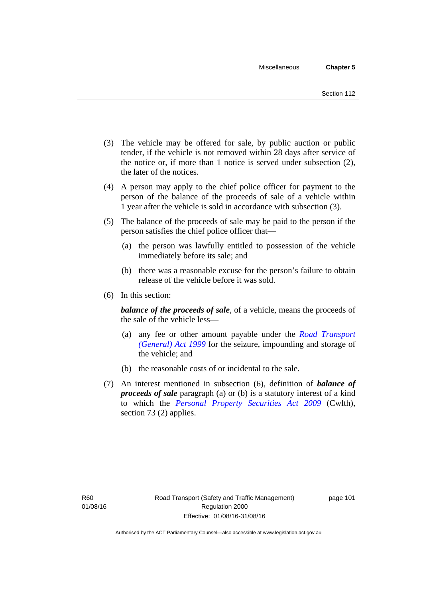- (3) The vehicle may be offered for sale, by public auction or public tender, if the vehicle is not removed within 28 days after service of the notice or, if more than 1 notice is served under subsection (2), the later of the notices.
- (4) A person may apply to the chief police officer for payment to the person of the balance of the proceeds of sale of a vehicle within 1 year after the vehicle is sold in accordance with subsection (3).
- (5) The balance of the proceeds of sale may be paid to the person if the person satisfies the chief police officer that—
	- (a) the person was lawfully entitled to possession of the vehicle immediately before its sale; and
	- (b) there was a reasonable excuse for the person's failure to obtain release of the vehicle before it was sold.
- (6) In this section:

*balance of the proceeds of sale*, of a vehicle, means the proceeds of the sale of the vehicle less—

- (a) any fee or other amount payable under the *[Road Transport](http://www.legislation.act.gov.au/a/1999-77)  [\(General\) Act 1999](http://www.legislation.act.gov.au/a/1999-77)* for the seizure, impounding and storage of the vehicle; and
- (b) the reasonable costs of or incidental to the sale.
- (7) An interest mentioned in subsection (6), definition of *balance of proceeds of sale* paragraph (a) or (b) is a statutory interest of a kind to which the *[Personal Property Securities Act 2009](http://www.comlaw.gov.au/Series/C2009A00130)* (Cwlth), section 73 (2) applies.

page 101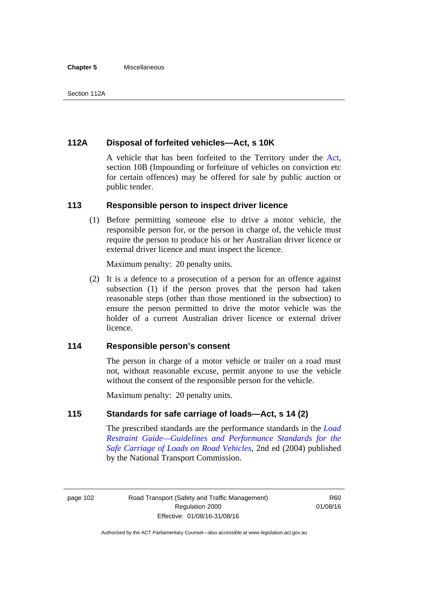#### **Chapter 5** Miscellaneous

# **112A Disposal of forfeited vehicles—Act, s 10K**

A vehicle that has been forfeited to the Territory under the [Act](http://www.legislation.act.gov.au/a/1999-80/default.asp), section 10B (Impounding or forfeiture of vehicles on conviction etc for certain offences) may be offered for sale by public auction or public tender.

### **113 Responsible person to inspect driver licence**

(1) Before permitting someone else to drive a motor vehicle, the responsible person for, or the person in charge of, the vehicle must require the person to produce his or her Australian driver licence or external driver licence and must inspect the licence.

Maximum penalty: 20 penalty units.

 (2) It is a defence to a prosecution of a person for an offence against subsection (1) if the person proves that the person had taken reasonable steps (other than those mentioned in the subsection) to ensure the person permitted to drive the motor vehicle was the holder of a current Australian driver licence or external driver licence.

# **114 Responsible person's consent**

The person in charge of a motor vehicle or trailer on a road must not, without reasonable excuse, permit anyone to use the vehicle without the consent of the responsible person for the vehicle.

Maximum penalty: 20 penalty units.

# **115 Standards for safe carriage of loads—Act, s 14 (2)**

The prescribed standards are the performance standards in the *[Load](http://www.ntc.gov.au/viewpage.aspx?documentid=862)  [Restraint Guide—Guidelines and Performance Standards for the](http://www.ntc.gov.au/viewpage.aspx?documentid=862)  [Safe Carriage of Loads on Road Vehicles](http://www.ntc.gov.au/viewpage.aspx?documentid=862)*, 2nd ed (2004) published by the National Transport Commission.

page 102 Road Transport (Safety and Traffic Management) Regulation 2000 Effective: 01/08/16-31/08/16

R60 01/08/16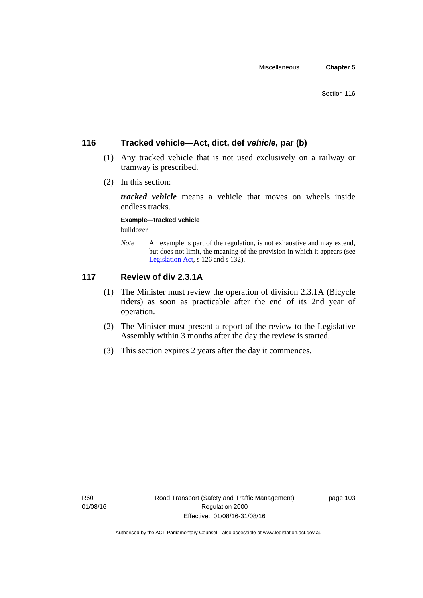# **116 Tracked vehicle—Act, dict, def** *vehicle***, par (b)**

- (1) Any tracked vehicle that is not used exclusively on a railway or tramway is prescribed.
- (2) In this section:

*tracked vehicle* means a vehicle that moves on wheels inside endless tracks.

**Example—tracked vehicle** 

bulldozer

*Note* An example is part of the regulation, is not exhaustive and may extend, but does not limit, the meaning of the provision in which it appears (see [Legislation Act,](http://www.legislation.act.gov.au/a/2001-14) s 126 and s 132).

# **117 Review of div 2.3.1A**

- (1) The Minister must review the operation of division 2.3.1A (Bicycle riders) as soon as practicable after the end of its 2nd year of operation.
- (2) The Minister must present a report of the review to the Legislative Assembly within 3 months after the day the review is started.
- (3) This section expires 2 years after the day it commences.

page 103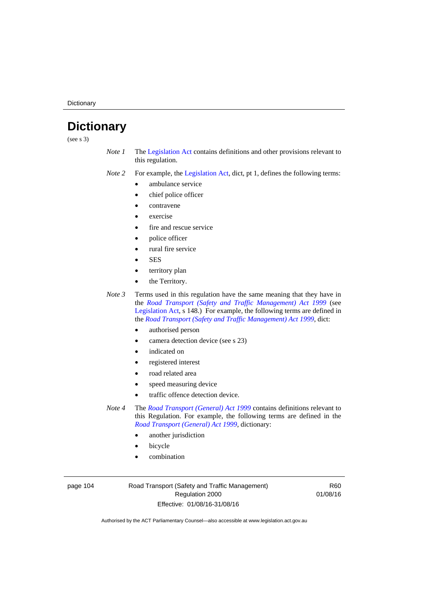**Dictionary** 

# **Dictionary**

(see s 3)

- *Note 1* The [Legislation Act](http://www.legislation.act.gov.au/a/2001-14) contains definitions and other provisions relevant to this regulation.
- *Note 2* For example, the [Legislation Act,](http://www.legislation.act.gov.au/a/2001-14) dict, pt 1, defines the following terms:
	- ambulance service
	- chief police officer
	- contravene
	- exercise
	- fire and rescue service
	- police officer
	- rural fire service
	- **SES**
	- territory plan
	- the Territory.

*Note 3* Terms used in this regulation have the same meaning that they have in the *[Road Transport \(Safety and Traffic Management\) Act 1999](http://www.legislation.act.gov.au/a/1999-80)* (see [Legislation Act,](http://www.legislation.act.gov.au/a/2001-14) s 148.) For example, the following terms are defined in the *[Road Transport \(Safety and Traffic Management\) Act 1999](http://www.legislation.act.gov.au/a/1999-80)*, dict:

- authorised person
- camera detection device (see s 23)
- indicated on
- registered interest
- road related area
- speed measuring device
- traffic offence detection device.

*Note 4* The *[Road Transport \(General\) Act 1999](http://www.legislation.act.gov.au/a/1999-77)* contains definitions relevant to this Regulation. For example, the following terms are defined in the *[Road Transport \(General\) Act 1999](http://www.legislation.act.gov.au/a/1999-77)*, dictionary:

- another jurisdiction
- bicycle
- combination

page 104 Road Transport (Safety and Traffic Management) Regulation 2000 Effective: 01/08/16-31/08/16

R60 01/08/16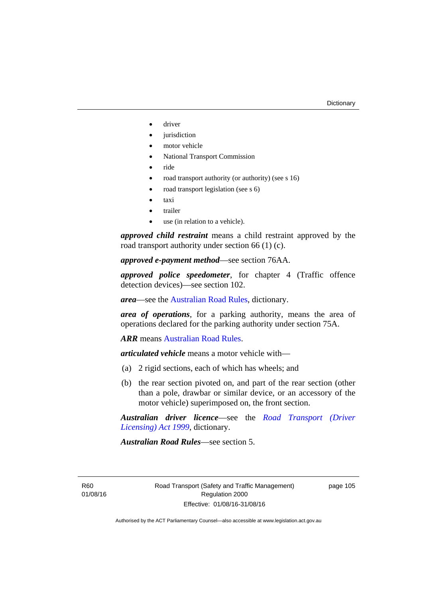- driver
- jurisdiction
- motor vehicle
- National Transport Commission
- ride
- road transport authority (or authority) (see s 16)
- road transport legislation (see s 6)
- taxi
- trailer
- use (in relation to a vehicle).

*approved child restraint* means a child restraint approved by the road transport authority under section 66 (1) (c).

*approved e-payment method*—see section 76AA.

*approved police speedometer*, for chapter 4 (Traffic offence detection devices)—see section 102.

*area*—see the [Australian Road Rules,](http://www.legislation.act.gov.au//ni/db_37271/default.asp) dictionary.

*area of operations*, for a parking authority, means the area of operations declared for the parking authority under section 75A.

*ARR* means [Australian Road Rules](http://www.legislation.act.gov.au//ni/db_37271/default.asp).

*articulated vehicle* means a motor vehicle with—

- (a) 2 rigid sections, each of which has wheels; and
- (b) the rear section pivoted on, and part of the rear section (other than a pole, drawbar or similar device, or an accessory of the motor vehicle) superimposed on, the front section.

*Australian driver licence*—see the *[Road Transport \(Driver](http://www.legislation.act.gov.au/a/1999-78)  [Licensing\) Act 1999](http://www.legislation.act.gov.au/a/1999-78)*, dictionary.

*Australian Road Rules*—see section 5.

R60 01/08/16 page 105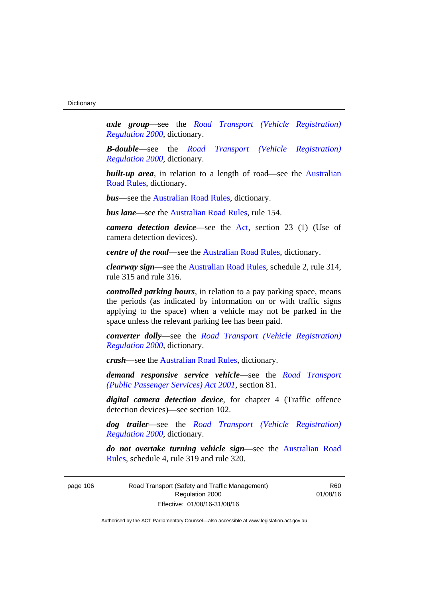*axle group*—see the *[Road Transport \(Vehicle Registration\)](http://www.legislation.act.gov.au/sl/2000-12)  [Regulation 2000](http://www.legislation.act.gov.au/sl/2000-12)*, dictionary.

*B-double*—see the *[Road Transport \(Vehicle Registration\)](http://www.legislation.act.gov.au/sl/2000-12)  [Regulation 2000](http://www.legislation.act.gov.au/sl/2000-12)*, dictionary.

**built-up area**, in relation to a length of road—see the Australian [Road Rules,](http://www.legislation.act.gov.au//ni/db_37271/default.asp) dictionary.

*bus*—see the [Australian Road Rules,](http://www.legislation.act.gov.au//ni/db_37271/default.asp) dictionary.

*bus lane*—see the [Australian Road Rules](http://www.legislation.act.gov.au//ni/db_37271/default.asp), rule 154.

*camera detection device*—see the [Act](http://www.legislation.act.gov.au/a/1999-80/default.asp), section 23 (1) (Use of camera detection devices).

*centre of the road*—see the [Australian Road Rules](http://www.legislation.act.gov.au//ni/db_37271/default.asp), dictionary.

*clearway sign*—see the [Australian Road Rules,](http://www.legislation.act.gov.au//ni/db_37271/default.asp) schedule 2, rule 314, rule 315 and rule 316.

*controlled parking hours*, in relation to a pay parking space, means the periods (as indicated by information on or with traffic signs applying to the space) when a vehicle may not be parked in the space unless the relevant parking fee has been paid.

*converter dolly*—see the *[Road Transport \(Vehicle Registration\)](http://www.legislation.act.gov.au/sl/2000-12)  [Regulation 2000](http://www.legislation.act.gov.au/sl/2000-12)*, dictionary.

*crash*—see the [Australian Road Rules](http://www.legislation.act.gov.au//ni/db_37271/default.asp), dictionary.

*demand responsive service vehicle*—see the *[Road Transport](http://www.legislation.act.gov.au/a/2001-62)  [\(Public Passenger Services\) Act 2001](http://www.legislation.act.gov.au/a/2001-62)*, section 81.

*digital camera detection device*, for chapter 4 (Traffic offence detection devices)—see section 102.

*dog trailer*—see the *[Road Transport \(Vehicle Registration\)](http://www.legislation.act.gov.au/sl/2000-12)  [Regulation 2000](http://www.legislation.act.gov.au/sl/2000-12)*, dictionary.

*do not overtake turning vehicle sign*—see the [Australian Road](http://www.legislation.act.gov.au//ni/db_37271/default.asp)  [Rules](http://www.legislation.act.gov.au//ni/db_37271/default.asp), schedule 4, rule 319 and rule 320.

page 106 Road Transport (Safety and Traffic Management) Regulation 2000 Effective: 01/08/16-31/08/16

R60 01/08/16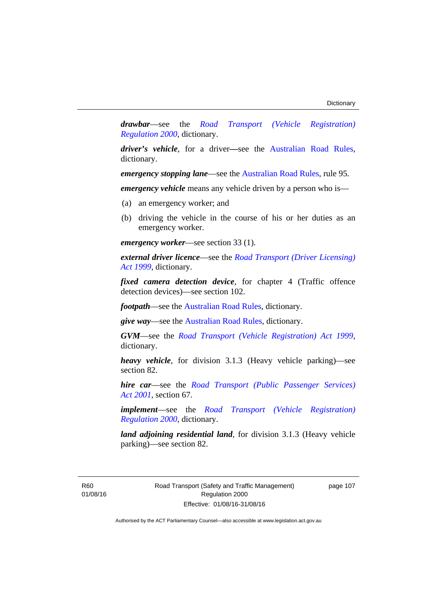*drawbar*—see the *[Road Transport \(Vehicle Registration\)](http://www.legislation.act.gov.au/sl/2000-12)  [Regulation 2000](http://www.legislation.act.gov.au/sl/2000-12)*, dictionary.

*driver's vehicle*, for a driver*—*see the [Australian Road Rules](http://www.legislation.act.gov.au//ni/db_37271/default.asp), dictionary.

*emergency stopping lane—see the [Australian Road Rules](http://www.legislation.act.gov.au//ni/db_37271/default.asp), rule 95.* 

*emergency vehicle* means any vehicle driven by a person who is—

- (a) an emergency worker; and
- (b) driving the vehicle in the course of his or her duties as an emergency worker.

*emergency worker*—see section 33 (1).

*external driver licence*—see the *[Road Transport \(Driver Licensing\)](http://www.legislation.act.gov.au/a/1999-78)  [Act 1999](http://www.legislation.act.gov.au/a/1999-78)*, dictionary.

*fixed camera detection device*, for chapter 4 (Traffic offence detection devices)—see section 102.

*footpath*—see the [Australian Road Rules](http://www.legislation.act.gov.au//ni/db_37271/default.asp), dictionary.

*give way*—see the [Australian Road Rules](http://www.legislation.act.gov.au//ni/db_37271/default.asp), dictionary.

*GVM*—see the *[Road Transport \(Vehicle Registration\) Act 1999](http://www.legislation.act.gov.au/a/1999-81)*, dictionary.

*heavy vehicle*, for division 3.1.3 (Heavy vehicle parking)—see section 82.

*hire car*—see the *[Road Transport \(Public Passenger Services\)](http://www.legislation.act.gov.au/a/2001-62)  [Act 2001](http://www.legislation.act.gov.au/a/2001-62)*, section 67.

*implement*—see the *[Road Transport \(Vehicle Registration\)](http://www.legislation.act.gov.au/sl/2000-12)  [Regulation 2000](http://www.legislation.act.gov.au/sl/2000-12)*, dictionary.

*land adjoining residential land*, for division 3.1.3 (Heavy vehicle parking)—see section 82.

R60 01/08/16 Road Transport (Safety and Traffic Management) Regulation 2000 Effective: 01/08/16-31/08/16

page 107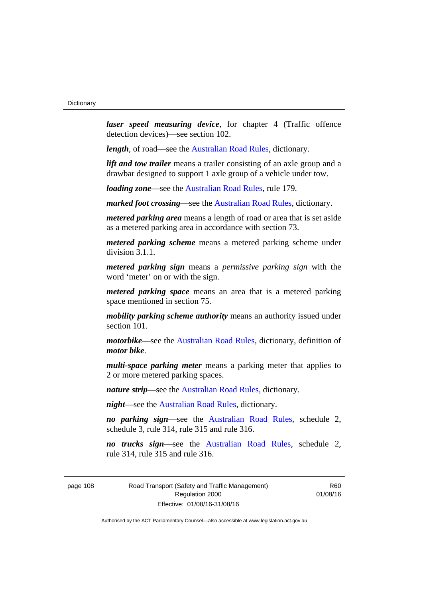*laser speed measuring device*, for chapter 4 (Traffic offence detection devices)—see section 102.

*length*, of road—see the [Australian Road Rules](http://www.legislation.act.gov.au//ni/db_37271/default.asp), dictionary.

*lift and tow trailer* means a trailer consisting of an axle group and a drawbar designed to support 1 axle group of a vehicle under tow.

*loading zone*—see the [Australian Road Rules,](http://www.legislation.act.gov.au//ni/db_37271/default.asp) rule 179.

*marked foot crossing*—see the [Australian Road Rules,](http://www.legislation.act.gov.au//ni/db_37271/default.asp) dictionary.

*metered parking area* means a length of road or area that is set aside as a metered parking area in accordance with section 73.

*metered parking scheme* means a metered parking scheme under division 3.1.1.

*metered parking sign* means a *permissive parking sign* with the word 'meter' on or with the sign.

*metered parking space* means an area that is a metered parking space mentioned in section 75.

*mobility parking scheme authority* means an authority issued under section 101.

*motorbike*—see the [Australian Road Rules,](http://www.legislation.act.gov.au//ni/db_37271/default.asp) dictionary, definition of *motor bike*.

*multi-space parking meter* means a parking meter that applies to 2 or more metered parking spaces.

*nature strip*—see the [Australian Road Rules](http://www.legislation.act.gov.au//ni/db_37271/default.asp), dictionary.

*night*—see the [Australian Road Rules,](http://www.legislation.act.gov.au//ni/db_37271/default.asp) dictionary.

*no parking sign*—see the [Australian Road Rules](http://www.legislation.act.gov.au//ni/db_37271/default.asp), schedule 2, schedule 3, rule 314, rule 315 and rule 316.

*no trucks sign*—see the [Australian Road Rules,](http://www.legislation.act.gov.au//ni/db_37271/default.asp) schedule 2, rule 314, rule 315 and rule 316.

page 108 Road Transport (Safety and Traffic Management) Regulation 2000 Effective: 01/08/16-31/08/16

R60 01/08/16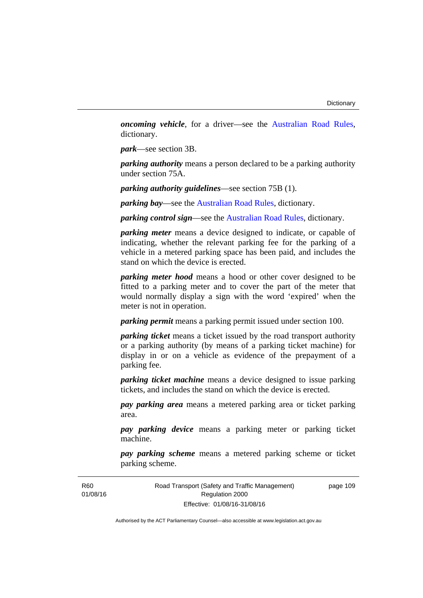*oncoming vehicle*, for a driver—see the [Australian Road Rules](http://www.legislation.act.gov.au//ni/db_37271/default.asp), dictionary.

*park*—see section 3B.

*parking authority* means a person declared to be a parking authority under section 75A.

*parking authority guidelines*—see section 75B (1).

*parking bay*—see the [Australian Road Rules,](http://www.legislation.act.gov.au//ni/db_37271/default.asp) dictionary.

*parking control sign*—see the [Australian Road Rules](http://www.legislation.act.gov.au//ni/db_37271/default.asp), dictionary.

*parking meter* means a device designed to indicate, or capable of indicating, whether the relevant parking fee for the parking of a vehicle in a metered parking space has been paid, and includes the stand on which the device is erected.

*parking meter hood* means a hood or other cover designed to be fitted to a parking meter and to cover the part of the meter that would normally display a sign with the word 'expired' when the meter is not in operation.

*parking permit* means a parking permit issued under section 100.

*parking ticket* means a ticket issued by the road transport authority or a parking authority (by means of a parking ticket machine) for display in or on a vehicle as evidence of the prepayment of a parking fee.

*parking ticket machine* means a device designed to issue parking tickets, and includes the stand on which the device is erected.

*pay parking area* means a metered parking area or ticket parking area.

*pay parking device* means a parking meter or parking ticket machine.

*pay parking scheme* means a metered parking scheme or ticket parking scheme.

Road Transport (Safety and Traffic Management) Regulation 2000 Effective: 01/08/16-31/08/16

page 109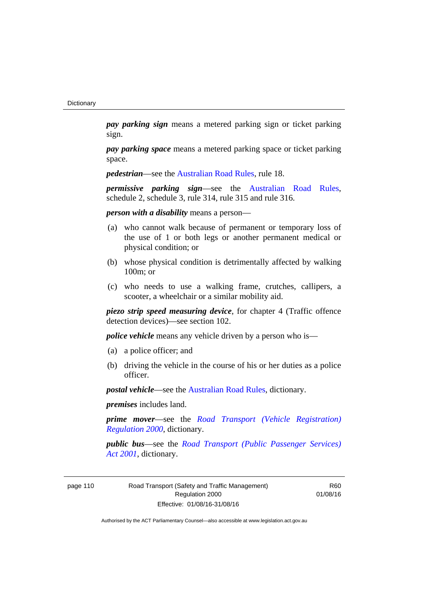*pay parking sign* means a metered parking sign or ticket parking sign.

*pay parking space* means a metered parking space or ticket parking space.

*pedestrian***—see the [Australian Road Rules](http://www.legislation.act.gov.au//ni/db_37271/default.asp)**, rule 18.

*permissive parking sign*—see the [Australian Road Rules](http://www.legislation.act.gov.au//ni/db_37271/default.asp), schedule 2, schedule 3, rule 314, rule 315 and rule 316.

*person with a disability* means a person—

- (a) who cannot walk because of permanent or temporary loss of the use of 1 or both legs or another permanent medical or physical condition; or
- (b) whose physical condition is detrimentally affected by walking 100m; or
- (c) who needs to use a walking frame, crutches, callipers, a scooter, a wheelchair or a similar mobility aid.

*piezo strip speed measuring device*, for chapter 4 (Traffic offence detection devices)—see section 102.

*police vehicle* means any vehicle driven by a person who is—

- (a) a police officer; and
- (b) driving the vehicle in the course of his or her duties as a police officer.

*postal vehicle*—see the [Australian Road Rules,](http://www.legislation.act.gov.au//ni/db_37271/default.asp) dictionary.

*premises* includes land.

*prime mover*—see the *[Road Transport \(Vehicle Registration\)](http://www.legislation.act.gov.au/sl/2000-12)  [Regulation 2000](http://www.legislation.act.gov.au/sl/2000-12)*, dictionary.

*public bus*—see the *[Road Transport \(Public Passenger Services\)](http://www.legislation.act.gov.au/a/2001-62)  [Act 2001](http://www.legislation.act.gov.au/a/2001-62)*, dictionary.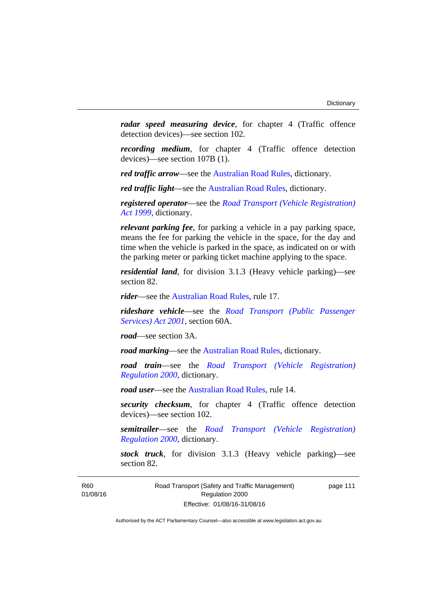*radar speed measuring device*, for chapter 4 (Traffic offence detection devices)—see section 102.

*recording medium*, for chapter 4 (Traffic offence detection devices)—see section 107B (1).

*red traffic arrow*—see the [Australian Road Rules,](http://www.legislation.act.gov.au//ni/db_37271/default.asp) dictionary.

*red traffic light*—see the [Australian Road Rules](http://www.legislation.act.gov.au//ni/db_37271/default.asp), dictionary.

*registered operator*—see the *[Road Transport \(Vehicle Registration\)](http://www.legislation.act.gov.au/a/1999-81)  [Act 1999](http://www.legislation.act.gov.au/a/1999-81)*, dictionary.

*relevant parking fee*, for parking a vehicle in a pay parking space, means the fee for parking the vehicle in the space, for the day and time when the vehicle is parked in the space, as indicated on or with the parking meter or parking ticket machine applying to the space.

*residential land*, for division 3.1.3 (Heavy vehicle parking)—see section 82.

*rider*—see the [Australian Road Rules,](http://www.legislation.act.gov.au//ni/db_37271/default.asp) rule 17.

*rideshare vehicle*—see the *[Road Transport \(Public Passenger](http://www.legislation.act.gov.au/a/2001-62)  [Services\) Act 2001](http://www.legislation.act.gov.au/a/2001-62)*, section 60A.

*road*—see section 3A.

*road marking*—see the [Australian Road Rules](http://www.legislation.act.gov.au//ni/db_37271/default.asp), dictionary.

*road train*—see the *[Road Transport \(Vehicle Registration\)](http://www.legislation.act.gov.au/sl/2000-12)  [Regulation 2000](http://www.legislation.act.gov.au/sl/2000-12)*, dictionary.

*road user*—see the [Australian Road Rules,](http://www.legislation.act.gov.au//ni/db_37271/default.asp) rule 14.

*security checksum*, for chapter 4 (Traffic offence detection devices)—see section 102.

*semitrailer*—see the *[Road Transport \(Vehicle Registration\)](http://www.legislation.act.gov.au/sl/2000-12)  [Regulation 2000](http://www.legislation.act.gov.au/sl/2000-12)*, dictionary.

*stock truck*, for division 3.1.3 (Heavy vehicle parking)—see section 82.

R60 01/08/16 page 111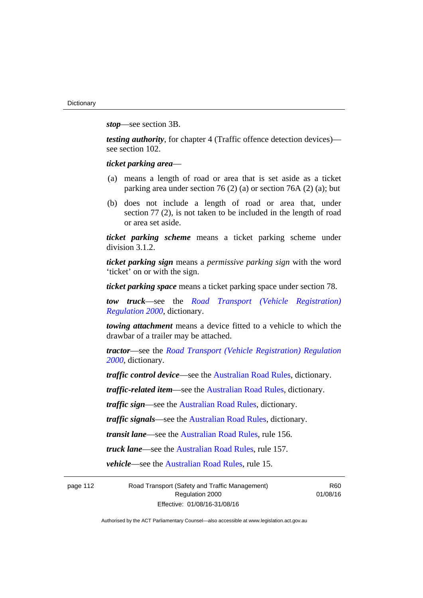*stop*—see section 3B.

*testing authority*, for chapter 4 (Traffic offence detection devices) see section 102.

*ticket parking area*—

- (a) means a length of road or area that is set aside as a ticket parking area under section 76 (2) (a) or section 76A (2) (a); but
- (b) does not include a length of road or area that, under section 77 (2), is not taken to be included in the length of road or area set aside.

*ticket parking scheme* means a ticket parking scheme under division 3.1.2.

*ticket parking sign* means a *permissive parking sign* with the word 'ticket' on or with the sign.

*ticket parking space* means a ticket parking space under section 78.

*tow truck*—see the *[Road Transport \(Vehicle Registration\)](http://www.legislation.act.gov.au/sl/2000-12)  [Regulation 2000](http://www.legislation.act.gov.au/sl/2000-12)*, dictionary.

*towing attachment* means a device fitted to a vehicle to which the drawbar of a trailer may be attached.

*tractor*—see the *[Road Transport \(Vehicle Registration\) Regulation](http://www.legislation.act.gov.au/sl/2000-12)  [2000](http://www.legislation.act.gov.au/sl/2000-12)*, dictionary.

*traffic control device*—see the [Australian Road Rules](http://www.legislation.act.gov.au//ni/db_37271/default.asp), dictionary.

*traffic-related item*—see the [Australian Road Rules,](http://www.legislation.act.gov.au//ni/db_37271/default.asp) dictionary.

*traffic sign*—see the [Australian Road Rules](http://www.legislation.act.gov.au//ni/db_37271/default.asp), dictionary.

*traffic signals*—see the [Australian Road Rules](http://www.legislation.act.gov.au//ni/db_37271/default.asp), dictionary.

*transit lane*—see the [Australian Road Rules,](http://www.legislation.act.gov.au//ni/db_37271/default.asp) rule 156.

*truck lane*—see the [Australian Road Rules,](http://www.legislation.act.gov.au//ni/db_37271/default.asp) rule 157.

*vehicle*—see the [Australian Road Rules](http://www.legislation.act.gov.au//ni/db_37271/default.asp), rule 15.

page 112 Road Transport (Safety and Traffic Management) Regulation 2000 Effective: 01/08/16-31/08/16

R60 01/08/16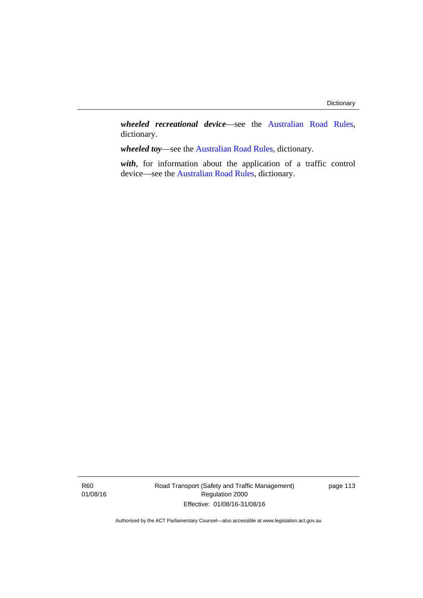*wheeled recreational device*—see the [Australian Road Rules](http://www.legislation.act.gov.au//ni/db_37271/default.asp), dictionary.

*wheeled toy*—see the [Australian Road Rules](http://www.legislation.act.gov.au//ni/db_37271/default.asp), dictionary.

*with*, for information about the application of a traffic control device—see the [Australian Road Rules](http://www.legislation.act.gov.au//ni/db_37271/default.asp), dictionary.

Road Transport (Safety and Traffic Management) Regulation 2000 Effective: 01/08/16-31/08/16

page 113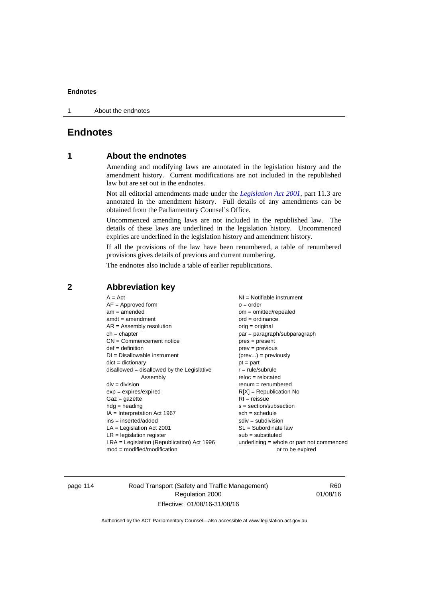1 About the endnotes

# **Endnotes**

# **1 About the endnotes**

Amending and modifying laws are annotated in the legislation history and the amendment history. Current modifications are not included in the republished law but are set out in the endnotes.

Not all editorial amendments made under the *[Legislation Act 2001](http://www.legislation.act.gov.au/a/2001-14)*, part 11.3 are annotated in the amendment history. Full details of any amendments can be obtained from the Parliamentary Counsel's Office.

Uncommenced amending laws are not included in the republished law. The details of these laws are underlined in the legislation history. Uncommenced expiries are underlined in the legislation history and amendment history.

If all the provisions of the law have been renumbered, a table of renumbered provisions gives details of previous and current numbering.

The endnotes also include a table of earlier republications.

| $A = Act$                                    | $NI = Notifiable$ instrument                |
|----------------------------------------------|---------------------------------------------|
| $AF =$ Approved form                         | $o = order$                                 |
| $am = amended$                               | $om = omitted/repealed$                     |
| $amdt = amendment$                           | $ord = ordinance$                           |
| $AR = Assembly$ resolution                   | $orig = original$                           |
| $ch = chapter$                               | par = paragraph/subparagraph                |
| $CN =$ Commencement notice                   | $pres = present$                            |
| $def = definition$                           | prev = previous                             |
| $DI = Disallowable instrument$               | $(\text{prev}) = \text{previously}$         |
| $dict = dictionary$                          | $pt = part$                                 |
| disallowed = disallowed by the Legislative   | $r = rule/subrule$                          |
| Assembly                                     | $reloc = relocated$                         |
| $div = division$                             | $remum = renumbered$                        |
| $exp = expires/expired$                      | $R[X]$ = Republication No                   |
| $Gaz = gazette$                              | $RI = reissue$                              |
| $hdg = heading$                              | $s = section/subsection$                    |
| $IA = Interpretation Act 1967$               | $sch = schedule$                            |
| $ins = inserted/added$                       | $sdiv = subdivision$                        |
| $LA =$ Legislation Act 2001                  | $SL = Subordinate$ law                      |
| $LR =$ legislation register                  | $sub =$ substituted                         |
| $LRA =$ Legislation (Republication) Act 1996 | $underlining = whole or part not commenced$ |
| $mod = modified/modification$                | or to be expired                            |
|                                              |                                             |

### **2 Abbreviation key**

page 114 Road Transport (Safety and Traffic Management) Regulation 2000 Effective: 01/08/16-31/08/16

R60 01/08/16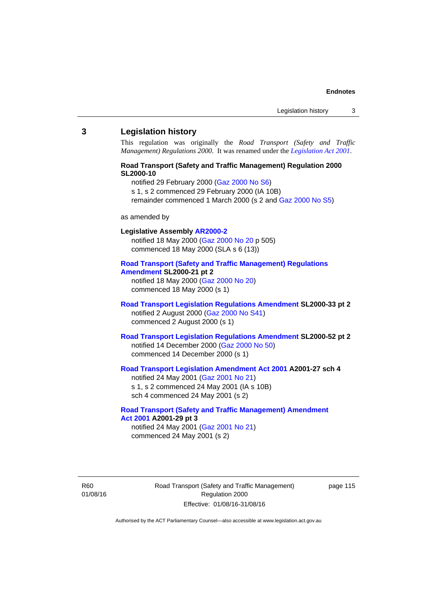#### **3 Legislation history**

This regulation was originally the *Road Transport (Safety and Traffic Management) Regulations 2000*. It was renamed under the *[Legislation Act 2001](http://www.legislation.act.gov.au/a/2001-14)*.

### **Road Transport (Safety and Traffic Management) Regulation 2000 SL2000-10**

notified 29 February 2000 [\(Gaz 2000 No S6](http://www.legislation.act.gov.au/gaz/2000-S6/default.asp))

s 1, s 2 commenced 29 February 2000 (IA 10B)

remainder commenced 1 March 2000 (s 2 and [Gaz 2000 No S5\)](http://www.legislation.act.gov.au/gaz/2000-S5/default.asp)

#### as amended by

# **Legislative Assembly [AR2000-2](http://www.legislation.act.gov.au/ar/2000-2/default.asp)**

notified 18 May 2000 ([Gaz 2000 No 20 p](http://www.legislation.act.gov.au/gaz/2000-20/default.asp) 505) commenced 18 May 2000 (SLA s 6 (13))

#### **[Road Transport \(Safety and Traffic Management\) Regulations](http://www.legislation.act.gov.au/sl/2000-21/default.asp)  [Amendment](http://www.legislation.act.gov.au/sl/2000-21/default.asp) SL2000-21 pt 2**

notified 18 May 2000 ([Gaz 2000 No 20\)](http://www.legislation.act.gov.au/gaz/2000-20/default.asp) commenced 18 May 2000 (s 1)

### **[Road Transport Legislation Regulations Amendment](http://www.legislation.act.gov.au/sl/2000-33/default.asp) SL2000-33 pt 2**  notified 2 August 2000 ([Gaz 2000 No S41](http://www.legislation.act.gov.au/gaz/2000-S41/default.asp)) commenced 2 August 2000 (s 1)

### **[Road Transport Legislation Regulations Amendment](http://www.legislation.act.gov.au/sl/2000-52/default.asp) SL2000-52 pt 2**  notified 14 December 2000 [\(Gaz 2000 No 50](http://www.legislation.act.gov.au/gaz/2000-50/default.asp)) commenced 14 December 2000 (s 1)

## **[Road Transport Legislation Amendment Act 2001](http://www.legislation.act.gov.au/a/2001-27) A2001-27 sch 4**

notified 24 May 2001 ([Gaz 2001 No 21\)](http://www.legislation.act.gov.au/gaz/2001-21/default.asp) s 1, s 2 commenced 24 May 2001 (IA s 10B) sch 4 commenced 24 May 2001 (s 2)

#### **[Road Transport \(Safety and Traffic Management\) Amendment](http://www.legislation.act.gov.au/a/2001-29)  [Act 2001](http://www.legislation.act.gov.au/a/2001-29) A2001-29 pt 3**  notified 24 May 2001 ([Gaz 2001 No 21\)](http://www.legislation.act.gov.au/gaz/2001-21/default.asp)

commenced 24 May 2001 (s 2)

R60 01/08/16 Road Transport (Safety and Traffic Management) Regulation 2000 Effective: 01/08/16-31/08/16

page 115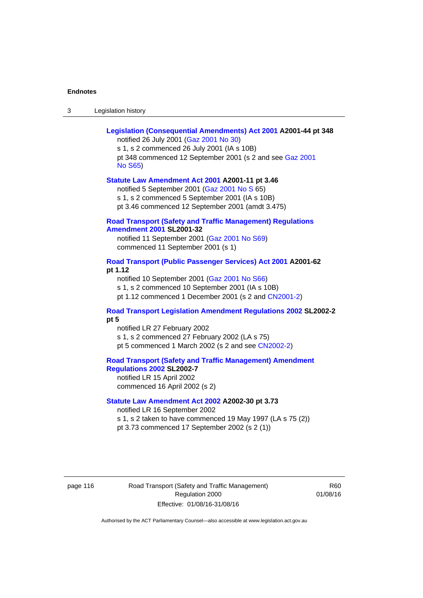| Legislation history<br>-3 |
|---------------------------|
|---------------------------|

| Legislation (Consequential Amendments) Act 2001 A2001-44 pt 348<br>notified 26 July 2001 (Gaz 2001 No 30)<br>s 1, s 2 commenced 26 July 2001 (IA s 10B)<br>pt 348 commenced 12 September 2001 (s 2 and see Gaz 2001<br><b>No S65)</b> |
|---------------------------------------------------------------------------------------------------------------------------------------------------------------------------------------------------------------------------------------|
| Statute Law Amendment Act 2001 A2001-11 pt 3.46<br>notified 5 September 2001 (Gaz 2001 No S 65)<br>s 1, s 2 commenced 5 September 2001 (IA s 10B)<br>pt 3.46 commenced 12 September 2001 (amdt 3.475)                                 |
| <b>Road Transport (Safety and Traffic Management) Regulations</b><br><b>Amendment 2001 SL2001-32</b><br>notified 11 September 2001 (Gaz 2001 No S69)<br>commenced 11 September 2001 (s 1)                                             |
| Road Transport (Public Passenger Services) Act 2001 A2001-62<br>pt 1.12<br>notified 10 September 2001 (Gaz 2001 No S66)<br>s 1, s 2 commenced 10 September 2001 (IA s 10B)<br>pt 1.12 commenced 1 December 2001 (s 2 and CN2001-2)    |
| <b>Road Transport Legislation Amendment Regulations 2002 SL2002-2</b><br>pt 5<br>notified LR 27 February 2002<br>s 1, s 2 commenced 27 February 2002 (LA s 75)<br>pt 5 commenced 1 March 2002 (s 2 and see CN2002-2)                  |
| <b>Road Transport (Safety and Traffic Management) Amendment</b><br>Regulations 2002 SL2002-7<br>notified LR 15 April 2002<br>commenced 16 April 2002 (s 2)                                                                            |
| Statute Law Amendment Act 2002 A2002-30 pt 3.73<br>notified LR 16 September 2002<br>s 1, s 2 taken to have commenced 19 May 1997 (LA s 75 (2))<br>pt 3.73 commenced 17 September 2002 (s 2 (1))                                       |

page 116 **Road Transport (Safety and Traffic Management)** Regulation 2000 Effective: 01/08/16-31/08/16

R60 01/08/16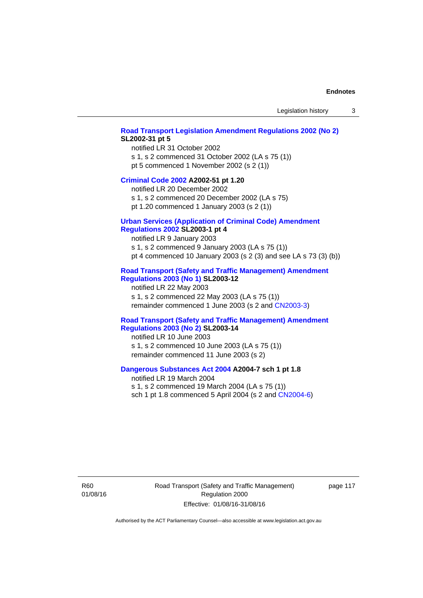#### **[Road Transport Legislation Amendment Regulations 2002 \(No 2\)](http://www.legislation.act.gov.au/sl/2002-31) SL2002-31 pt 5**

notified LR 31 October 2002 s 1, s 2 commenced 31 October 2002 (LA s 75 (1)) pt 5 commenced 1 November 2002 (s 2 (1))

#### **[Criminal Code 2002](http://www.legislation.act.gov.au/a/2002-51) A2002-51 pt 1.20**

notified LR 20 December 2002 s 1, s 2 commenced 20 December 2002 (LA s 75)

pt 1.20 commenced 1 January 2003 (s 2 (1))

# **[Urban Services \(Application of Criminal Code\) Amendment](http://www.legislation.act.gov.au/sl/2003-1)**

# **[Regulations 2002](http://www.legislation.act.gov.au/sl/2003-1) SL2003-1 pt 4**

notified LR 9 January 2003 s 1, s 2 commenced 9 January 2003 (LA s 75 (1)) pt 4 commenced 10 January 2003 (s 2 (3) and see LA s 73 (3) (b))

### **[Road Transport \(Safety and Traffic Management\) Amendment](http://www.legislation.act.gov.au/sl/2003-12)  [Regulations 2003 \(No 1\)](http://www.legislation.act.gov.au/sl/2003-12) SL2003-12**

notified LR 22 May 2003 s 1, s 2 commenced 22 May 2003 (LA s 75 (1)) remainder commenced 1 June 2003 (s 2 and [CN2003-3](http://www.legislation.act.gov.au/cn/2003-3/default.asp))

### **[Road Transport \(Safety and Traffic Management\) Amendment](http://www.legislation.act.gov.au/sl/2003-14)  [Regulations 2003 \(No 2\)](http://www.legislation.act.gov.au/sl/2003-14) SL2003-14**

notified LR 10 June 2003 s 1, s 2 commenced 10 June 2003 (LA s 75 (1)) remainder commenced 11 June 2003 (s 2)

#### **[Dangerous Substances Act 2004](http://www.legislation.act.gov.au/a/2004-7) A2004-7 sch 1 pt 1.8**

notified LR 19 March 2004 s 1, s 2 commenced 19 March 2004 (LA s 75 (1)) sch 1 pt 1.8 commenced 5 April 2004 (s 2 and [CN2004-6](http://www.legislation.act.gov.au/cn/2004-6/default.asp))

R60 01/08/16 Road Transport (Safety and Traffic Management) Regulation 2000 Effective: 01/08/16-31/08/16

page 117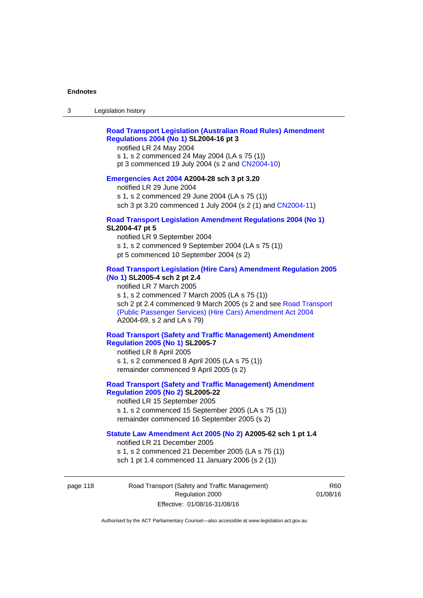### **[Road Transport Legislation \(Australian Road Rules\) Amendment](http://www.legislation.act.gov.au/sl/2004-16)  [Regulations 2004 \(No 1\)](http://www.legislation.act.gov.au/sl/2004-16) SL2004-16 pt 3**

notified LR 24 May 2004

s 1, s 2 commenced 24 May 2004 (LA s 75 (1)) pt 3 commenced 19 July 2004 (s 2 and [CN2004-10](http://www.legislation.act.gov.au/cn/2004-10/default.asp))

### **[Emergencies Act 2004](http://www.legislation.act.gov.au/a/2004-28) A2004-28 sch 3 pt 3.20**

notified LR 29 June 2004 s 1, s 2 commenced 29 June 2004 (LA s 75 (1)) sch 3 pt 3.20 commenced 1 July 2004 (s 2 (1) and [CN2004-11](http://www.legislation.act.gov.au/cn/2004-11/default.asp))

#### **[Road Transport Legislation Amendment Regulations 2004 \(No 1\)](http://www.legislation.act.gov.au/sl/2004-47) SL2004-47 pt 5**

notified LR 9 September 2004 s 1, s 2 commenced 9 September 2004 (LA s 75 (1)) pt 5 commenced 10 September 2004 (s 2)

### **[Road Transport Legislation \(Hire Cars\) Amendment Regulation 2005](http://www.legislation.act.gov.au/sl/2005-4)  [\(No 1\)](http://www.legislation.act.gov.au/sl/2005-4) SL2005-4 sch 2 pt 2.4**

notified LR 7 March 2005 s 1, s 2 commenced 7 March 2005 (LA s 75 (1)) sch 2 pt 2.4 commenced 9 March 2005 (s 2 and see [Road Transport](http://www.legislation.act.gov.au/a/2004-69)  [\(Public Passenger Services\) \(Hire Cars\) Amendment Act 2004](http://www.legislation.act.gov.au/a/2004-69) A2004-69, s 2 and LA s 79)

### **[Road Transport \(Safety and Traffic Management\) Amendment](http://www.legislation.act.gov.au/sl/2005-7)  [Regulation 2005 \(No 1\)](http://www.legislation.act.gov.au/sl/2005-7) SL2005-7**

notified LR 8 April 2005 s 1, s 2 commenced 8 April 2005 (LA s 75 (1)) remainder commenced 9 April 2005 (s 2)

### **[Road Transport \(Safety and Traffic Management\) Amendment](http://www.legislation.act.gov.au/sl/2005-22)  [Regulation 2005 \(No 2\)](http://www.legislation.act.gov.au/sl/2005-22) SL2005-22**

notified LR 15 September 2005 s 1, s 2 commenced 15 September 2005 (LA s 75 (1)) remainder commenced 16 September 2005 (s 2)

### **[Statute Law Amendment Act 2005 \(No 2\)](http://www.legislation.act.gov.au/a/2005-62) A2005-62 sch 1 pt 1.4**

notified LR 21 December 2005 s 1, s 2 commenced 21 December 2005 (LA s 75 (1)) sch 1 pt 1.4 commenced 11 January 2006 (s 2 (1))

page 118 Road Transport (Safety and Traffic Management) Regulation 2000 Effective: 01/08/16-31/08/16

R60 01/08/16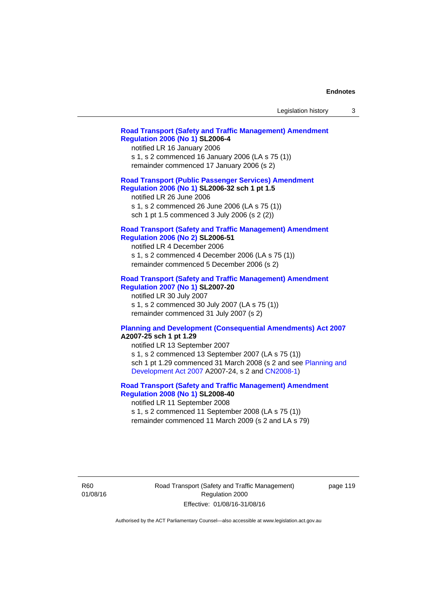| Legislation history |  |
|---------------------|--|
|---------------------|--|

### **[Road Transport \(Safety and Traffic Management\) Amendment](http://www.legislation.act.gov.au/sl/2006-4)  [Regulation 2006 \(No 1\)](http://www.legislation.act.gov.au/sl/2006-4) SL2006-4**

notified LR 16 January 2006 s 1, s 2 commenced 16 January 2006 (LA s 75 (1)) remainder commenced 17 January 2006 (s 2)

### **[Road Transport \(Public Passenger Services\) Amendment](http://www.legislation.act.gov.au/sl/2006-32)  [Regulation 2006 \(No 1\)](http://www.legislation.act.gov.au/sl/2006-32) SL2006-32 sch 1 pt 1.5**

notified LR 26 June 2006 s 1, s 2 commenced 26 June 2006 (LA s 75 (1)) sch 1 pt 1.5 commenced 3 July 2006 (s 2 (2))

#### **[Road Transport \(Safety and Traffic Management\) Amendment](http://www.legislation.act.gov.au/sl/2006-51)  [Regulation 2006 \(No 2\)](http://www.legislation.act.gov.au/sl/2006-51) SL2006-51**

notified LR 4 December 2006 s 1, s 2 commenced 4 December 2006 (LA s 75 (1)) remainder commenced 5 December 2006 (s 2)

#### **[Road Transport \(Safety and Traffic Management\) Amendment](http://www.legislation.act.gov.au/sl/2007-20)**

**[Regulation 2007 \(No 1\)](http://www.legislation.act.gov.au/sl/2007-20) SL2007-20**  notified LR 30 July 2007 s 1, s 2 commenced 30 July 2007 (LA s 75 (1)) remainder commenced 31 July 2007 (s 2)

#### **[Planning and Development \(Consequential Amendments\) Act 2007](http://www.legislation.act.gov.au/a/2007-25) A2007-25 sch 1 pt 1.29**

notified LR 13 September 2007 s 1, s 2 commenced 13 September 2007 (LA s 75 (1)) sch 1 pt 1.29 commenced 31 March 2008 (s 2 and see [Planning and](http://www.legislation.act.gov.au/a/2007-24)  [Development Act 2007](http://www.legislation.act.gov.au/a/2007-24) A2007-24, s 2 and [CN2008-1](http://www.legislation.act.gov.au/cn/2008-1/default.asp))

### **[Road Transport \(Safety and Traffic Management\) Amendment](http://www.legislation.act.gov.au/sl/2008-40)  [Regulation 2008 \(No 1\)](http://www.legislation.act.gov.au/sl/2008-40) SL2008-40**

notified LR 11 September 2008 s 1, s 2 commenced 11 September 2008 (LA s 75 (1)) remainder commenced 11 March 2009 (s 2 and LA s 79)

R60 01/08/16 Road Transport (Safety and Traffic Management) Regulation 2000 Effective: 01/08/16-31/08/16

page 119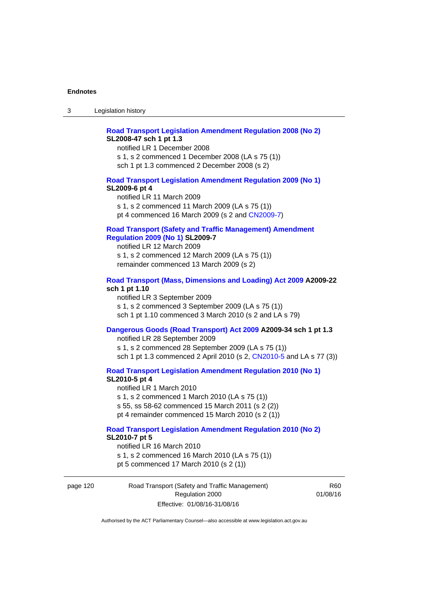### **[Road Transport Legislation Amendment Regulation 2008 \(No 2\)](http://www.legislation.act.gov.au/sl/2008-47) SL2008-47 sch 1 pt 1.3**

notified LR 1 December 2008 s 1, s 2 commenced 1 December 2008 (LA s 75 (1)) sch 1 pt 1.3 commenced 2 December 2008 (s 2)

#### **[Road Transport Legislation Amendment Regulation 2009 \(No 1\)](http://www.legislation.act.gov.au/sl/2009-6) SL2009-6 pt 4**

notified LR 11 March 2009 s 1, s 2 commenced 11 March 2009 (LA s 75 (1)) pt 4 commenced 16 March 2009 (s 2 and [CN2009-7\)](http://www.legislation.act.gov.au/cn/2009-7/default.asp)

### **[Road Transport \(Safety and Traffic Management\) Amendment](http://www.legislation.act.gov.au/sl/2009-7)  [Regulation 2009 \(No 1\)](http://www.legislation.act.gov.au/sl/2009-7) SL2009-7**

notified LR 12 March 2009 s 1, s 2 commenced 12 March 2009 (LA s 75 (1)) remainder commenced 13 March 2009 (s 2)

#### **[Road Transport \(Mass, Dimensions and Loading\) Act 2009](http://www.legislation.act.gov.au/a/2009-22/default.asp) A2009-22 sch 1 pt 1.10**

notified LR 3 September 2009 s 1, s 2 commenced 3 September 2009 (LA s 75 (1)) sch 1 pt 1.10 commenced 3 March 2010 (s 2 and LA s 79)

### **[Dangerous Goods \(Road Transport\) Act 2009](http://www.legislation.act.gov.au/a/2009-34) A2009-34 sch 1 pt 1.3**

notified LR 28 September 2009 s 1, s 2 commenced 28 September 2009 (LA s 75 (1)) sch 1 pt 1.3 commenced 2 April 2010 (s 2, [CN2010-5 a](http://www.legislation.act.gov.au/cn/2010-5/default.asp)nd LA s 77 (3))

**[Road Transport Legislation Amendment Regulation 2010 \(No 1\)](http://www.legislation.act.gov.au/sl/2010-5)**

#### **SL2010-5 pt 4**

notified LR 1 March 2010 s 1, s 2 commenced 1 March 2010 (LA s 75 (1)) s 55, ss 58-62 commenced 15 March 2011 (s 2 (2)) pt 4 remainder commenced 15 March 2010 (s 2 (1))

#### **[Road Transport Legislation Amendment Regulation 2010 \(No 2\)](http://www.legislation.act.gov.au/sl/2010-7) SL2010-7 pt 5**  notified LR 16 March 2010

s 1, s 2 commenced 16 March 2010 (LA s 75 (1)) pt 5 commenced 17 March 2010 (s 2 (1))

page 120 Road Transport (Safety and Traffic Management) Regulation 2000 Effective: 01/08/16-31/08/16

R60 01/08/16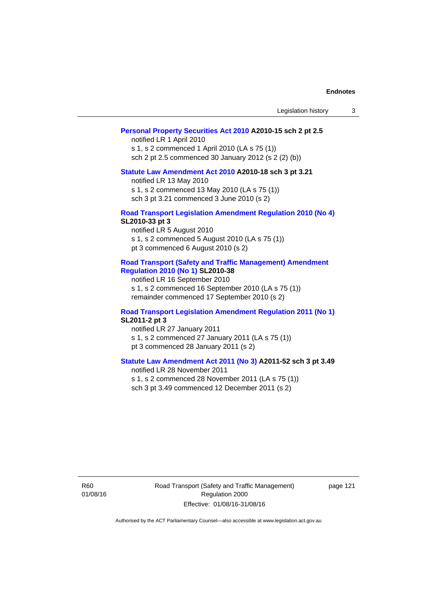| Legislation history |  |  |
|---------------------|--|--|
|---------------------|--|--|

### **[Personal Property Securities Act 2010](http://www.legislation.act.gov.au/a/2010-15) A2010-15 sch 2 pt 2.5**

notified LR 1 April 2010 s 1, s 2 commenced 1 April 2010 (LA s 75 (1)) sch 2 pt 2.5 commenced 30 January 2012 (s 2 (2) (b))

# **[Statute Law Amendment Act 2010](http://www.legislation.act.gov.au/a/2010-18) A2010-18 sch 3 pt 3.21**

notified LR 13 May 2010 s 1, s 2 commenced 13 May 2010 (LA s 75 (1)) sch 3 pt 3.21 commenced 3 June 2010 (s 2)

#### **[Road Transport Legislation Amendment Regulation 2010 \(No 4\)](http://www.legislation.act.gov.au/sl/2010-33) SL2010-33 pt 3**

notified LR 5 August 2010 s 1, s 2 commenced 5 August 2010 (LA s 75 (1)) pt 3 commenced 6 August 2010 (s 2)

#### **[Road Transport \(Safety and Traffic Management\) Amendment](http://www.legislation.act.gov.au/sl/2010-38)  [Regulation 2010 \(No 1\)](http://www.legislation.act.gov.au/sl/2010-38) SL2010-38**

notified LR 16 September 2010 s 1, s 2 commenced 16 September 2010 (LA s 75 (1)) remainder commenced 17 September 2010 (s 2)

#### **[Road Transport Legislation Amendment Regulation 2011 \(No 1\)](http://www.legislation.act.gov.au/sl/2011-2) SL2011-2 pt 3**

notified LR 27 January 2011 s 1, s 2 commenced 27 January 2011 (LA s 75 (1)) pt 3 commenced 28 January 2011 (s 2)

### **[Statute Law Amendment Act 2011 \(No 3\)](http://www.legislation.act.gov.au/a/2011-52) A2011-52 sch 3 pt 3.49**

notified LR 28 November 2011 s 1, s 2 commenced 28 November 2011 (LA s 75 (1)) sch 3 pt 3.49 commenced 12 December 2011 (s 2)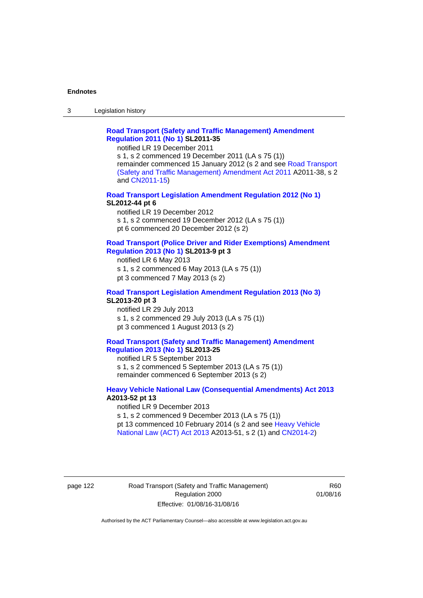3 Legislation history

### **[Road Transport \(Safety and Traffic Management\) Amendment](http://www.legislation.act.gov.au/sl/2011-35)  [Regulation 2011 \(No 1\)](http://www.legislation.act.gov.au/sl/2011-35) SL2011-35**

notified LR 19 December 2011

s 1, s 2 commenced 19 December 2011 (LA s 75 (1)) remainder commenced 15 January 2012 (s 2 and see [Road Transport](http://www.legislation.act.gov.au/a/2011-38)  [\(Safety and Traffic Management\) Amendment Act 2011](http://www.legislation.act.gov.au/a/2011-38) A2011-38, s 2 and [CN2011-15\)](http://www.legislation.act.gov.au/cn/2011-15/default.asp)

### **[Road Transport Legislation Amendment Regulation 2012 \(No 1\)](http://www.legislation.act.gov.au/sl/2012-44/default.asp) SL2012-44 pt 6**

notified LR 19 December 2012 s 1, s 2 commenced 19 December 2012 (LA s 75 (1)) pt 6 commenced 20 December 2012 (s 2)

#### **[Road Transport \(Police Driver and Rider Exemptions\) Amendment](http://www.legislation.act.gov.au/sl/2013-9/default.asp)  [Regulation 2013 \(No 1\)](http://www.legislation.act.gov.au/sl/2013-9/default.asp) SL2013-9 pt 3**

notified LR 6 May 2013 s 1, s 2 commenced 6 May 2013 (LA s 75 (1)) pt 3 commenced 7 May 2013 (s 2)

#### **[Road Transport Legislation Amendment Regulation 2013 \(No 3\)](http://www.legislation.act.gov.au/sl/2013-20) SL2013-20 pt 3**  notified LR 29 July 2013

s 1, s 2 commenced 29 July 2013 (LA s 75 (1)) pt 3 commenced 1 August 2013 (s 2)

### **[Road Transport \(Safety and Traffic Management\) Amendment](http://www.legislation.act.gov.au/sl/2013-25)  [Regulation 2013 \(No 1\)](http://www.legislation.act.gov.au/sl/2013-25) SL2013-25**

notified LR 5 September 2013 s 1, s 2 commenced 5 September 2013 (LA s 75 (1)) remainder commenced 6 September 2013 (s 2)

#### **[Heavy Vehicle National Law \(Consequential Amendments\) Act 2013](http://www.legislation.act.gov.au/a/2013-52) A2013-52 pt 13**  notified LR 9 December 2013

s 1, s 2 commenced 9 December 2013 (LA s 75 (1)) pt 13 commenced 10 February 2014 (s 2 and see [Heavy Vehicle](http://www.legislation.act.gov.au/a/2013-51/default.asp)  [National Law \(ACT\) Act 2013](http://www.legislation.act.gov.au/a/2013-51/default.asp) A2013-51, s 2 (1) and [CN2014-2](http://www.legislation.act.gov.au/cn/2014-2/default.asp))

page 122 Road Transport (Safety and Traffic Management) Regulation 2000 Effective: 01/08/16-31/08/16

R60 01/08/16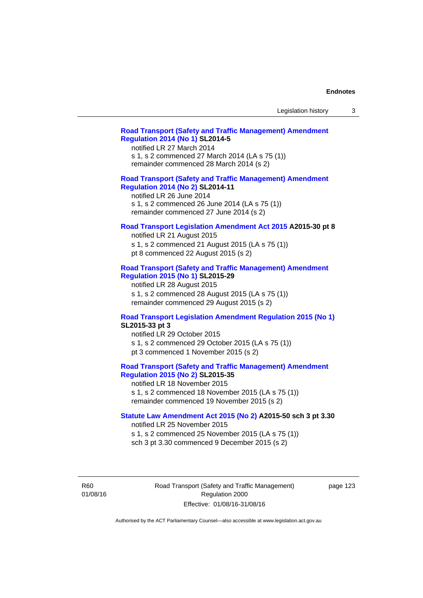| Legislation history |  |
|---------------------|--|
|---------------------|--|

### **[Road Transport \(Safety and Traffic Management\) Amendment](http://www.legislation.act.gov.au/sl/2014-5)  [Regulation 2014 \(No 1\)](http://www.legislation.act.gov.au/sl/2014-5) SL2014-5**

notified LR 27 March 2014 s 1, s 2 commenced 27 March 2014 (LA s 75 (1)) remainder commenced 28 March 2014 (s 2)

### **[Road Transport \(Safety and Traffic Management\) Amendment](http://www.legislation.act.gov.au/sl/2014-11)**

**[Regulation 2014 \(No 2\)](http://www.legislation.act.gov.au/sl/2014-11) SL2014-11**  notified LR 26 June 2014 s 1, s 2 commenced 26 June 2014 (LA s 75 (1))

remainder commenced 27 June 2014 (s 2)

#### **[Road Transport Legislation Amendment Act 2015](http://www.legislation.act.gov.au/a/2015-30/default.asp) A2015-30 pt 8**

notified LR 21 August 2015 s 1, s 2 commenced 21 August 2015 (LA s 75 (1)) pt 8 commenced 22 August 2015 (s 2)

#### **[Road Transport \(Safety and Traffic Management\) Amendment](http://www.legislation.act.gov.au/sl/2015-29)  [Regulation 2015 \(No 1\)](http://www.legislation.act.gov.au/sl/2015-29) SL2015-29**

notified LR 28 August 2015 s 1, s 2 commenced 28 August 2015 (LA s 75 (1)) remainder commenced 29 August 2015 (s 2)

#### **[Road Transport Legislation Amendment Regulation 2015 \(No 1\)](http://www.legislation.act.gov.au/sl/2015-33) SL2015-33 pt 3**

notified LR 29 October 2015 s 1, s 2 commenced 29 October 2015 (LA s 75 (1)) pt 3 commenced 1 November 2015 (s 2)

### **[Road Transport \(Safety and Traffic Management\) Amendment](http://www.legislation.act.gov.au/sl/2015-35)  [Regulation 2015 \(No 2\)](http://www.legislation.act.gov.au/sl/2015-35) SL2015-35**

notified LR 18 November 2015 s 1, s 2 commenced 18 November 2015 (LA s 75 (1)) remainder commenced 19 November 2015 (s 2)

### **[Statute Law Amendment Act 2015 \(No 2\)](http://www.legislation.act.gov.au/a/2015-50) A2015-50 sch 3 pt 3.30**

notified LR 25 November 2015

s 1, s 2 commenced 25 November 2015 (LA s 75 (1))

sch 3 pt 3.30 commenced 9 December 2015 (s 2)

R60 01/08/16 Road Transport (Safety and Traffic Management) Regulation 2000 Effective: 01/08/16-31/08/16

page 123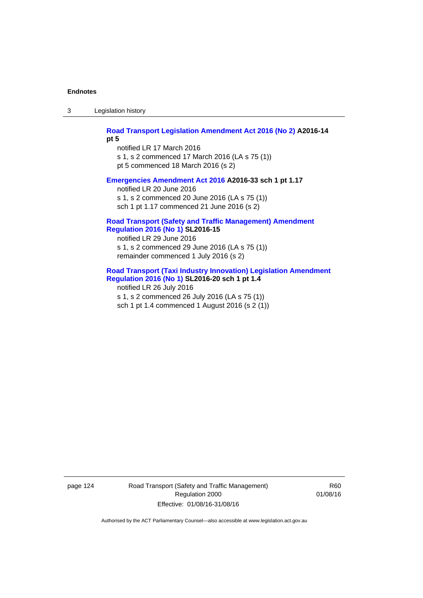3 Legislation history

**[Road Transport Legislation Amendment Act 2016 \(No 2\)](http://www.legislation.act.gov.au/a/2016-14) A2016-14** 

**pt 5** 

notified LR 17 March 2016 s 1, s 2 commenced 17 March 2016 (LA s 75 (1)) pt 5 commenced 18 March 2016 (s 2)

#### **[Emergencies Amendment Act 2016](http://www.legislation.act.gov.au/a/2016-33) A2016-33 sch 1 pt 1.17**

notified LR 20 June 2016 s 1, s 2 commenced 20 June 2016 (LA s 75 (1)) sch 1 pt 1.17 commenced 21 June 2016 (s 2)

#### **[Road Transport \(Safety and Traffic Management\) Amendment](http://www.legislation.act.gov.au/sl/2016-15)  [Regulation 2016 \(No 1\)](http://www.legislation.act.gov.au/sl/2016-15) SL2016-15**

notified LR 29 June 2016 s 1, s 2 commenced 29 June 2016 (LA s 75 (1)) remainder commenced 1 July 2016 (s 2)

#### **[Road Transport \(Taxi Industry Innovation\) Legislation Amendment](http://www.legislation.act.gov.au/sl/2016-20/default.asp)  [Regulation 2016 \(No 1\)](http://www.legislation.act.gov.au/sl/2016-20/default.asp) SL2016-20 sch 1 pt 1.4**

notified LR 26 July 2016 s 1, s 2 commenced 26 July 2016 (LA s 75 (1)) sch 1 pt 1.4 commenced 1 August 2016 (s 2 (1))

page 124 Road Transport (Safety and Traffic Management) Regulation 2000 Effective: 01/08/16-31/08/16

R60 01/08/16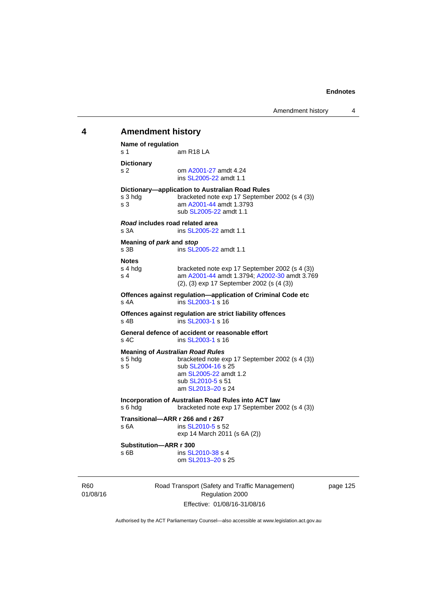# 01/08/16 Road Transport (Safety and Traffic Management) Regulation 2000 **4 Amendment history Name of regulation**  s 1 am R18 LA **Dictionary**  s 2 om [A2001-27](http://www.legislation.act.gov.au/a/2001-27) amdt 4.24 ins [SL2005-22](http://www.legislation.act.gov.au/sl/2005-22) amdt 1.1 **Dictionary—application to Australian Road Rules**  s 3 hdg bracketed note exp 17 September 2002 (s 4 (3)) s 3 am [A2001-44](http://www.legislation.act.gov.au/a/2001-44) amdt 1.3793 sub [SL2005-22](http://www.legislation.act.gov.au/sl/2005-22) amdt 1.1 *Road* **includes road related area**  s 3A **ins SL2005-22** amdt 1.1 **Meaning of** *park* **and** *stop* s 3B ins [SL2005-22](http://www.legislation.act.gov.au/sl/2005-22) amdt 1.1 **Notes**  s 4 hdg bracketed note exp 17 September 2002 (s 4 (3))<br>s 4 am A2001-44 amdt 1.3794: A2002-30 amdt 3.76 am [A2001-44](http://www.legislation.act.gov.au/a/2001-44) amdt 1.3794; [A2002-30](http://www.legislation.act.gov.au/a/2002-30) amdt 3.769 (2), (3) exp 17 September 2002 (s (4 (3)) **Offences against regulation—application of Criminal Code etc**  s 4A ins [SL2003-1](http://www.legislation.act.gov.au/sl/2003-1) s 16 **Offences against regulation are strict liability offences**  s 4B ins [SL2003-1](http://www.legislation.act.gov.au/sl/2003-1) s 16 **General defence of accident or reasonable effort**  s 4C ins [SL2003-1](http://www.legislation.act.gov.au/sl/2003-1) s 16 **Meaning of** *Australian Road Rules* s 5 hdg bracketed note exp 17 September 2002 (s 4 (3)) s 5 sub [SL2004-16](http://www.legislation.act.gov.au/sl/2004-16) s 25 am [SL2005-22](http://www.legislation.act.gov.au/sl/2005-22) amdt 1.2 sub [SL2010-5](http://www.legislation.act.gov.au/sl/2010-5) s 51 am [SL2013–20](http://www.legislation.act.gov.au/sl/2013-20) s 24 **Incorporation of Australian Road Rules into ACT law**  s 6 hdg bracketed note exp 17 September 2002 (s 4 (3)) **Transitional—ARR r 266 and r 267**  s 6A ins [SL2010-5](http://www.legislation.act.gov.au/sl/2010-5) s 52 exp 14 March 2011 (s 6A (2)) **Substitution—ARR r 300**  s 6B ins [SL2010-38](http://www.legislation.act.gov.au/sl/2010-38) s 4 om [SL2013–20](http://www.legislation.act.gov.au/sl/2013-20) s 25

page 125

Authorised by the ACT Parliamentary Counsel—also accessible at www.legislation.act.gov.au

Effective: 01/08/16-31/08/16

R60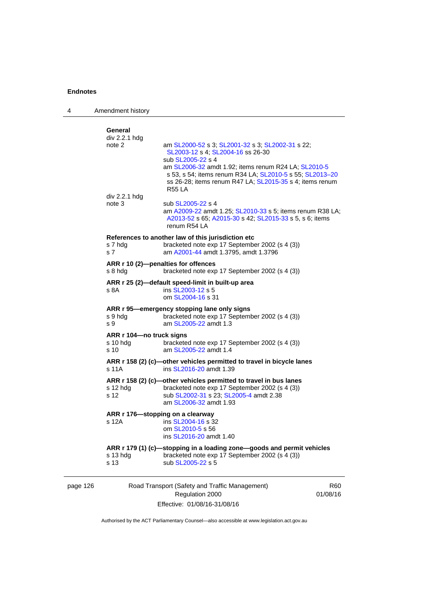| 4        | Amendment history                                                                                   |                                                                                                                                                                                                                                                                                                             |                        |
|----------|-----------------------------------------------------------------------------------------------------|-------------------------------------------------------------------------------------------------------------------------------------------------------------------------------------------------------------------------------------------------------------------------------------------------------------|------------------------|
|          | General<br>div 2.2.1 hdg<br>note 2                                                                  | am SL2000-52 s 3; SL2001-32 s 3; SL2002-31 s 22;<br>SL2003-12 s 4; SL2004-16 ss 26-30<br>sub SL2005-22 s 4<br>am SL2006-32 amdt 1.92; items renum R24 LA; SL2010-5<br>s 53, s 54; items renum R34 LA; SL2010-5 s 55; SL2013-20<br>ss 26-28; items renum R47 LA; SL2015-35 s 4; items renum<br><b>R55 LA</b> |                        |
|          | div 2.2.1 hdg<br>note 3                                                                             | sub SL2005-22 s 4<br>am A2009-22 amdt 1.25; SL2010-33 s 5; items renum R38 LA;<br>A2013-52 s 65; A2015-30 s 42; SL2015-33 s 5, s 6; items<br>renum R54 LA                                                                                                                                                   |                        |
|          | s 7 hdg<br>s 7                                                                                      | References to another law of this jurisdiction etc<br>bracketed note exp 17 September 2002 (s 4 (3))<br>am A2001-44 amdt 1.3795, amdt 1.3796                                                                                                                                                                |                        |
|          | s 8 hdg                                                                                             | ARR r 10 (2)-penalties for offences<br>bracketed note exp 17 September 2002 (s 4 (3))                                                                                                                                                                                                                       |                        |
|          | ARR r 25 (2)-default speed-limit in built-up area<br>s 8A<br>ins SL2003-12 s 5<br>om SL2004-16 s 31 |                                                                                                                                                                                                                                                                                                             |                        |
|          | s 9 hdg<br>s 9                                                                                      | ARR r 95-emergency stopping lane only signs<br>bracketed note exp 17 September 2002 (s 4 (3))<br>am SL2005-22 amdt 1.3                                                                                                                                                                                      |                        |
|          | ARR r 104-no truck signs<br>s 10 hda<br>s 10                                                        | bracketed note exp 17 September 2002 (s 4 (3))<br>am SL2005-22 amdt 1.4                                                                                                                                                                                                                                     |                        |
|          | s 11A                                                                                               | ARR r 158 (2) (c)-other vehicles permitted to travel in bicycle lanes<br>ins SL2016-20 amdt 1.39                                                                                                                                                                                                            |                        |
|          | $s$ 12 hdg<br>s 12                                                                                  | ARR r 158 (2) (c)-other vehicles permitted to travel in bus lanes<br>bracketed note exp 17 September 2002 (s 4 (3))<br>sub SL2002-31 s 23; SL2005-4 amdt 2.38<br>am SL2006-32 amdt 1.93                                                                                                                     |                        |
|          | ARR r 176—stopping on a clearway<br>s 12A                                                           | ins SL2004-16 s 32<br>om SL2010-5 s 56<br>ins SL2016-20 amdt 1.40                                                                                                                                                                                                                                           |                        |
|          | s 13 hdg<br>s 13                                                                                    | ARR r 179 (1) (c)-stopping in a loading zone-goods and permit vehicles<br>bracketed note exp 17 September 2002 (s 4 (3))<br>sub SL2005-22 s 5                                                                                                                                                               |                        |
| page 126 |                                                                                                     | Road Transport (Safety and Traffic Management)<br>Regulation 2000                                                                                                                                                                                                                                           | <b>R60</b><br>01/08/16 |

Effective: 01/08/16-31/08/16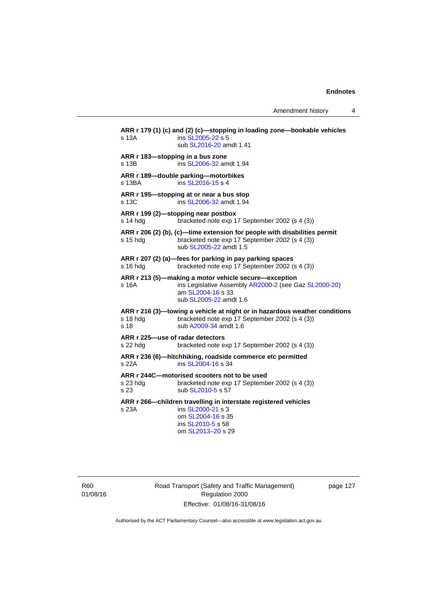Amendment history 4

**ARR r 179 (1) (c) and (2) (c)—stopping in loading zone—bookable vehicles**  s 13A **ins [SL2005-22](http://www.legislation.act.gov.au/sl/2005-22) s 5**  sub [SL2016-20](http://www.legislation.act.gov.au/sl/2016-20) amdt 1.41 **ARR r 183—stopping in a bus zone**  s 13B ins [SL2006-32](http://www.legislation.act.gov.au/sl/2006-32) amdt 1.94 **ARR r 189—double parking—motorbikes**  s 13BA ins [SL2016-15](http://www.legislation.act.gov.au/sl/2016-15) s 4 **ARR r 195—stopping at or near a bus stop**  s 13C ins [SL2006-32](http://www.legislation.act.gov.au/sl/2006-32) amdt 1.94 **ARR r 199 (2)—stopping near postbox**  s 14 hdg bracketed note exp 17 September 2002 (s 4 (3)) **ARR r 206 (2) (b), (c)—time extension for people with disabilities permit**  s 15 hdg bracketed note exp 17 September 2002 (s 4 (3)) sub [SL2005-22](http://www.legislation.act.gov.au/sl/2005-22) amdt 1.5 **ARR r 207 (2) (a)—fees for parking in pay parking spaces**  s 16 hdg bracketed note exp 17 September 2002 (s 4 (3)) **ARR r 213 (5)—making a motor vehicle secure—exception**  s 16A ins Legislative Assembly [AR2000-2](http://www.legislation.act.gov.au/ar/2000-2/default.asp) (see Gaz [SL2000-20\)](http://www.legislation.act.gov.au/sl/2000-20) am [SL2004-16](http://www.legislation.act.gov.au/sl/2004-16) s 33 sub [SL2005-22](http://www.legislation.act.gov.au/sl/2005-22) amdt 1.6 **ARR r 216 (3)—towing a vehicle at night or in hazardous weather conditions**  s 18 hdg bracketed note exp 17 September 2002 (s 4 (3)) s 18 sub [A2009-34](http://www.legislation.act.gov.au/a/2009-34) amdt 1.6 **ARR r 225—use of radar detectors**  s 22 hdg bracketed note exp 17 September 2002 (s 4 (3)) **ARR r 236 (6)—hitchhiking, roadside commerce etc permitted**  s 22A ins [SL2004-16](http://www.legislation.act.gov.au/sl/2004-16) s 34 **ARR r 244C—motorised scooters not to be used**  s 23 hdg bracketed note exp 17 September 2002 (s 4 (3)) s 23 sub [SL2010-5](http://www.legislation.act.gov.au/sl/2010-5) s 57 **ARR r 266—children travelling in interstate registered vehicles**  s 23A ins [SL2000-21](http://www.legislation.act.gov.au/sl/2000-21) s 3 om [SL2004-16](http://www.legislation.act.gov.au/sl/2004-16) s 35 ins [SL2010-5](http://www.legislation.act.gov.au/sl/2010-5) s 58 om [SL2013–20](http://www.legislation.act.gov.au/sl/2013-20) s 29

R60 01/08/16 Road Transport (Safety and Traffic Management) Regulation 2000 Effective: 01/08/16-31/08/16

page 127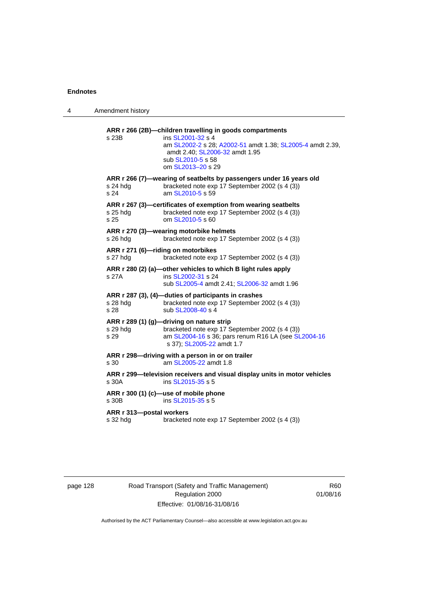| 4 | Amendment history                              |                                                                                                                                                                                                                        |
|---|------------------------------------------------|------------------------------------------------------------------------------------------------------------------------------------------------------------------------------------------------------------------------|
|   | s 23B                                          | ARR r 266 (2B)-children travelling in goods compartments<br>ins SL2001-32 s 4<br>am SL2002-2 s 28; A2002-51 amdt 1.38; SL2005-4 amdt 2.39,<br>amdt 2.40; SL2006-32 amdt 1.95<br>sub SL2010-5 s 58<br>om SL2013-20 s 29 |
|   | s 24 hdg<br>s 24                               | ARR r 266 (7)-wearing of seatbelts by passengers under 16 years old<br>bracketed note exp 17 September 2002 (s 4 (3))<br>am SL2010-5 s 59                                                                              |
|   | $s$ 25 hdg<br>s 25                             | ARR r 267 (3)-certificates of exemption from wearing seatbelts<br>bracketed note exp 17 September 2002 (s 4 (3))<br>om SL2010-5 s 60                                                                                   |
|   | s 26 hdg                                       | ARR r 270 (3)-wearing motorbike helmets<br>bracketed note exp 17 September 2002 (s 4 (3))                                                                                                                              |
|   | ARR r 271 (6)-riding on motorbikes<br>s 27 hdg | bracketed note exp 17 September 2002 (s 4 (3))                                                                                                                                                                         |
|   | s 27A                                          | ARR r 280 (2) (a)-other vehicles to which B light rules apply<br>ins SL2002-31 s 24<br>sub SL2005-4 amdt 2.41; SL2006-32 amdt 1.96                                                                                     |
|   | s 28 hdg<br>s 28                               | ARR r 287 (3), (4)-duties of participants in crashes<br>bracketed note exp 17 September 2002 (s 4 (3))<br>sub SL2008-40 s 4                                                                                            |
|   | s 29 hdg<br>s 29                               | ARR r 289 (1) (g)-driving on nature strip<br>bracketed note exp 17 September 2002 (s 4 (3))<br>am SL2004-16 s 36; pars renum R16 LA (see SL2004-16<br>s 37); SL2005-22 amdt 1.7                                        |
|   | s 30                                           | ARR r 298-driving with a person in or on trailer<br>am SL2005-22 amdt 1.8                                                                                                                                              |
|   | s 30A                                          | ARR r 299—television receivers and visual display units in motor vehicles<br>ins SL2015-35 s 5                                                                                                                         |
|   | s 30B                                          | ARR r 300 (1) (c)-use of mobile phone<br>ins SL2015-35 s 5                                                                                                                                                             |
|   | ARR r 313-postal workers<br>s 32 hdg           | bracketed note exp 17 September 2002 (s 4 (3))                                                                                                                                                                         |

page 128 Road Transport (Safety and Traffic Management) Regulation 2000 Effective: 01/08/16-31/08/16

R60 01/08/16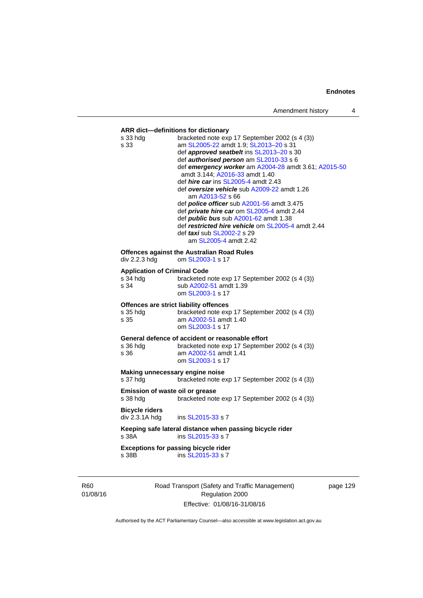## **ARR dict—definitions for dictionary**  s 33 hdg bracketed note exp 17 September 2002 (s 4 (3)) s 33 am [SL2005-22](http://www.legislation.act.gov.au/sl/2005-22) amdt 1.9; [SL2013–20](http://www.legislation.act.gov.au/sl/2013-20) s 31 def *approved seatbelt* ins [SL2013–20](http://www.legislation.act.gov.au/sl/2013-20) s 30 def *authorised person* am [SL2010-33](http://www.legislation.act.gov.au/sl/2010-33) s 6 def *emergency worker* am [A2004-28](http://www.legislation.act.gov.au/a/2004-28) amdt 3.61; [A2015-50](http://www.legislation.act.gov.au/a/2015-50) amdt 3.144; [A2016-33](http://www.legislation.act.gov.au/a/2016-33/default.asp) amdt 1.40 def *hire car* ins [SL2005-4](http://www.legislation.act.gov.au/sl/2005-4) amdt 2.43 def *oversize vehicle* sub [A2009-22](http://www.legislation.act.gov.au/a/2009-22) amdt 1.26 am [A2013-52](http://www.legislation.act.gov.au/a/2013-52) s 66 def *police officer* sub [A2001-56](http://www.legislation.act.gov.au/a/2001-56) amdt 3.475 def *private hire car* om [SL2005-4](http://www.legislation.act.gov.au/sl/2005-4) amdt 2.44 def *public bus* sub [A2001-62](http://www.legislation.act.gov.au/a/2001-62) amdt 1.38 def *restricted hire vehicle* om [SL2005-4](http://www.legislation.act.gov.au/sl/2005-4) amdt 2.44 def *taxi* sub [SL2002-2](http://www.legislation.act.gov.au/sl/2002-2) s 29 am [SL2005-4](http://www.legislation.act.gov.au/sl/2005-4) amdt 2.42 **Offences against the Australian Road Rules**<br>div 2.2.3 hdg om SL2003-1 s 17 om [SL2003-1](http://www.legislation.act.gov.au/sl/2003-1) s 17 **Application of Criminal Code**  s  $\frac{34 \text{ hdg}}{34}$  bracketed note exp 17 September 2002 (s 4 (3))<br>s  $\frac{34}{34}$ sub [A2002-51](http://www.legislation.act.gov.au/a/2002-51) amdt 1.39 om [SL2003-1](http://www.legislation.act.gov.au/sl/2003-1) s 17 **Offences are strict liability offences**  s 35 hdg bracketed note exp 17 September 2002 (s 4 (3)) s 35 am [A2002-51](http://www.legislation.act.gov.au/a/2002-51) amdt 1.40 om [SL2003-1](http://www.legislation.act.gov.au/sl/2003-1) s 17 **General defence of accident or reasonable effort**  s 36 hdg bracketed note exp 17 September 2002 (s 4 (3))<br>s 36 am A2002-51 amdt 1.41 am [A2002-51](http://www.legislation.act.gov.au/a/2002-51) amdt 1.41 om [SL2003-1](http://www.legislation.act.gov.au/sl/2003-1) s 17 **Making unnecessary engine noise**  s 37 hdg bracketed note exp 17 September 2002 (s 4 (3)) **Emission of waste oil or grease**  s 38 hdg bracketed note exp 17 September 2002 (s 4 (3)) **Bicycle riders**  ins [SL2015-33](http://www.legislation.act.gov.au/sl/2015-33) s 7 **Keeping safe lateral distance when passing bicycle rider**  s 38A ins [SL2015-33](http://www.legislation.act.gov.au/sl/2015-33) s 7 **Exceptions for passing bicycle rider**<br>s 38B **ins SL2015-33** s 7 ins [SL2015-33](http://www.legislation.act.gov.au/sl/2015-33) s 7

R60 01/08/16 Road Transport (Safety and Traffic Management) Regulation 2000 Effective: 01/08/16-31/08/16

page 129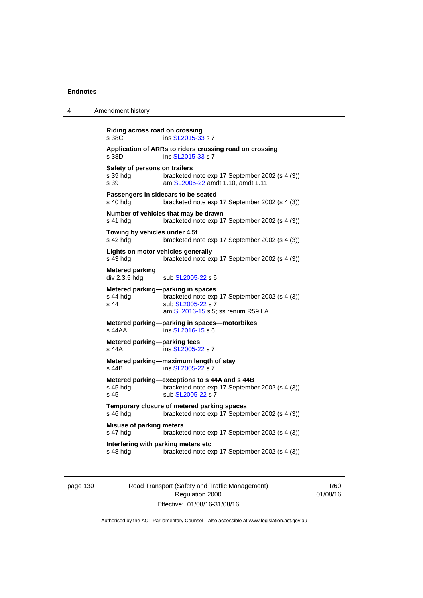| 4 | Amendment history                                                                                                                                                 |
|---|-------------------------------------------------------------------------------------------------------------------------------------------------------------------|
|   | Riding across road on crossing<br>ins SL2015-33 s 7<br>s 38C                                                                                                      |
|   | Application of ARRs to riders crossing road on crossing<br>s 38D<br>ins SL2015-33 s 7                                                                             |
|   | Safety of persons on trailers<br>s 39 hda<br>bracketed note exp 17 September 2002 (s 4 (3))<br>s 39<br>am SL2005-22 amdt 1.10, amdt 1.11                          |
|   | Passengers in sidecars to be seated<br>s 40 hdg<br>bracketed note exp 17 September 2002 (s 4 (3))                                                                 |
|   | Number of vehicles that may be drawn<br>bracketed note exp 17 September 2002 (s 4 (3))<br>s 41 hdg                                                                |
|   | Towing by vehicles under 4.5t<br>s 42 hdg<br>bracketed note exp 17 September 2002 (s 4 (3))                                                                       |
|   | Lights on motor vehicles generally<br>s 43 hdg<br>bracketed note exp 17 September 2002 (s 4 (3))                                                                  |
|   | Metered parking<br>div 2.3.5 hdg<br>sub SL2005-22 s 6                                                                                                             |
|   | Metered parking-parking in spaces<br>s 44 hdg<br>bracketed note exp 17 September 2002 (s 4 (3))<br>s 44<br>sub SL2005-22 s 7<br>am SL2016-15 s 5; ss renum R59 LA |
|   | Metered parking-parking in spaces-motorbikes<br>ins SL2016-15 s 6<br>s 44AA                                                                                       |
|   | Metered parking-parking fees<br>ins SL2005-22 s 7<br>s 44A                                                                                                        |
|   | Metered parking-maximum length of stay<br>ins SL2005-22 s 7<br>s 44B                                                                                              |
|   | Metered parking-exceptions to s 44A and s 44B<br>bracketed note exp 17 September 2002 (s 4 (3))<br>s 45 hdg<br>sub SL2005-22 s 7<br>s 45                          |
|   | Temporary closure of metered parking spaces<br>s 46 hdg<br>bracketed note exp 17 September 2002 (s 4 (3))                                                         |
|   | <b>Misuse of parking meters</b><br>s 47 hdg<br>bracketed note exp 17 September 2002 (s 4 (3))                                                                     |
|   | Interfering with parking meters etc<br>s 48 hdg<br>bracketed note exp 17 September 2002 (s 4 (3))                                                                 |
|   |                                                                                                                                                                   |

page 130 Road Transport (Safety and Traffic Management) Regulation 2000 Effective: 01/08/16-31/08/16

R60 01/08/16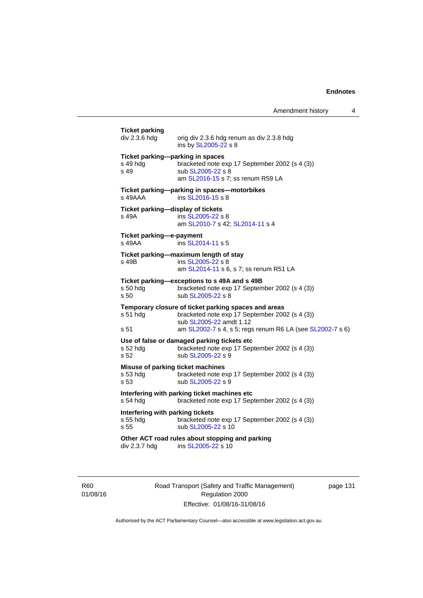| <b>Ticket parking</b><br>div 2.3.6 hdg               | orig div 2.3.6 hdg renum as div 2.3.8 hdg<br>ins by SL2005-22 s 8                                                                                                                              |
|------------------------------------------------------|------------------------------------------------------------------------------------------------------------------------------------------------------------------------------------------------|
| s 49 hda<br>s 49                                     | Ticket parking-parking in spaces<br>bracketed note exp 17 September 2002 (s 4 (3))<br>sub SL2005-22 s 8<br>am SL2016-15 s 7; ss renum R59 LA                                                   |
| s 49AAA                                              | Ticket parking--parking in spaces--motorbikes<br>ins SL2016-15 s 8                                                                                                                             |
| s 49A                                                | Ticket parking-display of tickets<br>ins SL2005-22 s 8<br>am SL2010-7 s 42; SL2014-11 s 4                                                                                                      |
| Ticket parking-e-payment<br>s 49AA                   | ins SL2014-11 s 5                                                                                                                                                                              |
| s 49B                                                | Ticket parking-maximum length of stay<br>ins SL2005-22 s 8<br>am SL2014-11 s 6, s 7; ss renum R51 LA                                                                                           |
| s 50 hda<br>s 50                                     | Ticket parking-exceptions to s 49A and s 49B<br>bracketed note exp 17 September 2002 (s 4 (3))<br>sub SL2005-22 s 8                                                                            |
| s 51 hdg<br>s 51                                     | Temporary closure of ticket parking spaces and areas<br>bracketed note exp 17 September 2002 (s 4 (3))<br>sub SL2005-22 amdt 1.12<br>am SL2002-7 s 4, s 5; regs renum R6 LA (see SL2002-7 s 6) |
| s 52 hdg<br>s 52                                     | Use of false or damaged parking tickets etc<br>bracketed note exp 17 September 2002 (s 4 (3))<br>sub SL2005-22 s 9                                                                             |
| s 53 hdg<br>s <sub>53</sub>                          | Misuse of parking ticket machines<br>bracketed note exp 17 September 2002 (s 4 (3))<br>sub SL2005-22 s 9                                                                                       |
| s 54 hdg                                             | Interfering with parking ticket machines etc<br>bracketed note exp 17 September 2002 (s 4 (3))                                                                                                 |
| Interfering with parking tickets<br>s 55 hdg<br>s 55 | bracketed note exp 17 September 2002 (s 4 (3))<br>sub SL2005-22 s 10                                                                                                                           |
| div 2.3.7 hdg                                        | Other ACT road rules about stopping and parking<br>ins SL2005-22 s 10                                                                                                                          |
|                                                      |                                                                                                                                                                                                |

R60 01/08/16 Road Transport (Safety and Traffic Management) Regulation 2000 Effective: 01/08/16-31/08/16

page 131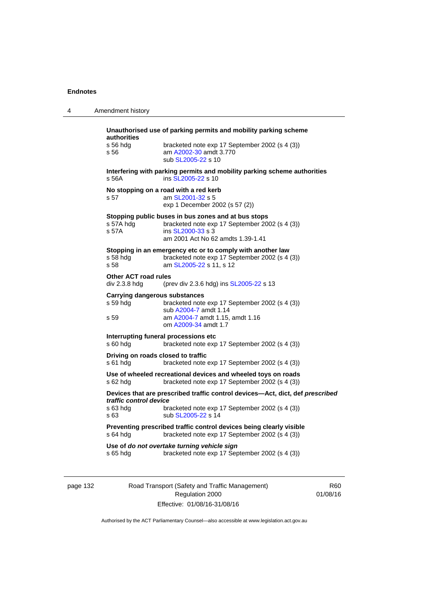| 4 | Amendment history                                                                                                                                                                                    |
|---|------------------------------------------------------------------------------------------------------------------------------------------------------------------------------------------------------|
|   | Unauthorised use of parking permits and mobility parking scheme<br>authorities<br>s 56 hdg<br>bracketed note exp 17 September 2002 (s 4 (3))<br>am A2002-30 amdt 3.770<br>s 56<br>sub SL2005-22 s 10 |
|   | Interfering with parking permits and mobility parking scheme authorities<br>s 56A<br>ins SL2005-22 s 10                                                                                              |
|   | No stopping on a road with a red kerb<br>s 57<br>am SL2001-32 s 5<br>exp 1 December 2002 (s 57 (2))                                                                                                  |
|   | Stopping public buses in bus zones and at bus stops<br>s 57A hda<br>bracketed note exp 17 September 2002 (s 4 (3))<br>s 57A<br>ins SL2000-33 s 3<br>am 2001 Act No 62 amdts 1.39-1.41                |
|   | Stopping in an emergency etc or to comply with another law<br>bracketed note exp 17 September 2002 (s 4 (3))<br>s 58 hda<br>s 58<br>am SL2005-22 s 11, s 12                                          |
|   | <b>Other ACT road rules</b><br>div 2.3.8 hdg<br>(prev div 2.3.6 hdg) ins SL2005-22 s 13                                                                                                              |
|   | Carrying dangerous substances<br>s 59 hdg<br>bracketed note exp 17 September 2002 (s 4 (3))<br>sub A2004-7 amdt 1.14<br>am A2004-7 amdt 1.15, amdt 1.16<br>s 59<br>om A2009-34 amdt 1.7              |
|   | Interrupting funeral processions etc<br>s 60 hdg<br>bracketed note exp 17 September 2002 (s 4 (3))                                                                                                   |
|   | Driving on roads closed to traffic<br>s 61 hdg<br>bracketed note exp 17 September 2002 (s 4 (3))                                                                                                     |
|   | Use of wheeled recreational devices and wheeled toys on roads<br>s 62 hdg<br>bracketed note exp 17 September 2002 (s 4 (3))                                                                          |
|   | Devices that are prescribed traffic control devices-Act, dict, def prescribed<br>traffic control device<br>s 63 hdg<br>bracketed note exp 17 September 2002 (s 4 (3))<br>s 63<br>sub SL2005-22 s 14  |
|   | Preventing prescribed traffic control devices being clearly visible<br>bracketed note exp 17 September 2002 (s 4 (3))<br>s 64 hdg                                                                    |
|   | Use of do not overtake turning vehicle sign<br>bracketed note exp 17 September 2002 (s 4 (3))<br>s 65 hda                                                                                            |

page 132 Road Transport (Safety and Traffic Management) Regulation 2000 Effective: 01/08/16-31/08/16

R60 01/08/16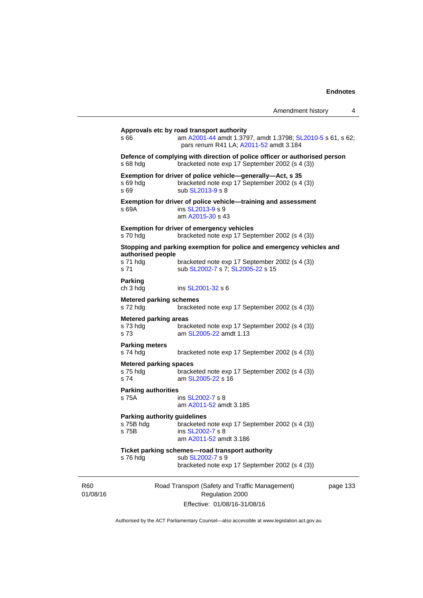|                                                                                                                                                           | Amendment history                                                                                                                | 4 |  |
|-----------------------------------------------------------------------------------------------------------------------------------------------------------|----------------------------------------------------------------------------------------------------------------------------------|---|--|
| Approvals etc by road transport authority<br>am A2001-44 amdt 1.3797, amdt 1.3798; SL2010-5 s 61, s 62;<br>s 66<br>pars renum R41 LA; A2011-52 amdt 3.184 |                                                                                                                                  |   |  |
| s 68 hdg                                                                                                                                                  | Defence of complying with direction of police officer or authorised person<br>bracketed note exp 17 September 2002 (s 4 (3))     |   |  |
| s 69 hdg<br>s 69                                                                                                                                          | Exemption for driver of police vehicle—generally—Act, s 35<br>bracketed note exp 17 September 2002 (s 4 (3))<br>sub SL2013-9 s 8 |   |  |
| s 69A                                                                                                                                                     | Exemption for driver of police vehicle—training and assessment<br>ins SL2013-9 s 9<br>am A2015-30 s 43                           |   |  |
| s 70 hdg                                                                                                                                                  | <b>Exemption for driver of emergency vehicles</b><br>bracketed note exp 17 September 2002 (s 4 (3))                              |   |  |
|                                                                                                                                                           | Stopping and parking exemption for police and emergency vehicles and                                                             |   |  |
| authorised people<br>s 71 hdg<br>s 71                                                                                                                     | bracketed note exp 17 September 2002 (s 4 (3))<br>sub SL2002-7 s 7; SL2005-22 s 15                                               |   |  |
| <b>Parking</b><br>ch 3 hdg                                                                                                                                | ins SL2001-32 s 6                                                                                                                |   |  |
| <b>Metered parking schemes</b><br>s 72 hdg                                                                                                                | bracketed note exp 17 September 2002 (s 4 (3))                                                                                   |   |  |
| <b>Metered parking areas</b><br>s 73 hdg<br>s 73                                                                                                          | bracketed note exp 17 September 2002 (s 4 (3))<br>am SL2005-22 amdt 1.13                                                         |   |  |
| <b>Parking meters</b><br>s 74 hdg                                                                                                                         | bracketed note exp 17 September 2002 (s 4 (3))                                                                                   |   |  |
| <b>Metered parking spaces</b><br>s 75 hdg<br>s 74                                                                                                         | bracketed note exp 17 September 2002 (s 4 (3))<br>am SL2005-22 s 16                                                              |   |  |
| <b>Parking authorities</b><br>s 75A                                                                                                                       | ins SL2002-7 s 8<br>am A2011-52 amdt 3.185                                                                                       |   |  |
| <b>Parking authority guidelines</b><br>s 75B                                                                                                              | s 75B hdg bracketed note exp 17 September 2002 (s 4 (3))<br>ins SL2002-7 s 8<br>am A2011-52 amdt 3.186                           |   |  |
| s 76 hdg                                                                                                                                                  | Ticket parking schemes-road transport authority<br>sub SL2002-7 s 9<br>bracketed note exp 17 September 2002 (s 4 (3))            |   |  |
|                                                                                                                                                           | Road Transport (Safety and Traffic Management)<br>page 133<br>Regulation 2000                                                    |   |  |
|                                                                                                                                                           | Effective: 01/08/16-31/08/16                                                                                                     |   |  |

Authorised by the ACT Parliamentary Counsel—also accessible at www.legislation.act.gov.au

R60 01/08/16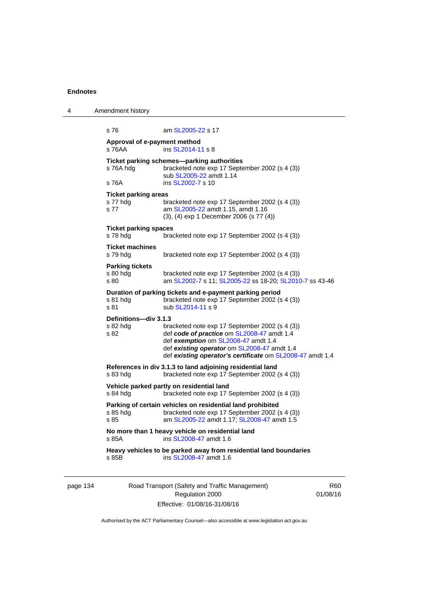| 4 | Amendment history                               |                                                                                                                                                                                                                                                 |
|---|-------------------------------------------------|-------------------------------------------------------------------------------------------------------------------------------------------------------------------------------------------------------------------------------------------------|
|   | s 76                                            | am SL2005-22 s 17                                                                                                                                                                                                                               |
|   | Approval of e-payment method<br>s 76AA          | ins SL2014-11 s 8                                                                                                                                                                                                                               |
|   | s 76A hdg                                       | Ticket parking schemes—parking authorities<br>bracketed note exp 17 September 2002 (s 4 (3))<br>sub SL2005-22 amdt 1.14                                                                                                                         |
|   | s 76A                                           | ins SL2002-7 s 10                                                                                                                                                                                                                               |
|   | <b>Ticket parking areas</b><br>s 77 hdg<br>s 77 | bracketed note exp 17 September 2002 (s 4 (3))<br>am SL2005-22 amdt 1.15, amdt 1.16<br>(3), (4) exp 1 December 2006 (s 77 (4))                                                                                                                  |
|   | <b>Ticket parking spaces</b><br>s 78 hdg        | bracketed note exp 17 September 2002 (s 4 (3))                                                                                                                                                                                                  |
|   | <b>Ticket machines</b><br>s 79 hdg              | bracketed note exp 17 September 2002 (s 4 (3))                                                                                                                                                                                                  |
|   | <b>Parking tickets</b><br>s 80 hdg<br>s 80      | bracketed note exp 17 September 2002 (s 4 (3))<br>am SL2002-7 s 11; SL2005-22 ss 18-20; SL2010-7 ss 43-46                                                                                                                                       |
|   | s 81 hdg<br>s 81                                | Duration of parking tickets and e-payment parking period<br>bracketed note exp 17 September 2002 (s 4 (3))<br>sub SL2014-11 s 9                                                                                                                 |
|   | Definitions-div 3.1.3<br>s 82 hdg<br>s 82       | bracketed note exp 17 September 2002 (s 4 (3))<br>def code of practice om SL2008-47 amdt 1.4<br>def exemption om SL2008-47 amdt 1.4<br>def existing operator om SL2008-47 amdt 1.4<br>def existing operator's certificate om SL2008-47 amdt 1.4 |
|   | s 83 hdg                                        | References in div 3.1.3 to land adjoining residential land<br>bracketed note exp 17 September 2002 (s 4 (3))                                                                                                                                    |
|   | s 84 hdg                                        | Vehicle parked partly on residential land<br>bracketed note exp 17 September 2002 (s 4 (3))                                                                                                                                                     |
|   | s 85 hdg<br>s 85                                | Parking of certain vehicles on residential land prohibited<br>bracketed note exp 17 September 2002 (s 4 (3))<br>am SL2005-22 amdt 1.17; SL2008-47 amdt 1.5                                                                                      |
|   | s 85A                                           | No more than 1 heavy vehicle on residential land<br>ins SL2008-47 amdt 1.6                                                                                                                                                                      |
|   | s 85B                                           | Heavy vehicles to be parked away from residential land boundaries<br>ins SL2008-47 amdt 1.6                                                                                                                                                     |
|   |                                                 |                                                                                                                                                                                                                                                 |

page 134 Road Transport (Safety and Traffic Management) Regulation 2000 Effective: 01/08/16-31/08/16

R60 01/08/16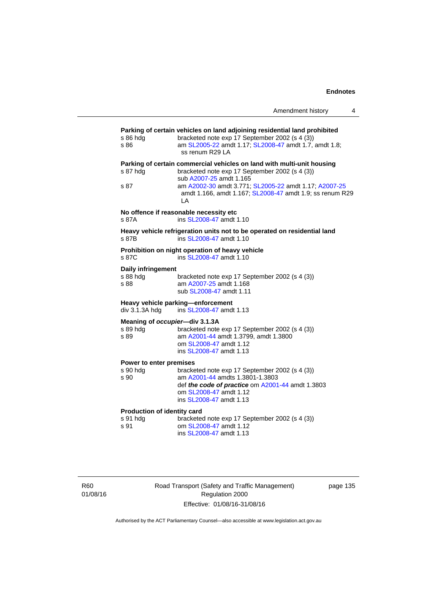| s 86 hdg<br>s 86                                | Parking of certain vehicles on land adjoining residential land prohibited<br>bracketed note exp 17 September 2002 (s 4 (3))<br>am SL2005-22 amdt 1.17; SL2008-47 amdt 1.7, amdt 1.8;<br>ss renum R29 LA |
|-------------------------------------------------|---------------------------------------------------------------------------------------------------------------------------------------------------------------------------------------------------------|
| s 87 hdg                                        | Parking of certain commercial vehicles on land with multi-unit housing<br>bracketed note exp 17 September 2002 (s 4 (3))<br>sub A2007-25 amdt 1.165                                                     |
| s 87                                            | am A2002-30 amdt 3.771; SL2005-22 amdt 1.17; A2007-25<br>amdt 1.166, amdt 1.167; SL2008-47 amdt 1.9; ss renum R29<br>L A                                                                                |
| s 87A                                           | No offence if reasonable necessity etc<br>ins SL2008-47 amdt 1.10                                                                                                                                       |
| s 87B                                           | Heavy vehicle refrigeration units not to be operated on residential land<br>ins SL2008-47 amdt 1.10                                                                                                     |
| s 87C                                           | Prohibition on night operation of heavy vehicle<br>ins SL2008-47 amdt 1.10                                                                                                                              |
| <b>Daily infringement</b><br>s 88 hdg<br>s 88   | bracketed note exp 17 September 2002 (s 4 (3))<br>am A2007-25 amdt 1.168<br>sub SL2008-47 amdt 1.11                                                                                                     |
| div 3.1.3A hdg                                  | Heavy vehicle parking-enforcement<br>ins SL2008-47 amdt 1.13                                                                                                                                            |
| s 89 hdg<br>s 89                                | Meaning of occupier-div 3.1.3A<br>bracketed note exp 17 September 2002 (s 4 (3))<br>am A2001-44 amdt 1.3799, amdt 1.3800<br>om SL2008-47 amdt 1.12<br>ins SL2008-47 amdt 1.13                           |
| Power to enter premises<br>s 90 hdg<br>s 90     | bracketed note exp 17 September 2002 (s 4 (3))<br>am A2001-44 amdts 1.3801-1.3803<br>def the code of practice om A2001-44 amdt 1.3803<br>om SL2008-47 amdt 1.12<br>ins SL2008-47 amdt 1.13              |
| Production of identity card<br>s 91 hdg<br>s 91 | bracketed note exp 17 September 2002 (s 4 (3))<br>om SL2008-47 amdt 1.12<br>ins SL2008-47 amdt 1.13                                                                                                     |
|                                                 |                                                                                                                                                                                                         |

R60 01/08/16 Road Transport (Safety and Traffic Management) Regulation 2000 Effective: 01/08/16-31/08/16

page 135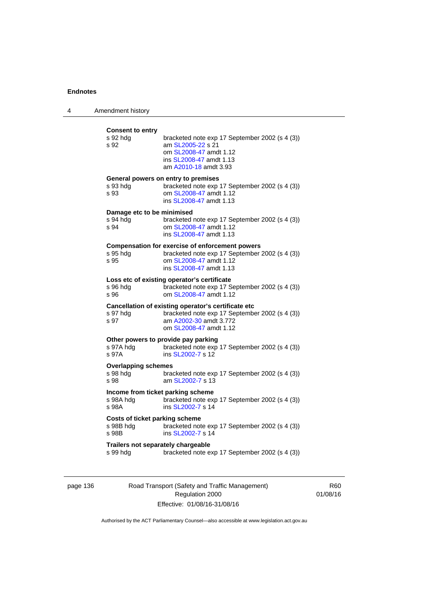| 4 | Amendment history                                       |                                                                                                                                                               |
|---|---------------------------------------------------------|---------------------------------------------------------------------------------------------------------------------------------------------------------------|
|   | <b>Consent to entry</b><br>s 92 hdg<br>s 92             | bracketed note exp 17 September 2002 (s 4 (3))<br>am SL2005-22 s 21<br>om SL2008-47 amdt 1.12<br>ins SL2008-47 amdt 1.13<br>am A2010-18 amdt 3.93             |
|   | s 93 hdg<br>s 93                                        | General powers on entry to premises<br>bracketed note exp 17 September 2002 (s 4 (3))<br>om SL2008-47 amdt 1.12<br>ins SL2008-47 amdt 1.13                    |
|   | Damage etc to be minimised<br>s 94 hdg<br>s 94          | bracketed note exp 17 September 2002 (s 4 (3))<br>om SL2008-47 amdt 1.12<br>ins SL2008-47 amdt 1.13                                                           |
|   | s 95 hdg<br>s 95                                        | <b>Compensation for exercise of enforcement powers</b><br>bracketed note exp 17 September 2002 (s 4 (3))<br>om SL2008-47 amdt 1.12<br>ins SL2008-47 amdt 1.13 |
|   | s 96 hdg<br>s 96                                        | Loss etc of existing operator's certificate<br>bracketed note exp 17 September 2002 (s 4 (3))<br>om SL2008-47 amdt 1.12                                       |
|   | s 97 hdg<br>s 97                                        | Cancellation of existing operator's certificate etc<br>bracketed note exp 17 September 2002 (s 4 (3))<br>am A2002-30 amdt 3.772<br>om SL2008-47 amdt 1.12     |
|   | s 97A hdg<br>s 97A                                      | Other powers to provide pay parking<br>bracketed note exp 17 September 2002 (s 4 (3))<br>ins SL2002-7 s 12                                                    |
|   | <b>Overlapping schemes</b><br>s 98 hdg<br>s 98          | bracketed note exp 17 September 2002 (s 4 (3))<br>am SL2002-7 s 13                                                                                            |
|   | Income from ticket parking scheme<br>s 98A hdg<br>s 98A | bracketed note exp 17 September 2002 (s 4 (3))<br>ins SL2002-7 s 14                                                                                           |
|   | Costs of ticket parking scheme<br>s 98B hdg<br>s 98B    | bracketed note exp 17 September 2002 (s 4 (3))<br>ins SL2002-7 s 14                                                                                           |
|   | Trailers not separately chargeable<br>s 99 hdg          | bracketed note exp 17 September 2002 (s 4 (3))                                                                                                                |

page 136 Road Transport (Safety and Traffic Management) Regulation 2000 Effective: 01/08/16-31/08/16

R60 01/08/16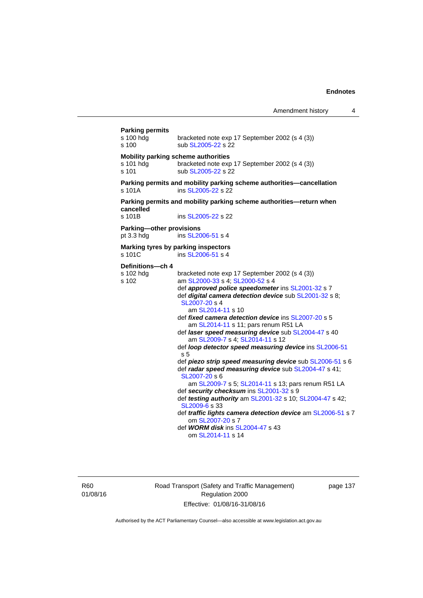| <b>Parking permits</b><br>s 100 hdg<br>s 100              | bracketed note exp 17 September 2002 (s 4 (3))<br>sub SL2005-22 s 22                                                                                                                                                                                                                                                                                                                                                                                                                                                                                                                                                                                                                                                                                                                                                                                                                                                                                                   |  |  |
|-----------------------------------------------------------|------------------------------------------------------------------------------------------------------------------------------------------------------------------------------------------------------------------------------------------------------------------------------------------------------------------------------------------------------------------------------------------------------------------------------------------------------------------------------------------------------------------------------------------------------------------------------------------------------------------------------------------------------------------------------------------------------------------------------------------------------------------------------------------------------------------------------------------------------------------------------------------------------------------------------------------------------------------------|--|--|
| Mobility parking scheme authorities<br>s 101 hdg<br>s 101 | bracketed note exp 17 September 2002 (s 4 (3))<br>sub SL2005-22 s 22                                                                                                                                                                                                                                                                                                                                                                                                                                                                                                                                                                                                                                                                                                                                                                                                                                                                                                   |  |  |
| s 101A                                                    | Parking permits and mobility parking scheme authorities-cancellation<br>ins SL2005-22 s 22                                                                                                                                                                                                                                                                                                                                                                                                                                                                                                                                                                                                                                                                                                                                                                                                                                                                             |  |  |
| cancelled<br>s 101B                                       | Parking permits and mobility parking scheme authorities—return when<br>ins SL2005-22 s 22                                                                                                                                                                                                                                                                                                                                                                                                                                                                                                                                                                                                                                                                                                                                                                                                                                                                              |  |  |
| Parking-other provisions<br>pt 3.3 hdg                    | ins SL2006-51 s 4                                                                                                                                                                                                                                                                                                                                                                                                                                                                                                                                                                                                                                                                                                                                                                                                                                                                                                                                                      |  |  |
| s 101C                                                    | Marking tyres by parking inspectors<br>ins SL2006-51 s 4                                                                                                                                                                                                                                                                                                                                                                                                                                                                                                                                                                                                                                                                                                                                                                                                                                                                                                               |  |  |
| Definitions-ch 4<br>s 102 hdg<br>s 102                    | bracketed note exp 17 September 2002 (s 4 (3))<br>am SL2000-33 s 4; SL2000-52 s 4<br>def approved police speedometer ins SL2001-32 s 7<br>def digital camera detection device sub SL2001-32 s 8;<br>SL2007-20 s 4<br>am SL2014-11 s 10<br>def fixed camera detection device ins SL2007-20 s 5<br>am SL2014-11 s 11; pars renum R51 LA<br>def laser speed measuring device sub SL2004-47 s 40<br>am SL2009-7 s 4; SL2014-11 s 12<br>def loop detector speed measuring device ins SL2006-51<br>s 5<br>def piezo strip speed measuring device sub SL2006-51 s 6<br>def radar speed measuring device sub SL2004-47 s 41;<br>SL2007-20 s 6<br>am SL2009-7 s 5; SL2014-11 s 13; pars renum R51 LA<br>def security checksum ins SL2001-32 s 9<br>def testing authority am SL2001-32 s 10; SL2004-47 s 42;<br>SL2009-6 s 33<br>def traffic lights camera detection device am SL2006-51 s 7<br>om SL2007-20 s 7<br>def <b>WORM disk</b> ins SL2004-47 s 43<br>om SL2014-11 s 14 |  |  |

R60 01/08/16 Road Transport (Safety and Traffic Management) Regulation 2000 Effective: 01/08/16-31/08/16

page 137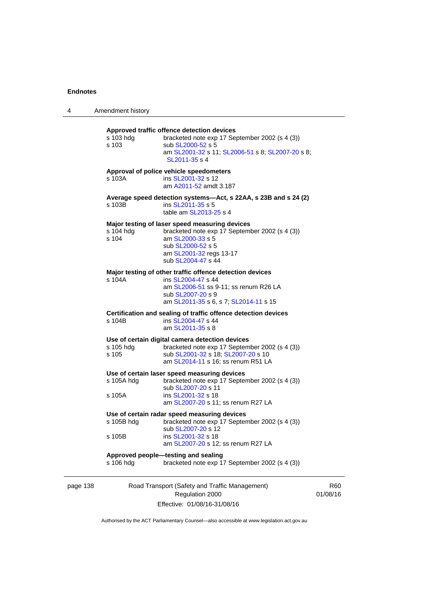| 4        | Amendment history                                                                                                  |                                                                                                                                                                                            |       |
|----------|--------------------------------------------------------------------------------------------------------------------|--------------------------------------------------------------------------------------------------------------------------------------------------------------------------------------------|-------|
|          | s 103 hdg<br>s 103                                                                                                 | Approved traffic offence detection devices<br>bracketed note exp 17 September 2002 (s 4 (3))<br>sub SL2000-52 s 5<br>am SL2001-32 s 11; SL2006-51 s 8; SL2007-20 s 8;<br>SL2011-35 s 4     |       |
|          | s 103A                                                                                                             | Approval of police vehicle speedometers<br>ins SL2001-32 s 12<br>am A2011-52 amdt 3.187                                                                                                    |       |
|          | s 103B                                                                                                             | Average speed detection systems—Act, s 22AA, s 23B and s 24 (2)<br>ins SL2011-35 s 5<br>table am SL2013-25 s 4                                                                             |       |
|          | s 104 hdg<br>s 104                                                                                                 | Major testing of laser speed measuring devices<br>bracketed note exp 17 September 2002 (s 4 (3))<br>am SL2000-33 s 5<br>sub SL2000-52 s 5<br>am SL2001-32 regs 13-17<br>sub SL2004-47 s 44 |       |
|          | s 104A                                                                                                             | Major testing of other traffic offence detection devices<br>ins SL2004-47 s 44<br>am SL2006-51 ss 9-11; ss renum R26 LA<br>sub SL2007-20 s 9<br>am SL2011-35 s 6, s 7; SL2014-11 s 15      |       |
|          | Certification and sealing of traffic offence detection devices<br>ins SL2004-47 s 44<br>s 104B<br>am SL2011-35 s 8 |                                                                                                                                                                                            |       |
|          | s 105 hdg<br>s 105                                                                                                 | Use of certain digital camera detection devices<br>bracketed note exp 17 September 2002 (s 4 (3))<br>sub SL2001-32 s 18; SL2007-20 s 10<br>am SL2014-11 s 16; ss renum R51 LA              |       |
|          | s 105A hdg<br>s 105A                                                                                               | Use of certain laser speed measuring devices<br>bracketed note exp 17 September 2002 (s 4 (3))<br>sub SL2007-20 s 11<br>ins SL2001-32 s 18<br>am SL2007-20 s 11; ss renum R27 LA           |       |
|          | s 105B hdg<br>s 105B                                                                                               | Use of certain radar speed measuring devices<br>bracketed note exp 17 September 2002 (s 4 (3))<br>sub SL2007-20 s 12<br>ins SL2001-32 s 18                                                 |       |
|          | s 106 hdg                                                                                                          | am SL2007-20 s 12; ss renum R27 LA<br>Approved people-testing and sealing<br>bracketed note exp 17 September 2002 (s 4 (3))                                                                |       |
| page 138 |                                                                                                                    | Road Transport (Safety and Traffic Management)<br>Regulation 2000                                                                                                                          | 01/08 |

Effective: 01/08/16-31/08/16

R60 01/08/16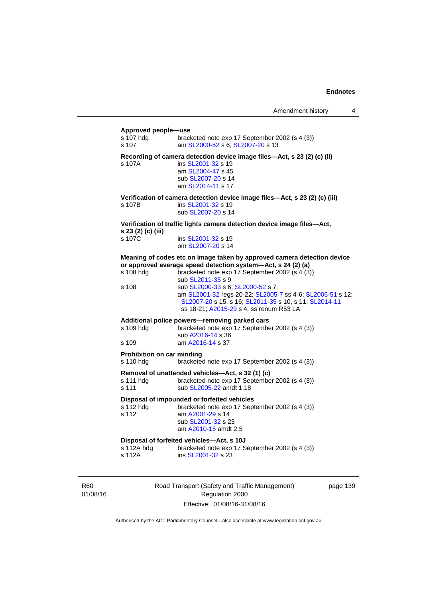#### **Approved people—use**

| s 107 hdg<br>s 107                             | bracketed note exp 17 September 2002 (s 4 (3))<br>am SL2000-52 s 6; SL2007-20 s 13                                                                                                                                                                                                                                                                                                                                  |
|------------------------------------------------|---------------------------------------------------------------------------------------------------------------------------------------------------------------------------------------------------------------------------------------------------------------------------------------------------------------------------------------------------------------------------------------------------------------------|
| s 107A                                         | Recording of camera detection device image files-Act, s 23 (2) (c) (ii)<br>ins SL2001-32 s 19<br>am SL2004-47 s 45<br>sub SL2007-20 s 14<br>am SL2014-11 s 17                                                                                                                                                                                                                                                       |
| s 107B                                         | Verification of camera detection device image files-Act, s 23 (2) (c) (iii)<br>ins SL2001-32 s 19<br>sub SL2007-20 s 14                                                                                                                                                                                                                                                                                             |
| s 23 (2) (c) (iii)                             | Verification of traffic lights camera detection device image files-Act,                                                                                                                                                                                                                                                                                                                                             |
| s 107C                                         | ins SL2001-32 s 19<br>om SL2007-20 s 14                                                                                                                                                                                                                                                                                                                                                                             |
| s 108 hdg<br>s 108                             | Meaning of codes etc on image taken by approved camera detection device<br>or approved average speed detection system-Act, s 24 (2) (a)<br>bracketed note exp 17 September 2002 (s 4 (3))<br>sub SL2011-35 s 9<br>sub SL2000-33 s 6; SL2000-52 s 7<br>am SL2001-32 regs 20-22; SL2005-7 ss 4-6; SL2006-51 s 12;<br>SL2007-20 s 15, s 16; SL2011-35 s 10, s 11; SL2014-11<br>ss 18-21; A2015-29 s 4; ss renum R53 LA |
| s 109 hdg<br>s 109                             | Additional police powers-removing parked cars<br>bracketed note exp 17 September 2002 (s 4 (3))<br>sub A2016-14 s 36<br>am A2016-14 s 37                                                                                                                                                                                                                                                                            |
| <b>Prohibition on car minding</b><br>s 110 hdg | bracketed note exp 17 September 2002 (s 4 (3))                                                                                                                                                                                                                                                                                                                                                                      |
| s 111 hdg<br>s 111                             | Removal of unattended vehicles-Act, s 32 (1) (c)<br>bracketed note exp 17 September 2002 (s 4 (3))<br>sub SL2005-22 amdt 1.18                                                                                                                                                                                                                                                                                       |
| s 112 hdg<br>s 112                             | Disposal of impounded or forfeited vehicles<br>bracketed note exp 17 September 2002 (s 4 (3))<br>am A2001-29 s 14<br>sub SL2001-32 s 23<br>am A2010-15 amdt 2.5                                                                                                                                                                                                                                                     |
| s 112A hdg<br>s 112A                           | Disposal of forfeited vehicles-Act, s 10J<br>bracketed note exp 17 September 2002 (s 4 (3))<br>ins SL2001-32 s 23                                                                                                                                                                                                                                                                                                   |

R60 01/08/16 Road Transport (Safety and Traffic Management) Regulation 2000 Effective: 01/08/16-31/08/16

page 139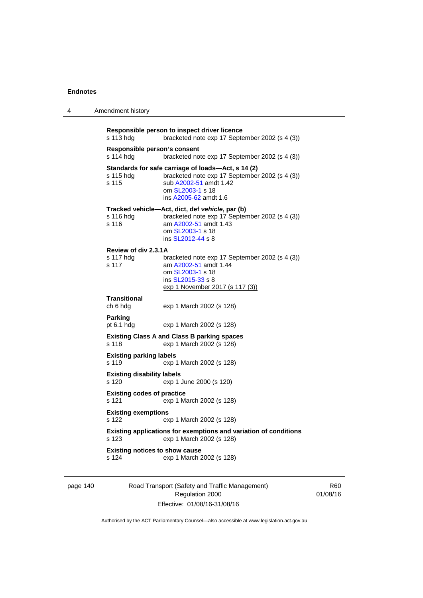4 Amendment history

page 140 Road Transport (Safety and Traffic Management) Regulation 2000 Effective: 01/08/16-31/08/16

R60 01/08/16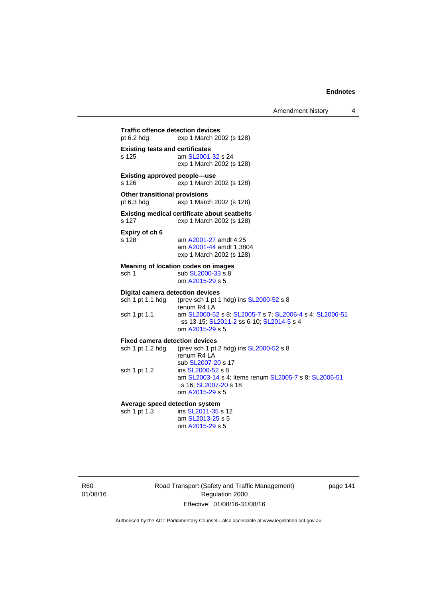Amendment history 4

**Traffic offence detection devices**  pt 6.2 hdg exp 1 March 2002 (s 128) **Existing tests and certificates**  s 125 am [SL2001-32](http://www.legislation.act.gov.au/sl/2001-32) s 24 exp 1 March 2002 (s 128) **Existing approved people—use**  s 126 exp 1 March 2002 (s 128) **Other transitional provisions**  pt 6.3 hdg exp 1 March 2002 (s 128) **Existing medical certificate about seatbelts**  s 127 exp 1 March 2002 (s 128) **Expiry of ch 6**  s 128 am [A2001-27](http://www.legislation.act.gov.au/a/2001-27) amdt 4.25 am [A2001-44](http://www.legislation.act.gov.au/a/2001-44) amdt 1.3804 exp 1 March 2002 (s 128) **Meaning of location codes on images**  sch 1 sub [SL2000-33](http://www.legislation.act.gov.au/sl/2000-33) s 8 om [A2015-29](http://www.legislation.act.gov.au/a/2015-29) s 5 **Digital camera detection devices**<br>sch 1 pt 1.1 hdg (prev sch 1 pt 1 (prev sch 1 pt 1 hdg) ins  $SL2000-52$  s 8 renum R4 LA sch 1 pt 1.1 am [SL2000-52](http://www.legislation.act.gov.au/sl/2000-52) s 8; [SL2005-7](http://www.legislation.act.gov.au/sl/2005-7) s 7; [SL2006-4](http://www.legislation.act.gov.au/sl/2006-4) s 4; [SL2006-51](http://www.legislation.act.gov.au/sl/2006-51) ss 13-15; [SL2011-2](http://www.legislation.act.gov.au/sl/2011-2) ss 6-10; [SL2014-5](http://www.legislation.act.gov.au/sl/2014-5) s 4 om [A2015-29](http://www.legislation.act.gov.au/a/2015-29) s 5 **Fixed camera detection devices**  sch 1 pt 1.2 hdg (prev sch 1 pt 2 hdg) ins  $SL2000-52$  s 8 renum R4 LA sub [SL2007-20](http://www.legislation.act.gov.au/sl/2007-20) s 17 sch 1 pt 1.2 ins [SL2000-52](http://www.legislation.act.gov.au/sl/2000-52) s 8 am [SL2003-14](http://www.legislation.act.gov.au/sl/2003-14) s 4; items renum [SL2005-7](http://www.legislation.act.gov.au/sl/2005-7) s 8; [SL2006-51](http://www.legislation.act.gov.au/sl/2006-51) s 16; [SL2007-20](http://www.legislation.act.gov.au/sl/2007-20) s 18 om [A2015-29](http://www.legislation.act.gov.au/a/2015-29) s 5 **Average speed detection system**  sch 1 pt 1.3 ins [SL2011-35](http://www.legislation.act.gov.au/sl/2011-35) s 12 am [SL2013-25](http://www.legislation.act.gov.au/sl/2013-25) s 5 om [A2015-29](http://www.legislation.act.gov.au/a/2015-29) s 5

R60 01/08/16 Road Transport (Safety and Traffic Management) Regulation 2000 Effective: 01/08/16-31/08/16

page 141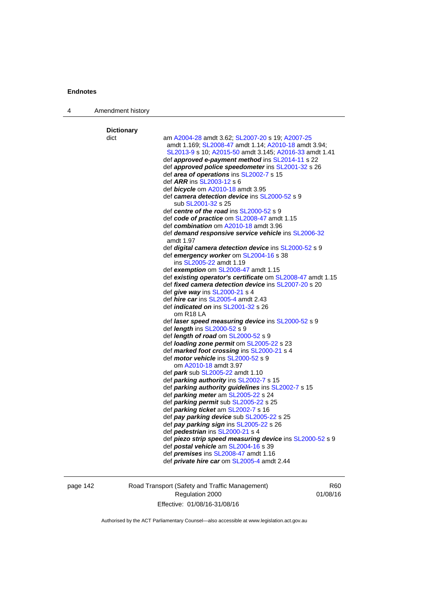| 4 | Amendment history |                                                                   |
|---|-------------------|-------------------------------------------------------------------|
|   | <b>Dictionary</b> |                                                                   |
|   | dict              | am A2004-28 amdt 3.62; SL2007-20 s 19; A2007-25                   |
|   |                   | amdt 1.169; SL2008-47 amdt 1.14; A2010-18 amdt 3.94;              |
|   |                   | SL2013-9 s 10; A2015-50 amdt 3.145; A2016-33 amdt 1.41            |
|   |                   | def approved e-payment method ins SL2014-11 s 22                  |
|   |                   | def approved police speedometer ins SL2001-32 s 26                |
|   |                   | def area of operations ins SL2002-7 s 15                          |
|   |                   | def <i>ARR</i> ins SL2003-12 s 6                                  |
|   |                   | def <b>bicycle</b> om A2010-18 amdt 3.95                          |
|   |                   | def camera detection device ins SL2000-52 s 9                     |
|   |                   | sub SL2001-32 s 25                                                |
|   |                   | def centre of the road ins SL2000-52 s 9                          |
|   |                   | def code of practice om SL2008-47 amdt 1.15                       |
|   |                   | def combination om A2010-18 amdt 3.96                             |
|   |                   | def <b>demand responsive service vehicle</b> ins <b>SL2006-32</b> |
|   |                   | amdt 1.97                                                         |
|   |                   | def digital camera detection device ins SL2000-52 s 9             |
|   |                   | def emergency worker om SL2004-16 s 38                            |
|   |                   | ins SL2005-22 amdt 1.19                                           |
|   |                   | def exemption om SL2008-47 amdt 1.15                              |
|   |                   | def existing operator's certificate om SL2008-47 amdt 1.15        |
|   |                   | def <i>fixed camera detection device</i> ins SL2007-20 s 20       |
|   |                   | def give way ins SL2000-21 s 4                                    |
|   |                   | def <i>hire car</i> ins SL2005-4 amdt 2.43                        |
|   |                   | def <i>indicated on</i> ins SL2001-32 s 26                        |
|   |                   | om R <sub>18</sub> LA                                             |
|   |                   | def laser speed measuring device ins SL2000-52 s 9                |
|   |                   | def <i>length</i> ins SL2000-52 s 9                               |
|   |                   | def <i>length of road</i> om SL2000-52 s 9                        |
|   |                   | def loading zone permit om SL2005-22 s 23                         |
|   |                   | def marked foot crossing ins SL2000-21 s 4                        |
|   |                   | def <i>motor vehicle</i> ins SL2000-52 s 9                        |
|   |                   | om A2010-18 amdt 3.97                                             |
|   |                   | def <i>park</i> sub SL2005-22 amdt 1.10                           |
|   |                   | def <i>parking authority</i> ins SL2002-7 s 15                    |
|   |                   | def parking authority guidelines ins SL2002-7 s 15                |
|   |                   | def parking meter am SL2005-22 s 24                               |
|   |                   | def parking permit sub SL2005-22 s 25                             |
|   |                   | def parking ticket am SL2002-7 s 16                               |
|   |                   | def pay parking device sub SL2005-22 s 25                         |
|   |                   | def pay parking sign ins SL2005-22 s 26                           |
|   |                   | def <b>pedestrian</b> ins SL2000-21 s 4                           |
|   |                   | def piezo strip speed measuring device ins SL2000-52 s 9          |
|   |                   | def postal vehicle am SL2004-16 s 39                              |
|   |                   | def <i>premises</i> ins SL2008-47 amdt 1.16                       |
|   |                   | def <i>private hire car</i> om SL2005-4 amdt 2.44                 |

page 142 Road Transport (Safety and Traffic Management) Regulation 2000 Effective: 01/08/16-31/08/16

R60 01/08/16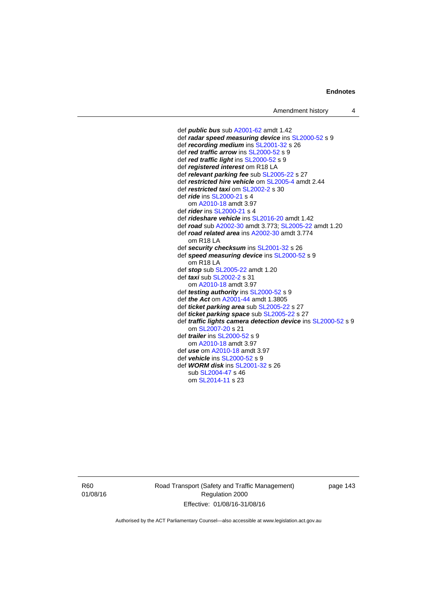def *public bus* sub [A2001-62](http://www.legislation.act.gov.au/a/2001-62) amdt 1.42 def *radar speed measuring device* ins [SL2000-52](http://www.legislation.act.gov.au/sl/2000-52) s 9 def *recording medium* ins [SL2001-32](http://www.legislation.act.gov.au/sl/2001-32) s 26 def *red traffic arrow* ins [SL2000-52](http://www.legislation.act.gov.au/sl/2000-52) s 9 def *red traffic light* ins [SL2000-52](http://www.legislation.act.gov.au/sl/2000-52) s 9 def *registered interest* om R18 LA def *relevant parking fee* sub [SL2005-22](http://www.legislation.act.gov.au/sl/2005-22) s 27 def *restricted hire vehicle* om [SL2005-4](http://www.legislation.act.gov.au/sl/2005-4) amdt 2.44 def *restricted taxi* om [SL2002-2](http://www.legislation.act.gov.au/sl/2002-2) s 30 def *ride* ins [SL2000-21](http://www.legislation.act.gov.au/sl/2000-21) s 4 om [A2010-18](http://www.legislation.act.gov.au/a/2010-18) amdt 3.97 def *rider* ins [SL2000-21](http://www.legislation.act.gov.au/sl/2000-21) s 4 def *rideshare vehicle* ins [SL2016-20](http://www.legislation.act.gov.au/sl/2016-20) amdt 1.42 def *road* sub [A2002-30](http://www.legislation.act.gov.au/a/2002-30) amdt 3.773; [SL2005-22](http://www.legislation.act.gov.au/sl/2005-22) amdt 1.20 def *road related area* ins [A2002-30](http://www.legislation.act.gov.au/a/2002-30) amdt 3.774 om R18 LA def *security checksum* ins [SL2001-32](http://www.legislation.act.gov.au/sl/2001-32) s 26 def *speed measuring device* ins [SL2000-52](http://www.legislation.act.gov.au/sl/2000-52) s 9 om R18 LA def *stop* sub [SL2005-22](http://www.legislation.act.gov.au/sl/2005-22) amdt 1.20 def *taxi* sub [SL2002-2](http://www.legislation.act.gov.au/sl/2002-2) s 31 om [A2010-18](http://www.legislation.act.gov.au/a/2010-18) amdt 3.97 def *testing authority* ins [SL2000-52](http://www.legislation.act.gov.au/sl/2000-52) s 9 def *the Act* om [A2001-44](http://www.legislation.act.gov.au/a/2001-44) amdt 1.3805 def *ticket parking area* sub [SL2005-22](http://www.legislation.act.gov.au/sl/2005-22) s 27 def *ticket parking space* sub [SL2005-22](http://www.legislation.act.gov.au/sl/2005-22) s 27 def *traffic lights camera detection device* ins [SL2000-52](http://www.legislation.act.gov.au/sl/2000-52) s 9 om [SL2007-20](http://www.legislation.act.gov.au/sl/2007-20) s 21 def *trailer* ins [SL2000-52](http://www.legislation.act.gov.au/sl/2000-52) s 9 om [A2010-18](http://www.legislation.act.gov.au/a/2010-18) amdt 3.97 def *use* om [A2010-18](http://www.legislation.act.gov.au/a/2010-18) amdt 3.97 def *vehicle* ins [SL2000-52](http://www.legislation.act.gov.au/sl/2000-52) s 9 def *WORM disk* ins [SL2001-32](http://www.legislation.act.gov.au/sl/2001-32) s 26 sub [SL2004-47](http://www.legislation.act.gov.au/sl/2004-47) s 46 om [SL2014-11](http://www.legislation.act.gov.au/sl/2014-11) s 23

R60 01/08/16 Road Transport (Safety and Traffic Management) Regulation 2000 Effective: 01/08/16-31/08/16

page 143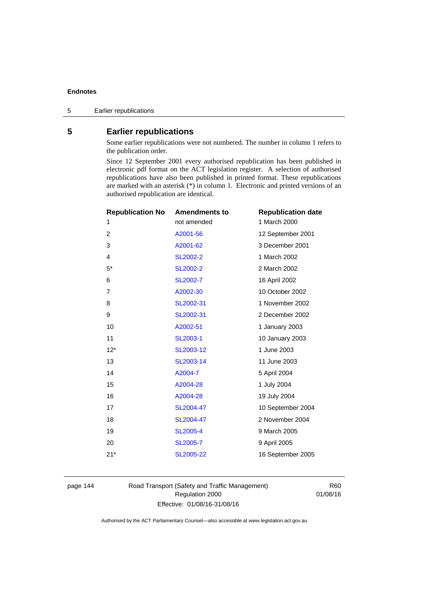# **5 Earlier republications**

Some earlier republications were not numbered. The number in column 1 refers to the publication order.

Since 12 September 2001 every authorised republication has been published in electronic pdf format on the ACT legislation register. A selection of authorised republications have also been published in printed format. These republications are marked with an asterisk (\*) in column 1. Electronic and printed versions of an authorised republication are identical.

| <b>Republication No</b> | <b>Amendments to</b> | <b>Republication date</b> |
|-------------------------|----------------------|---------------------------|
| 1                       | not amended          | 1 March 2000              |
| 2                       | A2001-56             | 12 September 2001         |
| 3                       | A2001-62             | 3 December 2001           |
| 4                       | SL2002-2             | 1 March 2002              |
| $5^*$                   | <b>SL2002-2</b>      | 2 March 2002              |
| 6                       | SL2002-7             | 16 April 2002             |
| 7                       | A2002-30             | 10 October 2002           |
| 8                       | SL2002-31            | 1 November 2002           |
| 9                       | SL2002-31            | 2 December 2002           |
| 10                      | A2002-51             | 1 January 2003            |
| 11                      | SL2003-1             | 10 January 2003           |
| $12*$                   | SL2003-12            | 1 June 2003               |
| 13                      | SL2003-14            | 11 June 2003              |
| 14                      | A2004-7              | 5 April 2004              |
| 15                      | A2004-28             | 1 July 2004               |
| 16                      | A2004-28             | 19 July 2004              |
| 17                      | SL2004-47            | 10 September 2004         |
| 18                      | SL2004-47            | 2 November 2004           |
| 19                      | <b>SL2005-4</b>      | 9 March 2005              |
| 20                      | SL2005-7             | 9 April 2005              |
| $21*$                   | SL2005-22            | 16 September 2005         |
|                         |                      |                           |

page 144 Road Transport (Safety and Traffic Management) Regulation 2000 Effective: 01/08/16-31/08/16

R60 01/08/16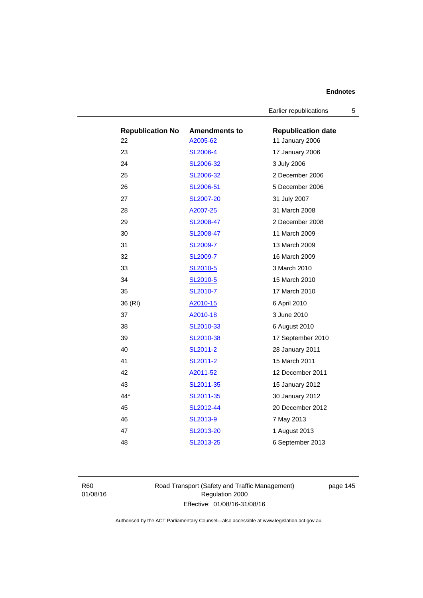Earlier republications 5

| <b>Republication No</b> | <b>Amendments to</b> | <b>Republication date</b> |
|-------------------------|----------------------|---------------------------|
| 22                      | A2005-62             | 11 January 2006           |
| 23                      | <b>SL2006-4</b>      | 17 January 2006           |
| 24                      | SL2006-32            | 3 July 2006               |
| 25                      | SL2006-32            | 2 December 2006           |
| 26                      | SL2006-51            | 5 December 2006           |
| 27                      | SL2007-20            | 31 July 2007              |
| 28                      | A2007-25             | 31 March 2008             |
| 29                      | SL2008-47            | 2 December 2008           |
| 30                      | SL2008-47            | 11 March 2009             |
| 31                      | <b>SL2009-7</b>      | 13 March 2009             |
| 32                      | <b>SL2009-7</b>      | 16 March 2009             |
| 33                      | SL2010-5             | 3 March 2010              |
| 34                      | SL2010-5             | 15 March 2010             |
| 35                      | SL2010-7             | 17 March 2010             |
| 36 (RI)                 | A2010-15             | 6 April 2010              |
| 37                      | A2010-18             | 3 June 2010               |
| 38                      | SL2010-33            | 6 August 2010             |
| 39                      | SL2010-38            | 17 September 2010         |
| 40                      | SL2011-2             | 28 January 2011           |
| 41                      | SL2011-2             | 15 March 2011             |
| 42                      | A2011-52             | 12 December 2011          |
| 43                      | SL2011-35            | 15 January 2012           |
| $44*$                   | SL2011-35            | 30 January 2012           |
| 45                      | SL2012-44            | 20 December 2012          |
| 46                      | SL2013-9             | 7 May 2013                |
| 47                      | SL2013-20            | 1 August 2013             |
| 48                      | SL2013-25            | 6 September 2013          |

R60 01/08/16 Road Transport (Safety and Traffic Management) Regulation 2000 Effective: 01/08/16-31/08/16

page 145